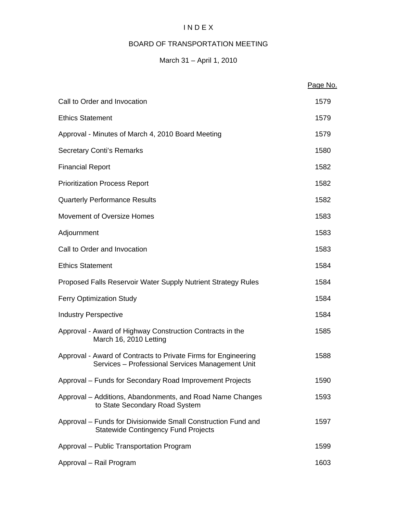# I N D E X

# BOARD OF TRANSPORTATION MEETING

# March 31 – April 1, 2010

|                                                                                                                    | Page No. |
|--------------------------------------------------------------------------------------------------------------------|----------|
| Call to Order and Invocation                                                                                       | 1579     |
| <b>Ethics Statement</b>                                                                                            | 1579     |
| Approval - Minutes of March 4, 2010 Board Meeting                                                                  | 1579     |
| <b>Secretary Conti's Remarks</b>                                                                                   | 1580     |
| <b>Financial Report</b>                                                                                            | 1582     |
| <b>Prioritization Process Report</b>                                                                               | 1582     |
| <b>Quarterly Performance Results</b>                                                                               | 1582     |
| Movement of Oversize Homes                                                                                         | 1583     |
| Adjournment                                                                                                        | 1583     |
| Call to Order and Invocation                                                                                       | 1583     |
| <b>Ethics Statement</b>                                                                                            | 1584     |
| Proposed Falls Reservoir Water Supply Nutrient Strategy Rules                                                      | 1584     |
| <b>Ferry Optimization Study</b>                                                                                    | 1584     |
| <b>Industry Perspective</b>                                                                                        | 1584     |
| Approval - Award of Highway Construction Contracts in the<br>March 16, 2010 Letting                                | 1585     |
| Approval - Award of Contracts to Private Firms for Engineering<br>Services - Professional Services Management Unit | 1588     |
| Approval - Funds for Secondary Road Improvement Projects                                                           | 1590     |
| Approval – Additions, Abandonments, and Road Name Changes<br>to State Secondary Road System                        | 1593     |
| Approval - Funds for Divisionwide Small Construction Fund and<br><b>Statewide Contingency Fund Projects</b>        | 1597     |
| Approval - Public Transportation Program                                                                           | 1599     |
| Approval - Rail Program                                                                                            | 1603     |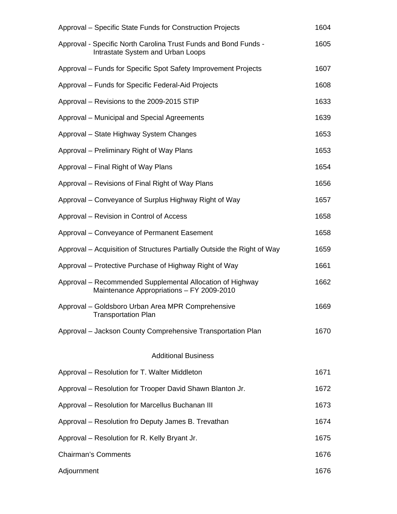| Approval – Specific State Funds for Construction Projects                                              | 1604 |
|--------------------------------------------------------------------------------------------------------|------|
| Approval - Specific North Carolina Trust Funds and Bond Funds -<br>Intrastate System and Urban Loops   | 1605 |
| Approval – Funds for Specific Spot Safety Improvement Projects                                         | 1607 |
| Approval – Funds for Specific Federal-Aid Projects                                                     | 1608 |
| Approval - Revisions to the 2009-2015 STIP                                                             | 1633 |
| Approval - Municipal and Special Agreements                                                            | 1639 |
| Approval - State Highway System Changes                                                                | 1653 |
| Approval – Preliminary Right of Way Plans                                                              | 1653 |
| Approval – Final Right of Way Plans                                                                    | 1654 |
| Approval – Revisions of Final Right of Way Plans                                                       | 1656 |
| Approval – Conveyance of Surplus Highway Right of Way                                                  | 1657 |
| Approval – Revision in Control of Access                                                               | 1658 |
| Approval – Conveyance of Permanent Easement                                                            | 1658 |
| Approval – Acquisition of Structures Partially Outside the Right of Way                                | 1659 |
| Approval – Protective Purchase of Highway Right of Way                                                 | 1661 |
| Approval – Recommended Supplemental Allocation of Highway<br>Maintenance Appropriations - FY 2009-2010 | 1662 |
| Approval – Goldsboro Urban Area MPR Comprehensive<br>Transportation Plan                               | 1669 |
| Approval - Jackson County Comprehensive Transportation Plan                                            | 1670 |
| <b>Additional Business</b>                                                                             |      |
| Approval - Resolution for T. Walter Middleton                                                          | 1671 |
| Approval - Resolution for Trooper David Shawn Blanton Jr.                                              | 1672 |
| Approval - Resolution for Marcellus Buchanan III                                                       | 1673 |
| Approval - Resolution fro Deputy James B. Trevathan                                                    | 1674 |
| Approval - Resolution for R. Kelly Bryant Jr.                                                          | 1675 |
| <b>Chairman's Comments</b>                                                                             | 1676 |
| Adjournment                                                                                            | 1676 |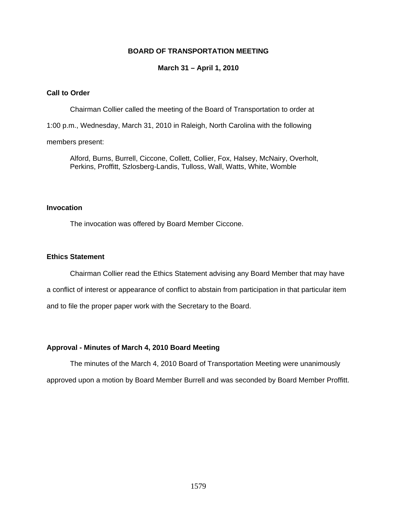### **BOARD OF TRANSPORTATION MEETING**

### **March 31 – April 1, 2010**

### **Call to Order**

Chairman Collier called the meeting of the Board of Transportation to order at

1:00 p.m., Wednesday, March 31, 2010 in Raleigh, North Carolina with the following

### members present:

Alford, Burns, Burrell, Ciccone, Collett, Collier, Fox, Halsey, McNairy, Overholt, Perkins, Proffitt, Szlosberg-Landis, Tulloss, Wall, Watts, White, Womble

### **Invocation**

The invocation was offered by Board Member Ciccone.

### **Ethics Statement**

Chairman Collier read the Ethics Statement advising any Board Member that may have a conflict of interest or appearance of conflict to abstain from participation in that particular item and to file the proper paper work with the Secretary to the Board.

### **Approval - Minutes of March 4, 2010 Board Meeting**

The minutes of the March 4, 2010 Board of Transportation Meeting were unanimously approved upon a motion by Board Member Burrell and was seconded by Board Member Proffitt.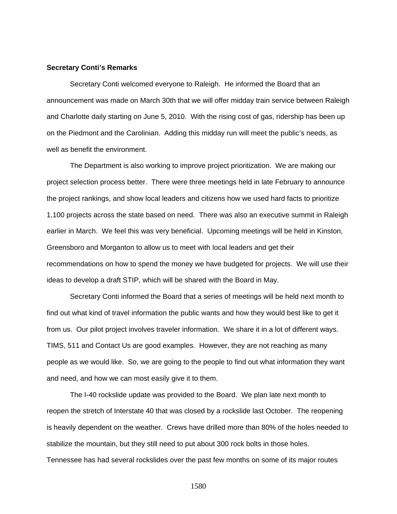#### **Secretary Conti's Remarks**

Secretary Conti welcomed everyone to Raleigh. He informed the Board that an announcement was made on March 30th that we will offer midday train service between Raleigh and Charlotte daily starting on June 5, 2010. With the rising cost of gas, ridership has been up on the Piedmont and the Carolinian. Adding this midday run will meet the public's needs, as well as benefit the environment.

 The Department is also working to improve project prioritization. We are making our project selection process better. There were three meetings held in late February to announce the project rankings, and show local leaders and citizens how we used hard facts to prioritize 1,100 projects across the state based on need. There was also an executive summit in Raleigh earlier in March. We feel this was very beneficial. Upcoming meetings will be held in Kinston, Greensboro and Morganton to allow us to meet with local leaders and get their recommendations on how to spend the money we have budgeted for projects. We will use their ideas to develop a draft STIP, which will be shared with the Board in May.

 Secretary Conti informed the Board that a series of meetings will be held next month to find out what kind of travel information the public wants and how they would best like to get it from us. Our pilot project involves traveler information. We share it in a lot of different ways. TIMS, 511 and Contact Us are good examples. However, they are not reaching as many people as we would like. So, we are going to the people to find out what information they want and need, and how we can most easily give it to them.

 The I-40 rockslide update was provided to the Board. We plan late next month to reopen the stretch of Interstate 40 that was closed by a rockslide last October. The reopening is heavily dependent on the weather. Crews have drilled more than 80% of the holes needed to stabilize the mountain, but they still need to put about 300 rock bolts in those holes. Tennessee has had several rockslides over the past few months on some of its major routes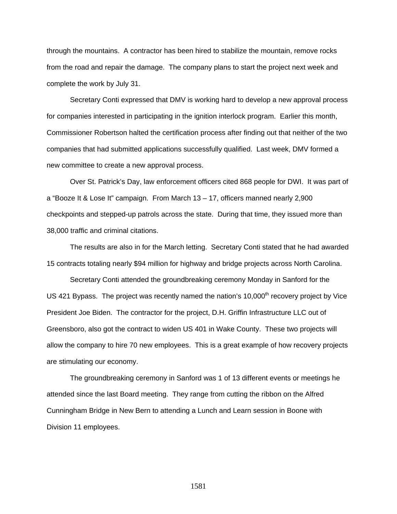through the mountains. A contractor has been hired to stabilize the mountain, remove rocks from the road and repair the damage. The company plans to start the project next week and complete the work by July 31.

 Secretary Conti expressed that DMV is working hard to develop a new approval process for companies interested in participating in the ignition interlock program. Earlier this month, Commissioner Robertson halted the certification process after finding out that neither of the two companies that had submitted applications successfully qualified. Last week, DMV formed a new committee to create a new approval process.

 Over St. Patrick's Day, law enforcement officers cited 868 people for DWI. It was part of a "Booze It & Lose It" campaign. From March 13 – 17, officers manned nearly 2,900 checkpoints and stepped-up patrols across the state. During that time, they issued more than 38,000 traffic and criminal citations.

 The results are also in for the March letting. Secretary Conti stated that he had awarded 15 contracts totaling nearly \$94 million for highway and bridge projects across North Carolina.

 Secretary Conti attended the groundbreaking ceremony Monday in Sanford for the US 421 Bypass. The project was recently named the nation's 10,000<sup>th</sup> recovery project by Vice President Joe Biden. The contractor for the project, D.H. Griffin Infrastructure LLC out of Greensboro, also got the contract to widen US 401 in Wake County. These two projects will allow the company to hire 70 new employees. This is a great example of how recovery projects are stimulating our economy.

 The groundbreaking ceremony in Sanford was 1 of 13 different events or meetings he attended since the last Board meeting. They range from cutting the ribbon on the Alfred Cunningham Bridge in New Bern to attending a Lunch and Learn session in Boone with Division 11 employees.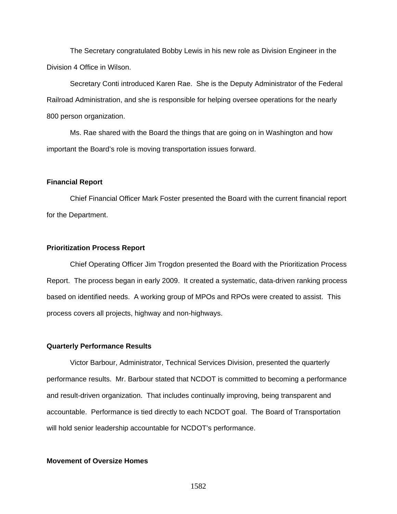The Secretary congratulated Bobby Lewis in his new role as Division Engineer in the Division 4 Office in Wilson.

 Secretary Conti introduced Karen Rae. She is the Deputy Administrator of the Federal Railroad Administration, and she is responsible for helping oversee operations for the nearly 800 person organization.

 Ms. Rae shared with the Board the things that are going on in Washington and how important the Board's role is moving transportation issues forward.

### **Financial Report**

 Chief Financial Officer Mark Foster presented the Board with the current financial report for the Department.

### **Prioritization Process Report**

 Chief Operating Officer Jim Trogdon presented the Board with the Prioritization Process Report. The process began in early 2009. It created a systematic, data-driven ranking process based on identified needs. A working group of MPOs and RPOs were created to assist. This process covers all projects, highway and non-highways.

### **Quarterly Performance Results**

Victor Barbour, Administrator, Technical Services Division, presented the quarterly performance results. Mr. Barbour stated that NCDOT is committed to becoming a performance and result-driven organization. That includes continually improving, being transparent and accountable. Performance is tied directly to each NCDOT goal. The Board of Transportation will hold senior leadership accountable for NCDOT's performance.

### **Movement of Oversize Homes**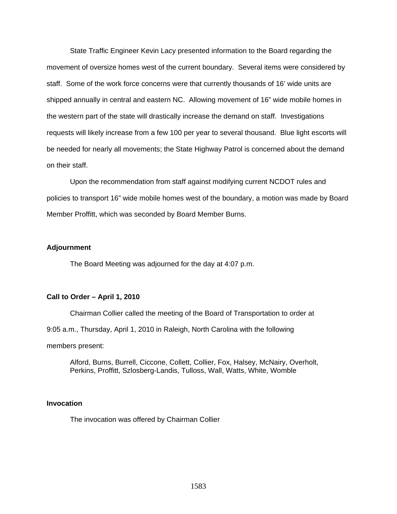State Traffic Engineer Kevin Lacy presented information to the Board regarding the movement of oversize homes west of the current boundary. Several items were considered by staff. Some of the work force concerns were that currently thousands of 16' wide units are shipped annually in central and eastern NC. Allowing movement of 16" wide mobile homes in the western part of the state will drastically increase the demand on staff. Investigations requests will likely increase from a few 100 per year to several thousand. Blue light escorts will be needed for nearly all movements; the State Highway Patrol is concerned about the demand on their staff.

 Upon the recommendation from staff against modifying current NCDOT rules and policies to transport 16" wide mobile homes west of the boundary, a motion was made by Board Member Proffitt, which was seconded by Board Member Burns.

### **Adjournment**

The Board Meeting was adjourned for the day at 4:07 p.m.

### **Call to Order – April 1, 2010**

Chairman Collier called the meeting of the Board of Transportation to order at

9:05 a.m., Thursday, April 1, 2010 in Raleigh, North Carolina with the following

members present:

Alford, Burns, Burrell, Ciccone, Collett, Collier, Fox, Halsey, McNairy, Overholt, Perkins, Proffitt, Szlosberg-Landis, Tulloss, Wall, Watts, White, Womble

### **Invocation**

The invocation was offered by Chairman Collier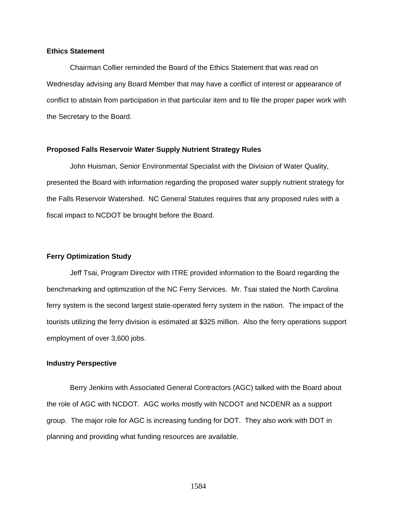### **Ethics Statement**

Chairman Collier reminded the Board of the Ethics Statement that was read on Wednesday advising any Board Member that may have a conflict of interest or appearance of conflict to abstain from participation in that particular item and to file the proper paper work with the Secretary to the Board.

### **Proposed Falls Reservoir Water Supply Nutrient Strategy Rules**

John Huisman, Senior Environmental Specialist with the Division of Water Quality, presented the Board with information regarding the proposed water supply nutrient strategy for the Falls Reservoir Watershed. NC General Statutes requires that any proposed rules with a fiscal impact to NCDOT be brought before the Board.

### **Ferry Optimization Study**

 Jeff Tsai, Program Director with ITRE provided information to the Board regarding the benchmarking and optimization of the NC Ferry Services. Mr. Tsai stated the North Carolina ferry system is the second largest state-operated ferry system in the nation. The impact of the tourists utilizing the ferry division is estimated at \$325 million. Also the ferry operations support employment of over 3,600 jobs.

#### **Industry Perspective**

 Berry Jenkins with Associated General Contractors (AGC) talked with the Board about the role of AGC with NCDOT. AGC works mostly with NCDOT and NCDENR as a support group. The major role for AGC is increasing funding for DOT. They also work with DOT in planning and providing what funding resources are available.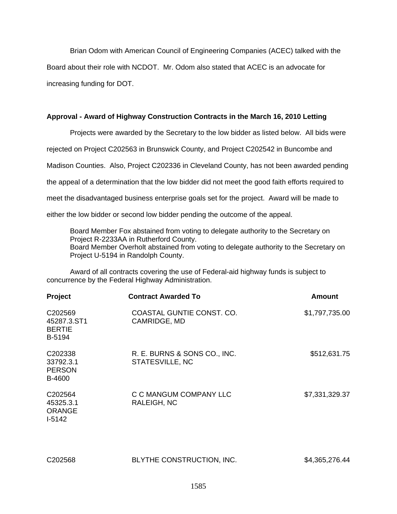Brian Odom with American Council of Engineering Companies (ACEC) talked with the Board about their role with NCDOT. Mr. Odom also stated that ACEC is an advocate for increasing funding for DOT.

### **Approval - Award of Highway Construction Contracts in the March 16, 2010 Letting**

Projects were awarded by the Secretary to the low bidder as listed below. All bids were rejected on Project C202563 in Brunswick County, and Project C202542 in Buncombe and Madison Counties. Also, Project C202336 in Cleveland County, has not been awarded pending the appeal of a determination that the low bidder did not meet the good faith efforts required to meet the disadvantaged business enterprise goals set for the project. Award will be made to either the low bidder or second low bidder pending the outcome of the appeal.

Board Member Fox abstained from voting to delegate authority to the Secretary on Project R-2233AA in Rutherford County. Board Member Overholt abstained from voting to delegate authority to the Secretary on Project U-5194 in Randolph County.

Award of all contracts covering the use of Federal-aid highway funds is subject to concurrence by the Federal Highway Administration.

| Project                                                            | <b>Contract Awarded To</b>                      | Amount         |
|--------------------------------------------------------------------|-------------------------------------------------|----------------|
| C202569<br>45287.3.ST1<br><b>BERTIE</b><br>B-5194                  | COASTAL GUNTIE CONST. CO.<br>CAMRIDGE, MD       | \$1,797,735.00 |
| C <sub>202338</sub><br>33792.3.1<br><b>PERSON</b><br><b>B-4600</b> | R. E. BURNS & SONS CO., INC.<br>STATESVILLE, NC | \$512,631.75   |
| C202564<br>45325.3.1<br><b>ORANGE</b><br>$I-5142$                  | C C MANGUM COMPANY LLC<br>RALEIGH, NC           | \$7,331,329.37 |

| C202568 | BLYTHE CONSTRUCTION, INC. | \$4,365,276.44 |
|---------|---------------------------|----------------|
|         |                           |                |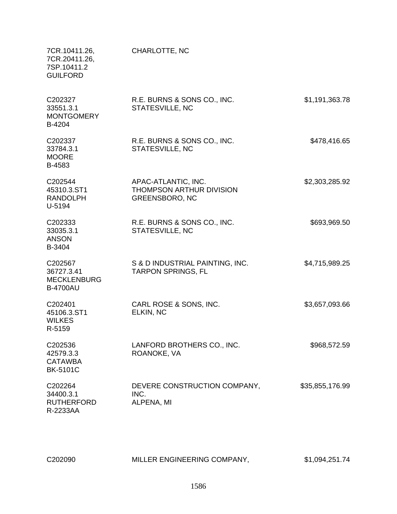| 7CR.10411.26,<br>7CR.20411.26,<br>7SP.10411.2<br><b>GUILFORD</b> | CHARLOTTE, NC                                                            |                 |
|------------------------------------------------------------------|--------------------------------------------------------------------------|-----------------|
| C202327<br>33551.3.1<br><b>MONTGOMERY</b><br>B-4204              | R.E. BURNS & SONS CO., INC.<br>STATESVILLE, NC                           | \$1,191,363.78  |
| C202337<br>33784.3.1<br><b>MOORE</b><br>B-4583                   | R.E. BURNS & SONS CO., INC.<br>STATESVILLE, NC                           | \$478,416.65    |
| C202544<br>45310.3.ST1<br><b>RANDOLPH</b><br>U-5194              | APAC-ATLANTIC, INC.<br>THOMPSON ARTHUR DIVISION<br><b>GREENSBORO, NC</b> | \$2,303,285.92  |
| C202333<br>33035.3.1<br><b>ANSON</b><br>B-3404                   | R.E. BURNS & SONS CO., INC.<br>STATESVILLE, NC                           | \$693,969.50    |
| C202567<br>36727.3.41<br><b>MECKLENBURG</b><br><b>B-4700AU</b>   | S & D INDUSTRIAL PAINTING, INC.<br><b>TARPON SPRINGS, FL</b>             | \$4,715,989.25  |
| C202401<br>45106.3.ST1<br><b>WILKES</b><br>R-5159                | CARL ROSE & SONS, INC.<br>ELKIN, NC                                      | \$3,657,093.66  |
| C202536<br>42579.3.3<br><b>CATAWBA</b><br><b>BK-5101C</b>        | LANFORD BROTHERS CO., INC.<br>ROANOKE, VA                                | \$968,572.59    |
| C202264<br>34400.3.1<br><b>RUTHERFORD</b><br>R-2233AA            | DEVERE CONSTRUCTION COMPANY,<br>INC.<br>ALPENA, MI                       | \$35,855,176.99 |

| C202090 | MILLER ENGINEERING COMPANY, | \$1,094,251.74 |
|---------|-----------------------------|----------------|
|         |                             |                |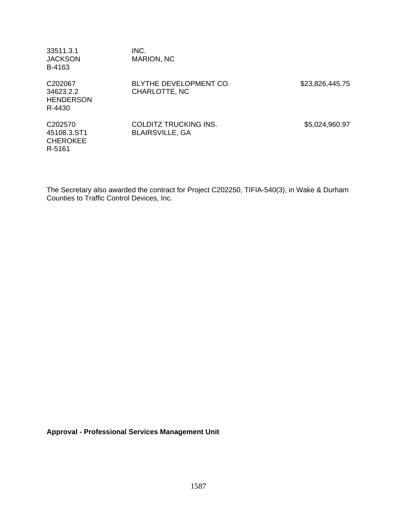| 33511.3.1<br><b>JACKSON</b><br>B-4163                          | INC.<br>MARION, NC                                     |                 |
|----------------------------------------------------------------|--------------------------------------------------------|-----------------|
| C <sub>202067</sub><br>34623.2.2<br><b>HENDERSON</b><br>R-4430 | BLYTHE DEVELOPMENT CO.<br>CHARLOTTE, NC                | \$23,826,445.75 |
| C202570<br>45108.3.ST1<br><b>CHEROKEE</b><br>R-5161            | <b>COLDITZ TRUCKING INS.</b><br><b>BLAIRSVILLE, GA</b> | \$5,024,960.97  |

The Secretary also awarded the contract for Project C202250, TIFIA-540(3), in Wake & Durham Counties to Traffic Control Devices, Inc.

**Approval - Professional Services Management Unit**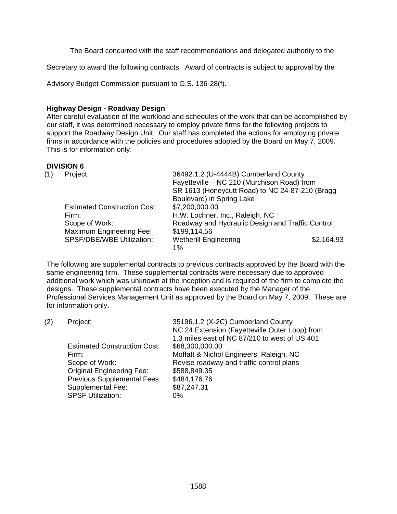The Board concurred with the staff recommendations and delegated authority to the

Secretary to award the following contracts. Award of contracts is subject to approval by the

Advisory Budget Commission pursuant to G.S. 136-28(f).

## **Highway Design - Roadway Design**

After careful evaluation of the workload and schedules of the work that can be accomplished by our staff, it was determined necessary to employ private firms for the following projects to support the Roadway Design Unit. Our staff has completed the actions for employing private firms in accordance with the policies and procedures adopted by the Board on May 7, 2009. This is for information only.

# **DIVISION 6**

| (1) | Project:                            | 36492.1.2 (U-4444B) Cumberland County            |            |
|-----|-------------------------------------|--------------------------------------------------|------------|
|     |                                     | Fayetteville - NC 210 (Murchison Road) from      |            |
|     |                                     | SR 1613 (Honeycutt Road) to NC 24-87-210 (Bragg  |            |
|     |                                     | Boulevard) in Spring Lake                        |            |
|     | <b>Estimated Construction Cost:</b> | \$7,200,000.00                                   |            |
|     | Firm:                               | H.W. Lochner, Inc., Raleigh, NC                  |            |
|     | Scope of Work:                      | Roadway and Hydraulic Design and Traffic Control |            |
|     | Maximum Engineering Fee:            | \$199,114.56                                     |            |
|     | SPSF/DBE/WBE Utilization:           | <b>Wetherill Engineering</b>                     | \$2,164.93 |
|     |                                     | 1%                                               |            |

The following are supplemental contracts to previous contracts approved by the Board with the same engineering firm. These supplemental contracts were necessary due to approved additional work which was unknown at the inception and is required of the firm to complete the designs. These supplemental contracts have been executed by the Manager of the Professional Services Management Unit as approved by the Board on May 7, 2009. These are for information only.

| (2) | Project:                            | 35196.1.2 (X-2C) Cumberland County             |
|-----|-------------------------------------|------------------------------------------------|
|     |                                     | NC 24 Extension (Fayetteville Outer Loop) from |
|     |                                     | 1.3 miles east of NC 87/210 to west of US 401  |
|     | <b>Estimated Construction Cost:</b> | \$68,300,000.00                                |
|     | Firm:                               | Moffatt & Nichol Engineers, Raleigh, NC        |
|     | Scope of Work:                      | Revise roadway and traffic control plans       |
|     | <b>Original Engineering Fee:</b>    | \$588,849.35                                   |
|     | <b>Previous Supplemental Fees:</b>  | \$484,176.76                                   |
|     | <b>Supplemental Fee:</b>            | \$87,247.31                                    |
|     | <b>SPSF Utilization:</b>            | 0%                                             |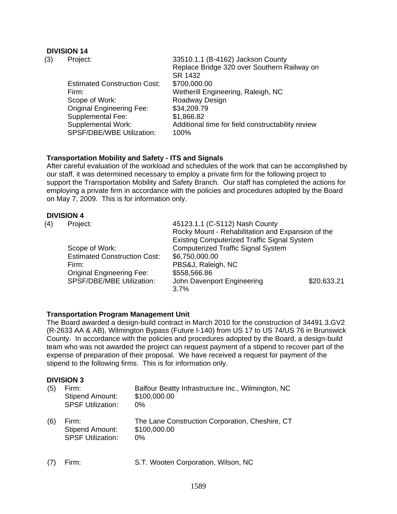# **DIVISION 14**

| (3) | Project:                            | 33510.1.1 (B-4162) Jackson County                 |
|-----|-------------------------------------|---------------------------------------------------|
|     |                                     | Replace Bridge 320 over Southern Railway on       |
|     |                                     | SR 1432                                           |
|     | <b>Estimated Construction Cost:</b> | \$700,000.00                                      |
|     | Firm:                               | Wetherill Engineering, Raleigh, NC                |
|     | Scope of Work:                      | Roadway Design                                    |
|     | <b>Original Engineering Fee:</b>    | \$34,209.79                                       |
|     | <b>Supplemental Fee:</b>            | \$1,866.82                                        |
|     | Supplemental Work:                  | Additional time for field constructability review |
|     | SPSF/DBE/WBE Utilization:           | 100%                                              |

### **Transportation Mobility and Safety - ITS and Signals**

After careful evaluation of the workload and schedules of the work that can be accomplished by our staff, it was determined necessary to employ a private firm for the following project to support the Transportation Mobility and Safety Branch. Our staff has completed the actions for employing a private firm in accordance with the policies and procedures adopted by the Board on May 7, 2009. This is for information only.

### **DIVISION 4**

| (4) | Project:                            | 45123.1.1 (C-5112) Nash County                     |             |
|-----|-------------------------------------|----------------------------------------------------|-------------|
|     |                                     | Rocky Mount - Rehabilitation and Expansion of the  |             |
|     |                                     | <b>Existing Computerized Traffic Signal System</b> |             |
|     | Scope of Work:                      | <b>Computerized Traffic Signal System</b>          |             |
|     | <b>Estimated Construction Cost:</b> | \$6,750,000.00                                     |             |
|     | Firm:                               | PBS&J, Raleigh, NC                                 |             |
|     | <b>Original Engineering Fee:</b>    | \$558,566.86                                       |             |
|     | SPSF/DBE/MBE Utilization:           | John Davenport Engineering                         | \$20,633.21 |
|     |                                     | 3.7%                                               |             |

# **Transportation Program Management Unit**

The Board awarded a design-build contract in March 2010 for the construction of 34491.3.GV2 (R-2633 AA & AB), Wilmington Bypass (Future I-140) from US 17 to US 74/US 76 in Brunswick County. In accordance with the policies and procedures adopted by the Board, a design-build team who was not awarded the project can request payment of a stipend to recover part of the expense of preparation of their proposal. We have received a request for payment of the stipend to the following firms. This is for information only.

# **DIVISION 3**

| (5) | Firm:<br><b>Stipend Amount:</b><br><b>SPSF Utilization:</b> | Balfour Beatty Infrastructure Inc., Wilmington, NC<br>\$100,000.00<br>$0\%$ |
|-----|-------------------------------------------------------------|-----------------------------------------------------------------------------|
| (6) | Firm:<br><b>Stipend Amount:</b><br><b>SPSF Utilization:</b> | The Lane Construction Corporation, Cheshire, CT<br>\$100,000.00<br>$0\%$    |

(7) Firm: S.T. Wooten Corporation, Wilson, NC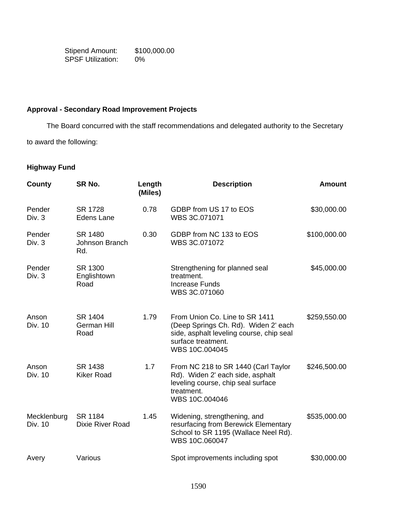Stipend Amount: \$100,000.00 SPSF Utilization: 0%

# **Approval - Secondary Road Improvement Projects**

The Board concurred with the staff recommendations and delegated authority to the Secretary

to award the following:

# **Highway Fund**

| County                 | SR No.                           | Length<br>(Miles) | <b>Description</b>                                                                                                                                         | <b>Amount</b> |
|------------------------|----------------------------------|-------------------|------------------------------------------------------------------------------------------------------------------------------------------------------------|---------------|
| Pender<br>Div. 3       | SR 1728<br><b>Edens Lane</b>     | 0.78              | GDBP from US 17 to EOS<br>WBS 3C.071071                                                                                                                    | \$30,000.00   |
| Pender<br>Div. 3       | SR 1480<br>Johnson Branch<br>Rd. | 0.30              | GDBP from NC 133 to EOS<br>WBS 3C.071072                                                                                                                   | \$100,000.00  |
| Pender<br>Div. 3       | SR 1300<br>Englishtown<br>Road   |                   | Strengthening for planned seal<br>treatment.<br><b>Increase Funds</b><br>WBS 3C.071060                                                                     | \$45,000.00   |
| Anson<br>Div. 10       | SR 1404<br>German Hill<br>Road   | 1.79              | From Union Co. Line to SR 1411<br>(Deep Springs Ch. Rd). Widen 2' each<br>side, asphalt leveling course, chip seal<br>surface treatment.<br>WBS 10C.004045 | \$259,550.00  |
| Anson<br>Div. 10       | SR 1438<br><b>Kiker Road</b>     | 1.7               | From NC 218 to SR 1440 (Carl Taylor<br>Rd). Widen 2' each side, asphalt<br>leveling course, chip seal surface<br>treatment.<br>WBS 10C.004046              | \$246,500.00  |
| Mecklenburg<br>Div. 10 | SR 1184<br>Dixie River Road      | 1.45              | Widening, strengthening, and<br>resurfacing from Berewick Elementary<br>School to SR 1195 (Wallace Neel Rd).<br>WBS 10C.060047                             | \$535,000.00  |
| Avery                  | Various                          |                   | Spot improvements including spot                                                                                                                           | \$30,000.00   |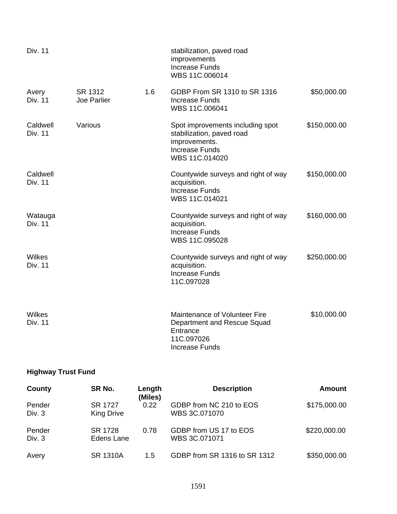| <b>Div. 11</b>             |                        |     | stabilization, paved road<br>improvements<br><b>Increase Funds</b><br>WBS 11C.006014                                      |              |
|----------------------------|------------------------|-----|---------------------------------------------------------------------------------------------------------------------------|--------------|
| Avery<br>Div. 11           | SR 1312<br>Joe Parlier | 1.6 | GDBP From SR 1310 to SR 1316<br><b>Increase Funds</b><br>WBS 11C.006041                                                   | \$50,000.00  |
| Caldwell<br><b>Div. 11</b> | Various                |     | Spot improvements including spot<br>stabilization, paved road<br>improvements.<br><b>Increase Funds</b><br>WBS 11C.014020 | \$150,000.00 |
| Caldwell<br>Div. 11        |                        |     | Countywide surveys and right of way<br>acquisition.<br><b>Increase Funds</b><br>WBS 11C.014021                            | \$150,000.00 |
| Watauga<br><b>Div. 11</b>  |                        |     | Countywide surveys and right of way<br>acquisition.<br><b>Increase Funds</b><br>WBS 11C.095028                            | \$160,000.00 |
| Wilkes<br><b>Div. 11</b>   |                        |     | Countywide surveys and right of way<br>acquisition.<br><b>Increase Funds</b><br>11C.097028                                | \$250,000.00 |
| Wilkes<br><b>Div. 11</b>   |                        |     | Maintenance of Volunteer Fire<br>Department and Rescue Squad<br>Entrance<br>11C.097026<br><b>Increase Funds</b>           | \$10,000.00  |

# **Highway Trust Fund**

| County           | SR No.                       | Length<br>(Miles) | <b>Description</b>                       | Amount       |
|------------------|------------------------------|-------------------|------------------------------------------|--------------|
| Pender<br>Div. 3 | SR 1727<br><b>King Drive</b> | 0.22              | GDBP from NC 210 to EOS<br>WBS 3C.071070 | \$175,000.00 |
| Pender<br>Div. 3 | SR 1728<br>Edens Lane        | 0.78              | GDBP from US 17 to EOS<br>WBS 3C.071071  | \$220,000.00 |
| Avery            | <b>SR 1310A</b>              | 1.5               | GDBP from SR 1316 to SR 1312             | \$350,000.00 |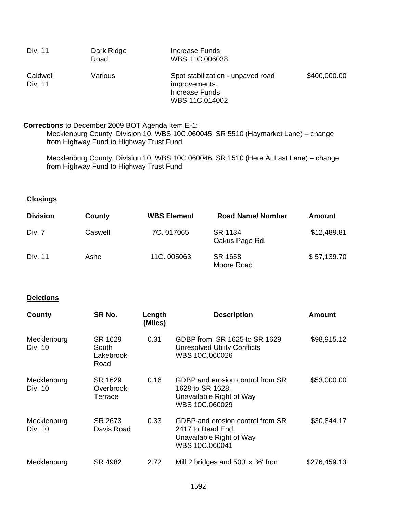| Div. 11             | Dark Ridge<br>Road | Increase Funds<br>WBS 11C.006038                                                       |              |
|---------------------|--------------------|----------------------------------------------------------------------------------------|--------------|
| Caldwell<br>Div. 11 | Various            | Spot stabilization - unpaved road<br>improvements.<br>Increase Funds<br>WBS 11C.014002 | \$400,000.00 |

### **Corrections** to December 2009 BOT Agenda Item E-1:

Mecklenburg County, Division 10, WBS 10C.060045, SR 5510 (Haymarket Lane) – change from Highway Fund to Highway Trust Fund.

Mecklenburg County, Division 10, WBS 10C.060046, SR 1510 (Here At Last Lane) – change from Highway Fund to Highway Trust Fund.

# **Closings**

| <b>Division</b> | County  | <b>WBS Element</b> | <b>Road Name/ Number</b>  | Amount      |
|-----------------|---------|--------------------|---------------------------|-------------|
| Div. 7          | Caswell | 7C. 017065         | SR 1134<br>Oakus Page Rd. | \$12,489.81 |
| Div. 11         | Ashe    | 11C. 005063        | SR 1658<br>Moore Road     | \$57,139.70 |

### **Deletions**

| County                 | SR No.                                | Length<br>(Miles) | <b>Description</b>                                                                                  | Amount       |
|------------------------|---------------------------------------|-------------------|-----------------------------------------------------------------------------------------------------|--------------|
| Mecklenburg<br>Div. 10 | SR 1629<br>South<br>Lakebrook<br>Road | 0.31              | GDBP from SR 1625 to SR 1629<br><b>Unresolved Utility Conflicts</b><br>WBS 10C.060026               | \$98,915.12  |
| Mecklenburg<br>Div. 10 | SR 1629<br>Overbrook<br>Terrace       | 0.16              | GDBP and erosion control from SR<br>1629 to SR 1628.<br>Unavailable Right of Way<br>WBS 10C.060029  | \$53,000.00  |
| Mecklenburg<br>Div. 10 | SR 2673<br>Davis Road                 | 0.33              | GDBP and erosion control from SR<br>2417 to Dead End.<br>Unavailable Right of Way<br>WBS 10C.060041 | \$30,844.17  |
| Mecklenburg            | SR 4982                               | 2.72              | Mill 2 bridges and 500' x 36' from                                                                  | \$276,459.13 |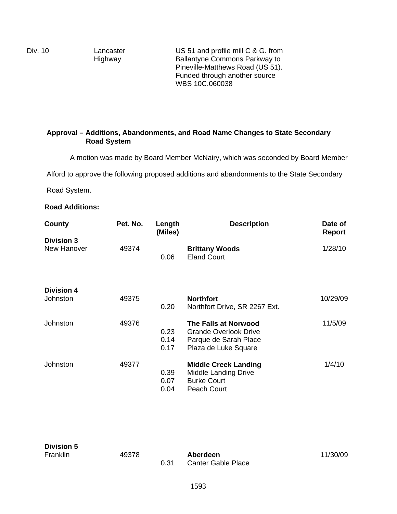Div. 10 Lancaster Highway

US 51 and profile mill C & G. from Ballantyne Commons Parkway to Pineville-Matthews Road (US 51). Funded through another source WBS 10C.060038

# **Approval – Additions, Abandonments, and Road Name Changes to State Secondary Road System**

A motion was made by Board Member McNairy, which was seconded by Board Member

Alford to approve the following proposed additions and abandonments to the State Secondary

Road System.

# **Road Additions:**

| County            | Pet. No. | Length<br>(Miles)    | <b>Description</b>                                                                                    | Date of<br><b>Report</b> |
|-------------------|----------|----------------------|-------------------------------------------------------------------------------------------------------|--------------------------|
| <b>Division 3</b> |          |                      |                                                                                                       |                          |
| New Hanover       | 49374    | 0.06                 | <b>Brittany Woods</b><br><b>Eland Court</b>                                                           | 1/28/10                  |
| <b>Division 4</b> |          |                      |                                                                                                       |                          |
| Johnston          | 49375    | 0.20                 | <b>Northfort</b><br>Northfort Drive, SR 2267 Ext.                                                     | 10/29/09                 |
| Johnston          | 49376    | 0.23<br>0.14<br>0.17 | The Falls at Norwood<br><b>Grande Overlook Drive</b><br>Parque de Sarah Place<br>Plaza de Luke Square | 11/5/09                  |
| Johnston          | 49377    | 0.39<br>0.07<br>0.04 | <b>Middle Creek Landing</b><br>Middle Landing Drive<br><b>Burke Court</b><br><b>Peach Court</b>       | 1/4/10                   |

| <b>Division 5</b> |       |      |                                       |          |
|-------------------|-------|------|---------------------------------------|----------|
| Franklin          | 49378 | 0.31 | Aberdeen<br><b>Canter Gable Place</b> | 11/30/09 |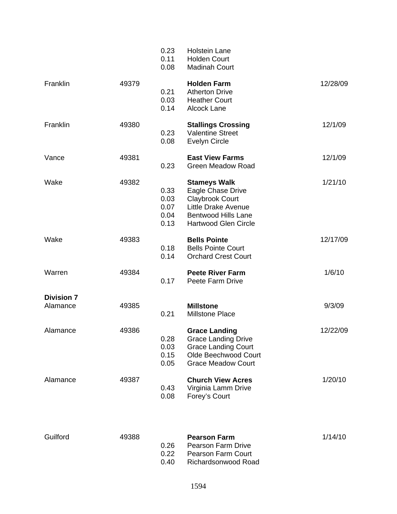|                               |       | 0.23<br>0.11<br>0.08                 | <b>Holstein Lane</b><br><b>Holden Court</b><br><b>Madinah Court</b>                                                                                           |          |
|-------------------------------|-------|--------------------------------------|---------------------------------------------------------------------------------------------------------------------------------------------------------------|----------|
| Franklin                      | 49379 | 0.21<br>0.03<br>0.14                 | <b>Holden Farm</b><br><b>Atherton Drive</b><br><b>Heather Court</b><br>Alcock Lane                                                                            | 12/28/09 |
| Franklin                      | 49380 | 0.23<br>0.08                         | <b>Stallings Crossing</b><br><b>Valentine Street</b><br><b>Evelyn Circle</b>                                                                                  | 12/1/09  |
| Vance                         | 49381 | 0.23                                 | <b>East View Farms</b><br><b>Green Meadow Road</b>                                                                                                            | 12/1/09  |
| Wake                          | 49382 | 0.33<br>0.03<br>0.07<br>0.04<br>0.13 | <b>Stameys Walk</b><br>Eagle Chase Drive<br><b>Claybrook Court</b><br><b>Little Drake Avenue</b><br><b>Bentwood Hills Lane</b><br><b>Hartwood Glen Circle</b> | 1/21/10  |
| Wake                          | 49383 | 0.18<br>0.14                         | <b>Bells Pointe</b><br><b>Bells Pointe Court</b><br><b>Orchard Crest Court</b>                                                                                | 12/17/09 |
| Warren                        | 49384 | 0.17                                 | <b>Peete River Farm</b><br>Peete Farm Drive                                                                                                                   | 1/6/10   |
| <b>Division 7</b><br>Alamance | 49385 | 0.21                                 | <b>Millstone</b><br><b>Millstone Place</b>                                                                                                                    | 9/3/09   |
| Alamance                      | 49386 | 0.28<br>0.03<br>0.15<br>0.05         | <b>Grace Landing</b><br><b>Grace Landing Drive</b><br><b>Grace Landing Court</b><br>Olde Beechwood Court<br><b>Grace Meadow Court</b>                         | 12/22/09 |
| Alamance                      | 49387 | 0.43<br>0.08                         | <b>Church View Acres</b><br>Virginia Lamm Drive<br>Forey's Court                                                                                              | 1/20/10  |

| 49388 |             | <b>Pearson Farm</b>       | 1/14/10 |
|-------|-------------|---------------------------|---------|
|       | <u>በ 26</u> | <b>Pearson Farm Drive</b> |         |
|       | 0.22        | <b>Pearson Farm Court</b> |         |
|       | 0 40        | Richardsonwood Road       |         |
|       |             |                           |         |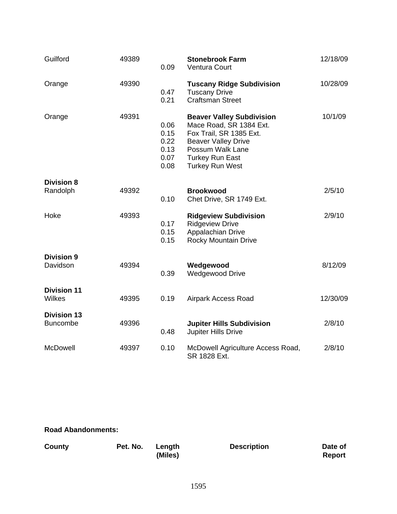| Guilford                              | 49389 | 0.09                                         | <b>Stonebrook Farm</b><br>Ventura Court                                                                                                                                                      | 12/18/09 |
|---------------------------------------|-------|----------------------------------------------|----------------------------------------------------------------------------------------------------------------------------------------------------------------------------------------------|----------|
| Orange                                | 49390 | 0.47<br>0.21                                 | <b>Tuscany Ridge Subdivision</b><br><b>Tuscany Drive</b><br><b>Craftsman Street</b>                                                                                                          | 10/28/09 |
| Orange                                | 49391 | 0.06<br>0.15<br>0.22<br>0.13<br>0.07<br>0.08 | <b>Beaver Valley Subdivision</b><br>Mace Road, SR 1384 Ext.<br>Fox Trail, SR 1385 Ext.<br><b>Beaver Valley Drive</b><br>Possum Walk Lane<br><b>Turkey Run East</b><br><b>Turkey Run West</b> | 10/1/09  |
| <b>Division 8</b>                     |       |                                              |                                                                                                                                                                                              |          |
| Randolph                              | 49392 | 0.10                                         | <b>Brookwood</b><br>Chet Drive, SR 1749 Ext.                                                                                                                                                 | 2/5/10   |
| Hoke                                  | 49393 | 0.17<br>0.15<br>0.15                         | <b>Ridgeview Subdivision</b><br><b>Ridgeview Drive</b><br>Appalachian Drive<br><b>Rocky Mountain Drive</b>                                                                                   | 2/9/10   |
| <b>Division 9</b><br>Davidson         | 49394 | 0.39                                         | Wedgewood<br><b>Wedgewood Drive</b>                                                                                                                                                          | 8/12/09  |
| <b>Division 11</b><br><b>Wilkes</b>   | 49395 | 0.19                                         | Airpark Access Road                                                                                                                                                                          | 12/30/09 |
| <b>Division 13</b><br><b>Buncombe</b> | 49396 | 0.48                                         | <b>Jupiter Hills Subdivision</b><br><b>Jupiter Hills Drive</b>                                                                                                                               | 2/8/10   |
| McDowell                              | 49397 | 0.10                                         | McDowell Agriculture Access Road,<br>SR 1828 Ext.                                                                                                                                            | 2/8/10   |

# **Road Abandonments:**

| <b>County</b> | Pet. No. | Length<br>(Miles) | <b>Description</b> | Date of<br>Report |
|---------------|----------|-------------------|--------------------|-------------------|
|               |          |                   |                    |                   |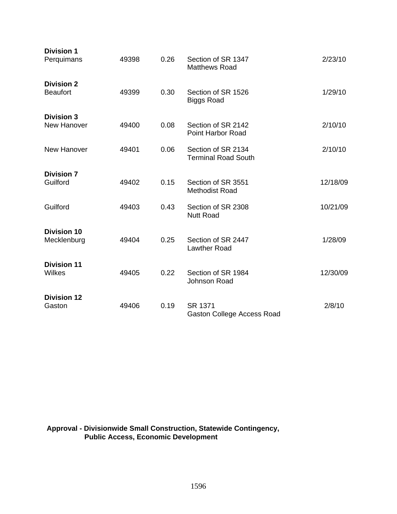| <b>Division 1</b><br>Perquimans      | 49398 | 0.26 | Section of SR 1347<br><b>Matthews Road</b>       | 2/23/10  |
|--------------------------------------|-------|------|--------------------------------------------------|----------|
| <b>Division 2</b><br><b>Beaufort</b> | 49399 | 0.30 | Section of SR 1526<br><b>Biggs Road</b>          | 1/29/10  |
| <b>Division 3</b><br>New Hanover     | 49400 | 0.08 | Section of SR 2142<br><b>Point Harbor Road</b>   | 2/10/10  |
| New Hanover                          | 49401 | 0.06 | Section of SR 2134<br><b>Terminal Road South</b> | 2/10/10  |
| <b>Division 7</b><br>Guilford        | 49402 | 0.15 | Section of SR 3551<br><b>Methodist Road</b>      | 12/18/09 |
| Guilford                             | 49403 | 0.43 | Section of SR 2308<br><b>Nutt Road</b>           | 10/21/09 |
| <b>Division 10</b><br>Mecklenburg    | 49404 | 0.25 | Section of SR 2447<br><b>Lawther Road</b>        | 1/28/09  |
| <b>Division 11</b><br><b>Wilkes</b>  | 49405 | 0.22 | Section of SR 1984<br>Johnson Road               | 12/30/09 |
| <b>Division 12</b><br>Gaston         | 49406 | 0.19 | SR 1371<br>Gaston College Access Road            | 2/8/10   |

**Approval - Divisionwide Small Construction, Statewide Contingency, Public Access, Economic Development**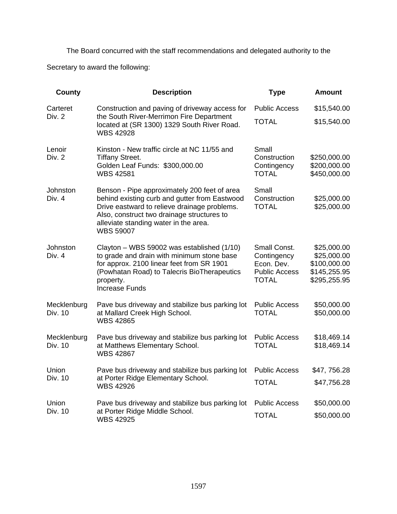The Board concurred with the staff recommendations and delegated authority to the Secretary to award the following:

| <b>County</b>          | <b>Description</b>                                                                                                                                                                                                                                       | <b>Type</b>                                                                       | <b>Amount</b>                                                              |
|------------------------|----------------------------------------------------------------------------------------------------------------------------------------------------------------------------------------------------------------------------------------------------------|-----------------------------------------------------------------------------------|----------------------------------------------------------------------------|
| Carteret               | Construction and paving of driveway access for                                                                                                                                                                                                           | <b>Public Access</b>                                                              | \$15,540.00                                                                |
| Div. 2                 | the South River-Merrimon Fire Department<br>located at (SR 1300) 1329 South River Road.<br><b>WBS 42928</b>                                                                                                                                              | <b>TOTAL</b>                                                                      | \$15,540.00                                                                |
| Lenoir<br>Div. 2       | Kinston - New traffic circle at NC 11/55 and<br><b>Tiffany Street.</b><br>Golden Leaf Funds: \$300,000.00<br><b>WBS 42581</b>                                                                                                                            | Small<br>Construction<br>Contingency<br><b>TOTAL</b>                              | \$250,000.00<br>\$200,000.00<br>\$450,000.00                               |
| Johnston<br>Div. 4     | Benson - Pipe approximately 200 feet of area<br>behind existing curb and gutter from Eastwood<br>Drive eastward to relieve drainage problems.<br>Also, construct two drainage structures to<br>alleviate standing water in the area.<br><b>WBS 59007</b> | Small<br>Construction<br><b>TOTAL</b>                                             | \$25,000.00<br>\$25,000.00                                                 |
| Johnston<br>Div. 4     | Clayton - WBS 59002 was established (1/10)<br>to grade and drain with minimum stone base<br>for approx. 2100 linear feet from SR 1901<br>(Powhatan Road) to Talecris BioTherapeutics<br>property.<br><b>Increase Funds</b>                               | Small Const.<br>Contingency<br>Econ. Dev.<br><b>Public Access</b><br><b>TOTAL</b> | \$25,000.00<br>\$25,000.00<br>\$100,000.00<br>\$145,255.95<br>\$295,255.95 |
| Mecklenburg<br>Div. 10 | Pave bus driveway and stabilize bus parking lot<br>at Mallard Creek High School.<br><b>WBS 42865</b>                                                                                                                                                     | <b>Public Access</b><br><b>TOTAL</b>                                              | \$50,000.00<br>\$50,000.00                                                 |
| Mecklenburg<br>Div. 10 | Pave bus driveway and stabilize bus parking lot<br>at Matthews Elementary School.<br><b>WBS 42867</b>                                                                                                                                                    | <b>Public Access</b><br><b>TOTAL</b>                                              | \$18,469.14<br>\$18,469.14                                                 |
| Union                  | Pave bus driveway and stabilize bus parking lot                                                                                                                                                                                                          | <b>Public Access</b>                                                              | \$47,756.28                                                                |
| Div. 10                | at Porter Ridge Elementary School.<br><b>WBS 42926</b>                                                                                                                                                                                                   | <b>TOTAL</b>                                                                      | \$47,756.28                                                                |
| Union                  | Pave bus driveway and stabilize bus parking lot                                                                                                                                                                                                          | <b>Public Access</b>                                                              | \$50,000.00                                                                |
| Div. 10                | at Porter Ridge Middle School.<br><b>WBS 42925</b>                                                                                                                                                                                                       | <b>TOTAL</b>                                                                      | \$50,000.00                                                                |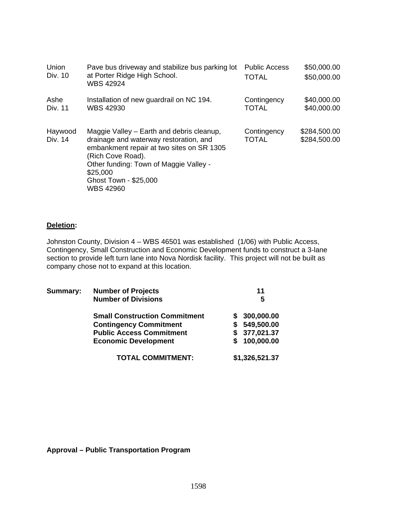| Union<br>Div. 10   | Pave bus driveway and stabilize bus parking lot<br>at Porter Ridge High School.<br><b>WBS 42924</b>                                                                                                                                                      | <b>Public Access</b><br><b>TOTAL</b> | \$50,000.00<br>\$50,000.00   |
|--------------------|----------------------------------------------------------------------------------------------------------------------------------------------------------------------------------------------------------------------------------------------------------|--------------------------------------|------------------------------|
| Ashe<br>Div. 11    | Installation of new guardrail on NC 194.<br><b>WBS 42930</b>                                                                                                                                                                                             | Contingency<br><b>TOTAL</b>          | \$40,000.00<br>\$40,000.00   |
| Haywood<br>Div. 14 | Maggie Valley – Earth and debris cleanup,<br>drainage and waterway restoration, and<br>embankment repair at two sites on SR 1305<br>(Rich Cove Road).<br>Other funding: Town of Maggie Valley -<br>\$25,000<br>Ghost Town - \$25,000<br><b>WBS 42960</b> | Contingency<br><b>TOTAL</b>          | \$284,500.00<br>\$284,500.00 |

### **Deletion:**

Johnston County, Division 4 – WBS 46501 was established (1/06) with Public Access, Contingency, Small Construction and Economic Development funds to construct a 3-lane section to provide left turn lane into Nova Nordisk facility. This project will not be built as company chose not to expand at this location.

| Summary: | <b>Number of Projects</b>            | 11 |                |  |
|----------|--------------------------------------|----|----------------|--|
|          | <b>Number of Divisions</b>           |    | 5              |  |
|          | <b>Small Construction Commitment</b> |    | 300,000.00     |  |
|          | <b>Contingency Commitment</b>        |    | 549,500.00     |  |
|          | <b>Public Access Commitment</b>      |    | 377,021.37     |  |
|          | <b>Economic Development</b>          |    | 100,000.00     |  |
|          | <b>TOTAL COMMITMENT:</b>             |    | \$1,326,521.37 |  |

**Approval – Public Transportation Program**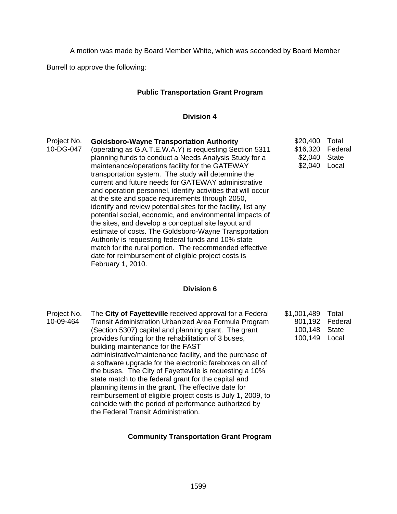A motion was made by Board Member White, which was seconded by Board Member

Burrell to approve the following:

# **Public Transportation Grant Program**

### **Division 4**

\$2,040 State \$2,040 Local

Federal

Project No. 10-DG-047 **Goldsboro-Wayne Transportation Authority** (operating as G.A.T.E.W.A.Y) is requesting Section 5311 planning funds to conduct a Needs Analysis Study for a maintenance/operations facility for the GATEWAY transportation system. The study will determine the current and future needs for GATEWAY administrative and operation personnel, identify activities that will occur at the site and space requirements through 2050, identify and review potential sites for the facility, list any potential social, economic, and environmental impacts of the sites, and develop a conceptual site layout and estimate of costs. The Goldsboro-Wayne Transportation Authority is requesting federal funds and 10% state match for the rural portion. The recommended effective date for reimbursement of eligible project costs is February 1, 2010. \$20,400 Total \$16,320

### **Division 6**

Project No. 10-09-464 The **City of Fayetteville** received approval for a Federal Transit Administration Urbanized Area Formula Program (Section 5307) capital and planning grant. The grant provides funding for the rehabilitation of 3 buses, building maintenance for the FAST administrative/maintenance facility, and the purchase of a software upgrade for the electronic fareboxes on all of the buses. The City of Fayetteville is requesting a 10% state match to the federal grant for the capital and planning items in the grant. The effective date for reimbursement of eligible project costs is July 1, 2009, to coincide with the period of performance authorized by the Federal Transit Administration. \$1,001,489 801,192 Federal 100,148 100,149 Local Total State

### **Community Transportation Grant Program**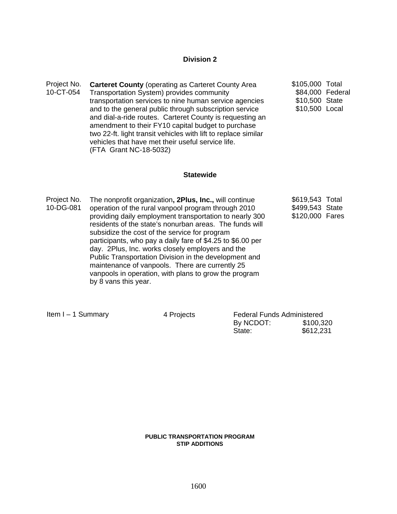### **Division 2**

Project No. 10-CT-054 **Carteret County** (operating as Carteret County Area Transportation System) provides community transportation services to nine human service agencies and to the general public through subscription service and dial-a-ride routes. Carteret County is requesting an amendment to their FY10 capital budget to purchase two 22-ft. light transit vehicles with lift to replace similar vehicles that have met their useful service life. (FTA Grant NC-18-5032) \$105,000 Total \$84,000 Federal \$10,500 State \$10,500 Local

#### **Statewide**

Project No. 10-DG-081 The nonprofit organization**, 2Plus, Inc.,** will continue operation of the rural vanpool program through 2010 providing daily employment transportation to nearly 300 residents of the state's nonurban areas. The funds will subsidize the cost of the service for program participants, who pay a daily fare of \$4.25 to \$6.00 per day. 2Plus, Inc. works closely employers and the Public Transportation Division in the development and maintenance of vanpools. There are currently 25 vanpools in operation, with plans to grow the program by 8 vans this year. \$619,543 Total \$499,543 State \$120,000 Fares

Item I – 1 Summary **4 Projects** Federal Funds Administered By NCDOT: \$100,320 **State:**  $\frac{1}{2}$  \$612,231

#### **PUBLIC TRANSPORTATION PROGRAM STIP ADDITIONS**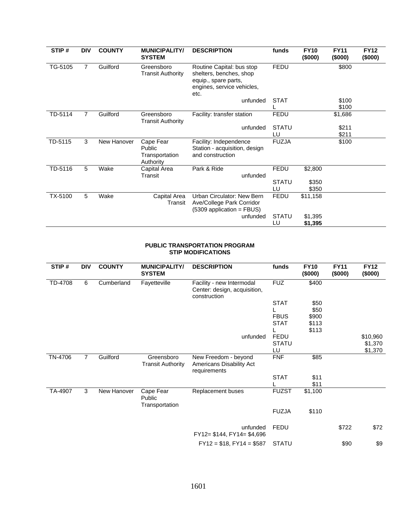| STIP#   | <b>DIV</b>     | <b>COUNTY</b> | <b>MUNICIPALITY/</b><br><b>SYSTEM</b>              | <b>DESCRIPTION</b>                                                                                                 | funds              | <b>FY10</b><br>(\$000) | <b>FY11</b><br>(\$000) | <b>FY12</b><br>(\$000) |
|---------|----------------|---------------|----------------------------------------------------|--------------------------------------------------------------------------------------------------------------------|--------------------|------------------------|------------------------|------------------------|
| TG-5105 | 7              | Guilford      | Greensboro<br><b>Transit Authority</b>             | Routine Capital: bus stop<br>shelters, benches, shop<br>equip., spare parts,<br>engines, service vehicles,<br>etc. | <b>FEDU</b>        |                        | \$800                  |                        |
|         |                |               |                                                    | unfunded                                                                                                           | <b>STAT</b>        |                        | \$100<br>\$100         |                        |
| TD-5114 | $\overline{7}$ | Guilford      | Greensboro<br><b>Transit Authority</b>             | Facility: transfer station                                                                                         | <b>FEDU</b>        |                        | \$1,686                |                        |
|         |                |               |                                                    | unfunded                                                                                                           | <b>STATU</b>       |                        | \$211                  |                        |
|         |                |               |                                                    |                                                                                                                    | LU                 |                        | \$211                  |                        |
| TD-5115 | 3              | New Hanover   | Cape Fear<br>Public<br>Transportation<br>Authority | Facility: Independence<br>Station - acquisition, design<br>and construction                                        | <b>FUZJA</b>       |                        | \$100                  |                        |
| TD-5116 | 5              | Wake          | Capital Area                                       | Park & Ride                                                                                                        | <b>FEDU</b>        | \$2,800                |                        |                        |
|         |                |               | Transit                                            | unfunded                                                                                                           | <b>STATU</b><br>LU | \$350<br>\$350         |                        |                        |
| TX-5100 | 5              | Wake          | Capital Area<br>Transit                            | Urban Circulator: New Bern<br>Ave/College Park Corridor<br>(5309 application = FBUS)                               | <b>FEDU</b>        | \$11,158               |                        |                        |
|         |                |               |                                                    | unfunded                                                                                                           | <b>STATU</b><br>LU | \$1,395<br>\$1,395     |                        |                        |

#### **PUBLIC TRANSPORTATION PROGRAM STIP MODIFICATIONS**

| STIP#   | <b>DIV</b>     | <b>COUNTY</b> | <b>MUNICIPALITY/</b><br><b>SYSTEM</b>  | <b>DESCRIPTION</b>                                                        | funds        | <b>FY10</b><br>(\$000) | <b>FY11</b><br>(\$000) | <b>FY12</b><br>(\$000) |
|---------|----------------|---------------|----------------------------------------|---------------------------------------------------------------------------|--------------|------------------------|------------------------|------------------------|
| TD-4708 | 6              | Cumberland    | Fayetteville                           | Facility - new Intermodal<br>Center: design, acquisition,<br>construction | <b>FUZ</b>   | \$400                  |                        |                        |
|         |                |               |                                        |                                                                           | <b>STAT</b>  | \$50                   |                        |                        |
|         |                |               |                                        |                                                                           |              | \$50                   |                        |                        |
|         |                |               |                                        |                                                                           | <b>FBUS</b>  | \$900                  |                        |                        |
|         |                |               |                                        |                                                                           | <b>STAT</b>  | \$113                  |                        |                        |
|         |                |               |                                        |                                                                           |              | \$113                  |                        |                        |
|         |                |               |                                        | unfunded                                                                  | <b>FEDU</b>  |                        |                        | \$10,960               |
|         |                |               |                                        |                                                                           | <b>STATU</b> |                        |                        | \$1,370                |
|         |                |               |                                        |                                                                           | LU           |                        |                        | \$1,370                |
| TN-4706 | $\overline{7}$ | Guilford      | Greensboro<br><b>Transit Authority</b> | New Freedom - beyond<br>Americans Disability Act<br>requirements          | <b>FNF</b>   | \$85                   |                        |                        |
|         |                |               |                                        |                                                                           | <b>STAT</b>  | \$11<br>\$11           |                        |                        |
| TA-4907 | 3              | New Hanover   | Cape Fear<br>Public                    | Replacement buses                                                         | <b>FUZST</b> | \$1,100                |                        |                        |
|         |                |               | Transportation                         |                                                                           | <b>FUZJA</b> | \$110                  |                        |                        |
|         |                |               |                                        | unfunded<br>$FY12 = $144, FY14 = $4,696$                                  | <b>FEDU</b>  |                        | \$722                  | \$72                   |
|         |                |               |                                        | $FY12 = $18, FY14 = $587$                                                 | <b>STATU</b> |                        | \$90                   | \$9                    |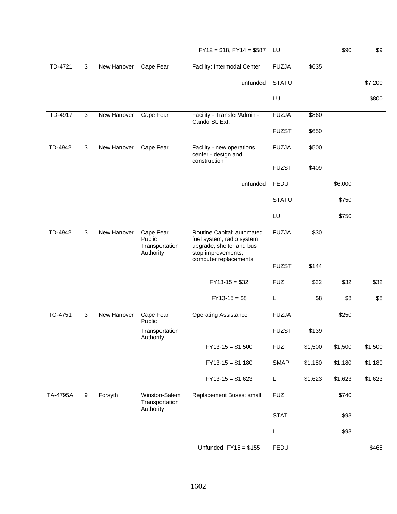| TD-4721  | 3            | New Hanover | Cape Fear                                          | Facility: Intermodal Center                                                                               | <b>FUZJA</b> | \$635   |         |         |
|----------|--------------|-------------|----------------------------------------------------|-----------------------------------------------------------------------------------------------------------|--------------|---------|---------|---------|
|          |              |             |                                                    | unfunded                                                                                                  | <b>STATU</b> |         |         | \$7,200 |
|          |              |             |                                                    |                                                                                                           | LU           |         |         | \$800   |
| TD-4917  | 3            | New Hanover | Cape Fear                                          | Facility - Transfer/Admin -<br>Cando St. Ext.                                                             | <b>FUZJA</b> | \$860   |         |         |
|          |              |             |                                                    |                                                                                                           | <b>FUZST</b> | \$650   |         |         |
| TD-4942  | 3            | New Hanover | Cape Fear                                          | Facility - new operations<br>center - design and                                                          | <b>FUZJA</b> | \$500   |         |         |
|          |              |             |                                                    | construction                                                                                              | <b>FUZST</b> | \$409   |         |         |
|          |              |             |                                                    | unfunded                                                                                                  | <b>FEDU</b>  |         | \$6,000 |         |
|          |              |             |                                                    |                                                                                                           | <b>STATU</b> |         | \$750   |         |
|          |              |             |                                                    |                                                                                                           | LU           |         | \$750   |         |
| TD-4942  | 3            | New Hanover | Cape Fear<br>Public<br>Transportation<br>Authority | Routine Capital: automated<br>fuel system, radio system<br>upgrade, shelter and bus<br>stop improvements, | <b>FUZJA</b> | \$30    |         |         |
|          |              |             |                                                    | computer replacements                                                                                     | <b>FUZST</b> | \$144   |         |         |
|          |              |             |                                                    | $FY13-15 = $32$                                                                                           | <b>FUZ</b>   | \$32    | \$32    | \$32    |
|          |              |             |                                                    | $FY13-15 = $8$                                                                                            | L            | \$8     | \$8     | \$8     |
| TO-4751  | $\mathbf{3}$ | New Hanover | Cape Fear<br>Public                                | <b>Operating Assistance</b>                                                                               | <b>FUZJA</b> |         | \$250   |         |
|          |              |             | Transportation<br>Authority                        |                                                                                                           | <b>FUZST</b> | \$139   |         |         |
|          |              |             |                                                    | $FY13-15 = $1,500$                                                                                        | <b>FUZ</b>   | \$1,500 | \$1,500 | \$1,500 |
|          |              |             |                                                    | $FY13-15 = $1,180$                                                                                        | <b>SMAP</b>  | \$1,180 | \$1,180 | \$1,180 |
|          |              |             |                                                    | $FY13-15 = $1,623$                                                                                        | L            | \$1,623 | \$1,623 | \$1,623 |
| TA-4795A | 9            | Forsyth     | Winston-Salem<br>Transportation<br>Authority       | Replacement Buses: small                                                                                  | <b>FUZ</b>   |         | \$740   |         |
|          |              |             |                                                    |                                                                                                           | <b>STAT</b>  |         | \$93    |         |
|          |              |             |                                                    |                                                                                                           | L            |         | \$93    |         |
|          |              |             |                                                    | Unfunded $FY15 = $155$                                                                                    | <b>FEDU</b>  |         |         | \$465   |

 $FY12 = $18, FY14 = $587$  LU \$90 \$9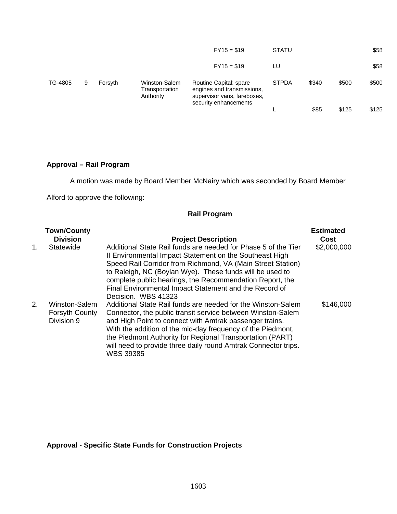|         |   |         |                                              | $FY15 = $19$                                                                                                 | <b>STATU</b> |       |       | \$58  |
|---------|---|---------|----------------------------------------------|--------------------------------------------------------------------------------------------------------------|--------------|-------|-------|-------|
|         |   |         |                                              | $FY15 = $19$                                                                                                 | LU           |       |       | \$58  |
| TG-4805 | 9 | Forsyth | Winston-Salem<br>Transportation<br>Authority | Routine Capital: spare<br>engines and transmissions,<br>supervisor vans, fareboxes,<br>security enhancements | <b>STPDA</b> | \$340 | \$500 | \$500 |
|         |   |         |                                              |                                                                                                              |              | \$85  | \$125 | \$125 |

# **Approval – Rail Program**

A motion was made by Board Member McNairy which was seconded by Board Member

Alford to approve the following:

# **Rail Program**

|    | <b>Town/County</b>                                   |                                                                                                                                                                                                                                                                                                                                                                                                          | <b>Estimated</b> |
|----|------------------------------------------------------|----------------------------------------------------------------------------------------------------------------------------------------------------------------------------------------------------------------------------------------------------------------------------------------------------------------------------------------------------------------------------------------------------------|------------------|
|    | <b>Division</b>                                      | <b>Project Description</b>                                                                                                                                                                                                                                                                                                                                                                               | Cost             |
| 1. | Statewide                                            | Additional State Rail funds are needed for Phase 5 of the Tier<br>II Environmental Impact Statement on the Southeast High<br>Speed Rail Corridor from Richmond, VA (Main Street Station)<br>to Raleigh, NC (Boylan Wye). These funds will be used to<br>complete public hearings, the Recommendation Report, the<br>Final Environmental Impact Statement and the Record of<br>Decision. WBS 41323        | \$2,000,000      |
| 2. | Winston-Salem<br><b>Forsyth County</b><br>Division 9 | Additional State Rail funds are needed for the Winston-Salem<br>Connector, the public transit service between Winston-Salem<br>and High Point to connect with Amtrak passenger trains.<br>With the addition of the mid-day frequency of the Piedmont,<br>the Piedmont Authority for Regional Transportation (PART)<br>will need to provide three daily round Amtrak Connector trips.<br><b>WBS 39385</b> | \$146,000        |

**Approval - Specific State Funds for Construction Projects**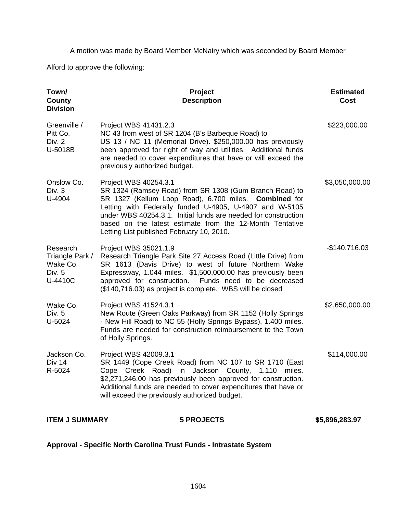A motion was made by Board Member McNairy which was seconded by Board Member

Alford to approve the following:

| Town/<br>County<br><b>Division</b>                           | Project<br><b>Description</b>                                                                                                                                                                                                                                                                                                                                                   | <b>Estimated</b><br><b>Cost</b> |
|--------------------------------------------------------------|---------------------------------------------------------------------------------------------------------------------------------------------------------------------------------------------------------------------------------------------------------------------------------------------------------------------------------------------------------------------------------|---------------------------------|
| Greenville /<br>Pitt Co.<br>Div. 2<br>U-5018B                | Project WBS 41431.2.3<br>NC 43 from west of SR 1204 (B's Barbeque Road) to<br>US 13 / NC 11 (Memorial Drive). \$250,000.00 has previously<br>been approved for right of way and utilities. Additional funds<br>are needed to cover expenditures that have or will exceed the<br>previously authorized budget.                                                                   | \$223,000.00                    |
| Onslow Co.<br>Div. 3<br>U-4904                               | Project WBS 40254.3.1<br>SR 1324 (Ramsey Road) from SR 1308 (Gum Branch Road) to<br>SR 1327 (Kellum Loop Road), 6.700 miles. Combined for<br>Letting with Federally funded U-4905, U-4907 and W-5105<br>under WBS 40254.3.1. Initial funds are needed for construction<br>based on the latest estimate from the 12-Month Tentative<br>Letting List published February 10, 2010. | \$3,050,000.00                  |
| Research<br>Triangle Park /<br>Wake Co.<br>Div. 5<br>U-4410C | Project WBS 35021.1.9<br>Research Triangle Park Site 27 Access Road (Little Drive) from<br>SR 1613 (Davis Drive) to west of future Northern Wake<br>Expressway, 1.044 miles. \$1,500,000.00 has previously been<br>approved for construction.<br>Funds need to be decreased<br>(\$140,716.03) as project is complete. WBS will be closed                                        | $-$140,716.03$                  |
| Wake Co.<br>Div. 5<br>U-5024                                 | Project WBS 41524.3.1<br>New Route (Green Oaks Parkway) from SR 1152 (Holly Springs<br>- New Hill Road) to NC 55 (Holly Springs Bypass), 1.400 miles.<br>Funds are needed for construction reimbursement to the Town<br>of Holly Springs.                                                                                                                                       | \$2,650,000.00                  |
| Jackson Co.<br>Div 14<br>R-5024                              | Project WBS 42009.3.1<br>SR 1449 (Cope Creek Road) from NC 107 to SR 1710 (East<br>Cope Creek Road) in Jackson County, 1.110<br>miles.<br>\$2,271,246.00 has previously been approved for construction.<br>Additional funds are needed to cover expenditures that have or<br>will exceed the previously authorized budget.                                                      | \$114,000.00                    |

**Approval - Specific North Carolina Trust Funds - Intrastate System** 

**ITEM J SUMMARY 5 PROJECTS \$5,896,283.97**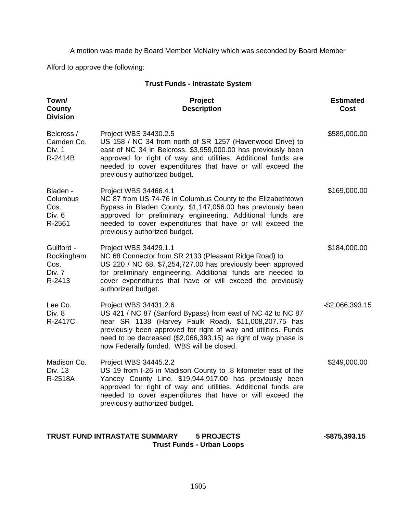A motion was made by Board Member McNairy which was seconded by Board Member

Alford to approve the following:

| <b>Trust Funds - Intrastate System</b>               |                                                                                                                                                                                                                                                                                                                                |                                 |  |  |  |  |
|------------------------------------------------------|--------------------------------------------------------------------------------------------------------------------------------------------------------------------------------------------------------------------------------------------------------------------------------------------------------------------------------|---------------------------------|--|--|--|--|
| Town/<br>County<br><b>Division</b>                   | Project<br><b>Description</b>                                                                                                                                                                                                                                                                                                  | <b>Estimated</b><br><b>Cost</b> |  |  |  |  |
| Belcross /<br>Camden Co.<br>Div. 1<br>R-2414B        | Project WBS 34430.2.5<br>US 158 / NC 34 from north of SR 1257 (Havenwood Drive) to<br>east of NC 34 in Belcross. \$3,959,000.00 has previously been<br>approved for right of way and utilities. Additional funds are<br>needed to cover expenditures that have or will exceed the<br>previously authorized budget.             | \$589,000.00                    |  |  |  |  |
| Bladen -<br>Columbus<br>Cos.<br>Div. 6<br>R-2561     | Project WBS 34466.4.1<br>NC 87 from US 74-76 in Columbus County to the Elizabethtown<br>Bypass in Bladen County. \$1,147,056.00 has previously been<br>approved for preliminary engineering. Additional funds are<br>needed to cover expenditures that have or will exceed the<br>previously authorized budget.                | \$169,000.00                    |  |  |  |  |
| Guilford -<br>Rockingham<br>Cos.<br>Div. 7<br>R-2413 | Project WBS 34429.1.1<br>NC 68 Connector from SR 2133 (Pleasant Ridge Road) to<br>US 220 / NC 68. \$7,254,727.00 has previously been approved<br>for preliminary engineering. Additional funds are needed to<br>cover expenditures that have or will exceed the previously<br>authorized budget.                               | \$184,000.00                    |  |  |  |  |
| Lee Co.<br>Div. 8<br>R-2417C                         | Project WBS 34431.2.6<br>US 421 / NC 87 (Sanford Bypass) from east of NC 42 to NC 87<br>near SR 1138 (Harvey Faulk Road). \$11,008,207.75 has<br>previously been approved for right of way and utilities. Funds<br>need to be decreased (\$2,066,393.15) as right of way phase is<br>now Federally funded. WBS will be closed. | $-$2,066,393.15$                |  |  |  |  |
| Madison Co.<br>Div. 13<br>R-2518A                    | Project WBS 34445.2.2<br>US 19 from I-26 in Madison County to .8 kilometer east of the<br>Yancey County Line. \$19,944,917.00 has previously been<br>approved for right of way and utilities. Additional funds are<br>needed to cover expenditures that have or will exceed the<br>previously authorized budget.               | \$249,000.00                    |  |  |  |  |

# TRUST FUND INTRASTATE SUMMARY 5 PROJECTS 4875,393.15 **Trust Funds - Urban Loops**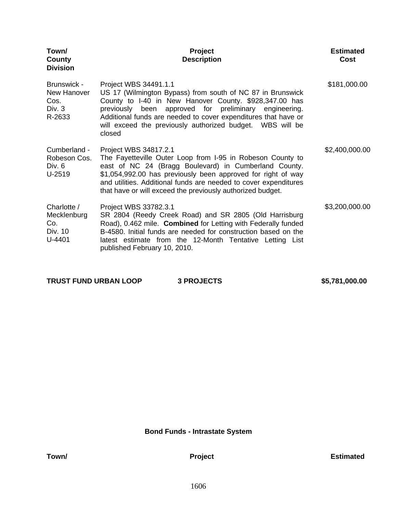| Town/<br>County<br><b>Division</b>                     | Project<br><b>Description</b>                                                                                                                                                                                                                                                                                                                   | <b>Estimated</b><br><b>Cost</b> |
|--------------------------------------------------------|-------------------------------------------------------------------------------------------------------------------------------------------------------------------------------------------------------------------------------------------------------------------------------------------------------------------------------------------------|---------------------------------|
| Brunswick -<br>New Hanover<br>Cos.<br>Div. 3<br>R-2633 | Project WBS 34491.1.1<br>US 17 (Wilmington Bypass) from south of NC 87 in Brunswick<br>County to I-40 in New Hanover County. \$928,347.00 has<br>previously been approved for preliminary engineering.<br>Additional funds are needed to cover expenditures that have or<br>will exceed the previously authorized budget. WBS will be<br>closed | \$181,000.00                    |
| Cumberland -<br>Robeson Cos.<br>Div. 6<br>U-2519       | Project WBS 34817.2.1<br>The Fayetteville Outer Loop from I-95 in Robeson County to<br>east of NC 24 (Bragg Boulevard) in Cumberland County.<br>\$1,054,992.00 has previously been approved for right of way<br>and utilities. Additional funds are needed to cover expenditures<br>that have or will exceed the previously authorized budget.  | \$2,400,000.00                  |
| Charlotte /<br>Mecklenburg<br>Co.<br>Div. 10<br>U-4401 | Project WBS 33782.3.1<br>SR 2804 (Reedy Creek Road) and SR 2805 (Old Harrisburg<br>Road), 0.462 mile. Combined for Letting with Federally funded<br>B-4580. Initial funds are needed for construction based on the<br>latest estimate from the 12-Month Tentative Letting List<br>published February 10, 2010.                                  | \$3,200,000.00                  |

| <b>TRUST FUND URBAN LOOP</b> | <b>3 PROJECTS</b> | \$5,781,000.00 |
|------------------------------|-------------------|----------------|
|                              |                   |                |

**Bond Funds - Intrastate System**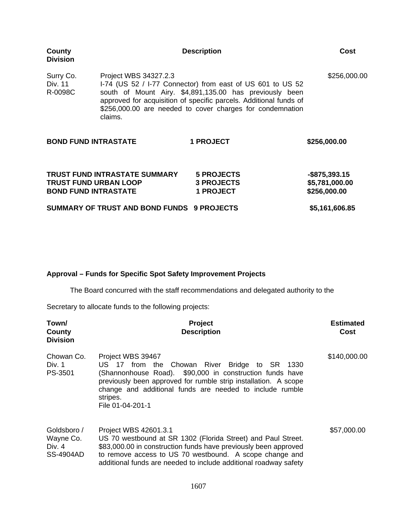| County<br><b>Division</b>                                   |                                            | <b>Description</b>                                                                                                                                                                                                                                      | Cost                                               |
|-------------------------------------------------------------|--------------------------------------------|---------------------------------------------------------------------------------------------------------------------------------------------------------------------------------------------------------------------------------------------------------|----------------------------------------------------|
| Surry Co.<br>Div. 11<br>R-0098C                             | Project WBS 34327.2.3<br>claims.           | I-74 (US 52 / I-77 Connector) from east of US 601 to US 52<br>south of Mount Airy. \$4,891,135.00 has previously been<br>approved for acquisition of specific parcels. Additional funds of<br>\$256,000.00 are needed to cover charges for condemnation | \$256,000.00                                       |
| <b>BOND FUND INTRASTATE</b>                                 |                                            | 1 PROJECT                                                                                                                                                                                                                                               | \$256,000.00                                       |
| <b>TRUST FUND URBAN LOOP</b><br><b>BOND FUND INTRASTATE</b> | <b>TRUST FUND INTRASTATE SUMMARY</b>       | <b>5 PROJECTS</b><br><b>3 PROJECTS</b><br><b>1 PROJECT</b>                                                                                                                                                                                              | $-$ \$875,393.15<br>\$5,781,000.00<br>\$256,000.00 |
|                                                             | SUMMARY OF TRUST AND BOND FUNDS 9 PROJECTS |                                                                                                                                                                                                                                                         | \$5,161,606.85                                     |

# **Approval – Funds for Specific Spot Safety Improvement Projects**

The Board concurred with the staff recommendations and delegated authority to the

Secretary to allocate funds to the following projects:

| Town/<br>County<br><b>Division</b>                | <b>Project</b><br><b>Description</b>                                                                                                                                                                                                                                                          | <b>Estimated</b><br>Cost |
|---------------------------------------------------|-----------------------------------------------------------------------------------------------------------------------------------------------------------------------------------------------------------------------------------------------------------------------------------------------|--------------------------|
| Chowan Co.<br>Div. 1<br>PS-3501                   | Project WBS 39467<br>US 17 from the Chowan River Bridge to SR 1330<br>(Shannonhouse Road). \$90,000 in construction funds have<br>previously been approved for rumble strip installation. A scope<br>change and additional funds are needed to include rumble<br>stripes.<br>File 01-04-201-1 | \$140,000.00             |
| Goldsboro /<br>Wayne Co.<br>Div. $4$<br>SS-4904AD | Project WBS 42601.3.1<br>US 70 westbound at SR 1302 (Florida Street) and Paul Street.<br>\$83,000.00 in construction funds have previously been approved<br>to remove access to US 70 westbound. A scope change and<br>additional funds are needed to include additional roadway safety       | \$57,000.00              |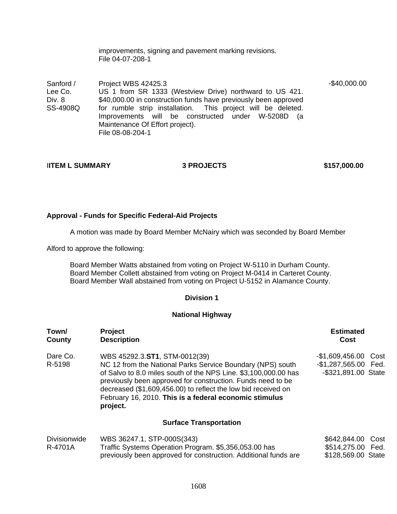improvements, signing and pavement marking revisions. File 04-07-208-1

Sanford / Lee Co. Div. 8 SS-4908Q Project WBS 42425.3 US 1 from SR 1333 (Westview Drive) northward to US 421. \$40,000.00 in construction funds have previously been approved for rumble strip installation. This project will be deleted. Improvements will be constructed under W-5208D (a Maintenance Of Effort project). File 08-08-204-1 -\$40,000.00

# I**ITEM L SUMMARY 3 PROJECTS \$157,000.00**

# **Approval - Funds for Specific Federal-Aid Projects**

A motion was made by Board Member McNairy which was seconded by Board Member

Alford to approve the following:

Board Member Watts abstained from voting on Project W-5110 in Durham County. Board Member Collett abstained from voting on Project M-0414 in Carteret County. Board Member Wall abstained from voting on Project U-5152 in Alamance County.

### **Division 1**

#### **National Highway**

| Town/<br>County                | <b>Project</b><br><b>Description</b>                                                                                                                                                                                                                                                                                                                                 | <b>Estimated</b><br>Cost                                            |
|--------------------------------|----------------------------------------------------------------------------------------------------------------------------------------------------------------------------------------------------------------------------------------------------------------------------------------------------------------------------------------------------------------------|---------------------------------------------------------------------|
| Dare Co.<br>R-5198             | WBS 45292.3.ST1, STM-0012(39)<br>NC 12 from the National Parks Service Boundary (NPS) south<br>of Salvo to 8.0 miles south of the NPS Line. \$3,100,000.00 has<br>previously been approved for construction. Funds need to be<br>decreased (\$1,609,456.00) to reflect the low bid received on<br>February 16, 2010. This is a federal economic stimulus<br>project. | -\$1,609,456.00 Cost<br>-\$1,287,565.00 Fed.<br>-\$321,891.00 State |
|                                | <b>Surface Transportation</b>                                                                                                                                                                                                                                                                                                                                        |                                                                     |
| <b>Divisionwide</b><br>R-4701A | WBS 36247.1, STP-000S(343)<br>Traffic Systems Operation Program. \$5,356,053.00 has<br>previously been approved for construction. Additional funds are                                                                                                                                                                                                               | \$642,844.00 Cost<br>\$514,275.00 Fed.<br>\$128,569.00 State        |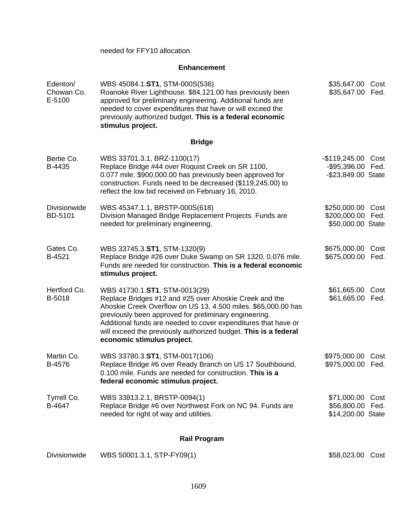needed for FFY10 allocation.

### **Enhancement**

| Edenton/<br>Chowan Co.<br>E-5100 | WBS 45084.1.ST1, STM-000S(536)<br>Roanoke River Lighthouse. \$84,121.00 has previously been<br>approved for preliminary engineering. Additional funds are<br>needed to cover expenditures that have or will exceed the<br>previously authorized budget. This is a federal economic<br>stimulus project.                                                                              | \$35,647.00<br>\$35,647.00                                | Cost<br>Fed. |
|----------------------------------|--------------------------------------------------------------------------------------------------------------------------------------------------------------------------------------------------------------------------------------------------------------------------------------------------------------------------------------------------------------------------------------|-----------------------------------------------------------|--------------|
|                                  | <b>Bridge</b>                                                                                                                                                                                                                                                                                                                                                                        |                                                           |              |
| Bertie Co.<br>B-4435             | WBS 33701.3.1, BRZ-1100(17)<br>Replace Bridge #44 over Roquist Creek on SR 1100,<br>0.077 mile. \$900,000.00 has previously been approved for<br>construction. Funds need to be decreased (\$119,245.00) to<br>reflect the low bid received on February 16, 2010.                                                                                                                    | $-$119,245.00$<br>-\$95,396.00 Fed.<br>-\$23,849.00 State | Cost         |
| <b>Divisionwide</b><br>BD-5101   | WBS 45347.1.1, BRSTP-000S(618)<br>Division Managed Bridge Replacement Projects. Funds are<br>needed for preliminary engineering.                                                                                                                                                                                                                                                     | \$250,000.00<br>\$200,000.00 Fed.<br>\$50,000.00 State    | Cost         |
| Gates Co.<br>B-4521              | WBS 33745.3.ST1, STM-1320(9)<br>Replace Bridge #26 over Duke Swamp on SR 1320, 0.076 mile.<br>Funds are needed for construction. This is a federal economic<br>stimulus project.                                                                                                                                                                                                     | \$675,000.00<br>\$675,000.00                              | Cost<br>Fed. |
| Hertford Co.<br>B-5018           | WBS 41730.1.ST1, STM-0013(29)<br>Replace Bridges #12 and #25 over Ahoskie Creek and the<br>Ahoskie Creek Overflow on US 13, 4.500 miles. \$65,000.00 has<br>previously been approved for preliminary engineering.<br>Additional funds are needed to cover expenditures that have or<br>will exceed the previously authorized budget. This is a federal<br>economic stimulus project. | \$61,665.00<br>\$61,665.00                                | Cost<br>Fed. |
| Martin Co.<br>B-4576             | WBS 33780.3.ST1, STM-0017(106)<br>Replace Bridge #6 over Ready Branch on US 17 Southbound,<br>0.100 mile. Funds are needed for construction. This is a<br>federal economic stimulus project.                                                                                                                                                                                         | \$975,000.00<br>\$975,000.00                              | Cost<br>Fed. |
| Tyrrell Co.<br>B-4647            | WBS 33813.2.1, BRSTP-0094(1)<br>Replace Bridge #6 over Northwest Fork on NC 94. Funds are<br>needed for right of way and utilities.                                                                                                                                                                                                                                                  | \$71,000.00 Cost<br>\$56,800.00 Fed.<br>\$14,200.00 State |              |
|                                  | <b>Rail Program</b>                                                                                                                                                                                                                                                                                                                                                                  |                                                           |              |
|                                  |                                                                                                                                                                                                                                                                                                                                                                                      |                                                           |              |

Divisionwide WBS 50001.3.1, STP-FY09(1) 658,023.00 Cost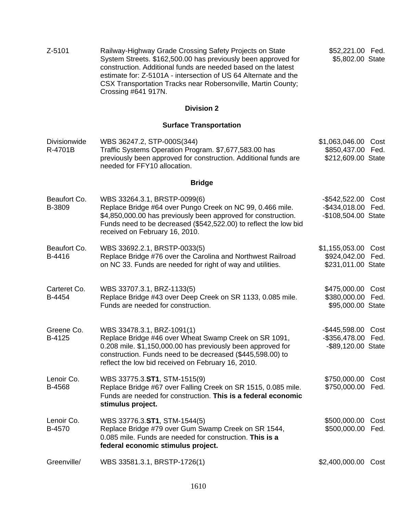Z-5101 Railway-Highway Grade Crossing Safety Projects on State System Streets. \$162,500.00 has previously been approved for construction. Additional funds are needed based on the latest estimate for: Z-5101A - intersection of US 64 Alternate and the CSX Transportation Tracks near Robersonville, Martin County; Crossing #641 917N. \$52,221.00 Fed. \$5,802.00 State **Division 2 Surface Transportation Divisionwide** R-4701B WBS 36247.2, STP-000S(344) Traffic Systems Operation Program. \$7,677,583.00 has previously been approved for construction. Additional funds are needed for FFY10 allocation. \$1,063,046.00 Cost \$850,437.00 Fed. \$212,609.00 State **Bridge**  Beaufort Co. B-3809 WBS 33264.3.1, BRSTP-0099(6) Replace Bridge #64 over Pungo Creek on NC 99, 0.466 mile. \$4,850,000.00 has previously been approved for construction. Funds need to be decreased (\$542,522.00) to reflect the low bid received on February 16, 2010. -\$542,522.00 Cost -\$434,018.00 Fed. -\$108,504.00 State Beaufort Co. B-4416 WBS 33692.2.1, BRSTP-0033(5) Replace Bridge #76 over the Carolina and Northwest Railroad on NC 33. Funds are needed for right of way and utilities. \$1,155,053.00 Cost \$924,042.00 Fed. \$231,011.00 State Carteret Co. B-4454 WBS 33707.3.1, BRZ-1133(5) Replace Bridge #43 over Deep Creek on SR 1133, 0.085 mile. Funds are needed for construction. \$475,000.00 Cost \$380,000.00 Fed. \$95,000.00 State Greene Co. B-4125 WBS 33478.3.1, BRZ-1091(1) Replace Bridge #46 over Wheat Swamp Creek on SR 1091, 0.208 mile. \$1,150,000.00 has previously been approved for construction. Funds need to be decreased (\$445,598.00) to reflect the low bid received on February 16, 2010. -\$445,598.00 Cost -\$356,478.00 Fed. -\$89,120.00 State Lenoir Co. B-4568 WBS 33775.3.**ST1**, STM-1515(9) Replace Bridge #67 over Falling Creek on SR 1515, 0.085 mile. Funds are needed for construction. **This is a federal economic stimulus project.** \$750,000.00 Cost \$750,000.00 Fed. Lenoir Co. B-4570 WBS 33776.3.**ST1**, STM-1544(5) Replace Bridge #79 over Gum Swamp Creek on SR 1544, 0.085 mile. Funds are needed for construction. **This is a federal economic stimulus project.** \$500,000.00 Cost \$500,000.00 Fed. Greenville/ WBS 33581.3.1, BRSTP-1726(1) \$2,400,000.00 Cost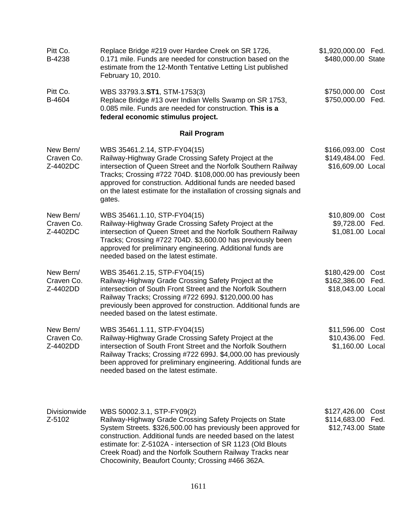| Pitt Co.<br>B-4238                  | Replace Bridge #219 over Hardee Creek on SR 1726,<br>0.171 mile. Funds are needed for construction based on the<br>estimate from the 12-Month Tentative Letting List published<br>February 10, 2010.                                                                                                                                                                                                    | \$1,920,000.00 Fed.<br>\$480,000.00 State                      |
|-------------------------------------|---------------------------------------------------------------------------------------------------------------------------------------------------------------------------------------------------------------------------------------------------------------------------------------------------------------------------------------------------------------------------------------------------------|----------------------------------------------------------------|
| Pitt Co.<br>B-4604                  | WBS 33793.3.ST1, STM-1753(3)<br>Replace Bridge #13 over Indian Wells Swamp on SR 1753,<br>0.085 mile. Funds are needed for construction. This is a<br>federal economic stimulus project.                                                                                                                                                                                                                | \$750,000.00 Cost<br>\$750,000.00 Fed.                         |
|                                     | <b>Rail Program</b>                                                                                                                                                                                                                                                                                                                                                                                     |                                                                |
| New Bern/<br>Craven Co.<br>Z-4402DC | WBS 35461.2.14, STP-FY04(15)<br>Railway-Highway Grade Crossing Safety Project at the<br>intersection of Queen Street and the Norfolk Southern Railway<br>Tracks; Crossing #722 704D. \$108,000.00 has previously been<br>approved for construction. Additional funds are needed based<br>on the latest estimate for the installation of crossing signals and<br>gates.                                  | \$166,093.00<br>Cost<br>\$149,484.00 Fed.<br>\$16,609.00 Local |
| New Bern/<br>Craven Co.<br>Z-4402DC | WBS 35461.1.10, STP-FY04(15)<br>Railway-Highway Grade Crossing Safety Project at the<br>intersection of Queen Street and the Norfolk Southern Railway<br>Tracks; Crossing #722 704D. \$3,600.00 has previously been<br>approved for preliminary engineering. Additional funds are<br>needed based on the latest estimate.                                                                               | \$10,809.00 Cost<br>\$9,728.00 Fed.<br>\$1,081.00 Local        |
| New Bern/<br>Craven Co.<br>Z-4402DD | WBS 35461.2.15, STP-FY04(15)<br>Railway-Highway Grade Crossing Safety Project at the<br>intersection of South Front Street and the Norfolk Southern<br>Railway Tracks; Crossing #722 699J. \$120,000.00 has<br>previously been approved for construction. Additional funds are<br>needed based on the latest estimate.                                                                                  | \$180,429.00<br>Cost<br>\$162,386.00 Fed.<br>\$18,043.00 Local |
| New Bern/<br>Craven Co.<br>Z-4402DD | WBS 35461.1.11, STP-FY04(15)<br>Railway-Highway Grade Crossing Safety Project at the<br>intersection of South Front Street and the Norfolk Southern<br>Railway Tracks; Crossing #722 699J. \$4,000.00 has previously<br>been approved for preliminary engineering. Additional funds are<br>needed based on the latest estimate.                                                                         | \$11,596.00 Cost<br>\$10,436.00 Fed.<br>\$1,160.00 Local       |
| <b>Divisionwide</b><br>Z-5102       | WBS 50002.3.1, STP-FY09(2)<br>Railway-Highway Grade Crossing Safety Projects on State<br>System Streets. \$326,500.00 has previously been approved for<br>construction. Additional funds are needed based on the latest<br>estimate for: Z-5102A - intersection of SR 1123 (Old Blouts<br>Creek Road) and the Norfolk Southern Railway Tracks near<br>Chocowinity, Beaufort County; Crossing #466 362A. | \$127,426.00<br>Cost<br>\$114,683.00 Fed.<br>\$12,743.00 State |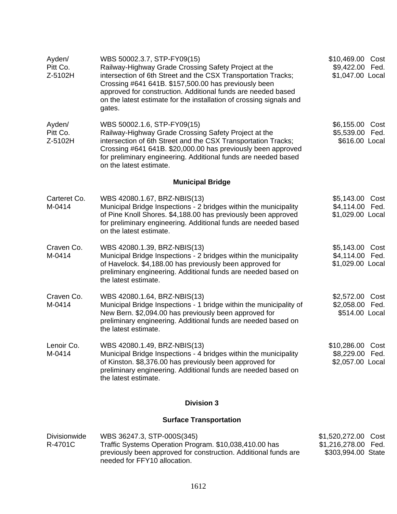| Ayden/<br>Pitt Co.<br>Z-5102H  | WBS 50002.3.7, STP-FY09(15)<br>Railway-Highway Grade Crossing Safety Project at the<br>intersection of 6th Street and the CSX Transportation Tracks;<br>Crossing #641 641B. \$157,500.00 has previously been<br>approved for construction. Additional funds are needed based<br>on the latest estimate for the installation of crossing signals and<br>gates. | \$10,469.00 Cost<br>\$9,422.00 Fed.<br>\$1,047.00 Local          |
|--------------------------------|---------------------------------------------------------------------------------------------------------------------------------------------------------------------------------------------------------------------------------------------------------------------------------------------------------------------------------------------------------------|------------------------------------------------------------------|
| Ayden/<br>Pitt Co.<br>Z-5102H  | WBS 50002.1.6, STP-FY09(15)<br>Railway-Highway Grade Crossing Safety Project at the<br>intersection of 6th Street and the CSX Transportation Tracks;<br>Crossing #641 641B. \$20,000.00 has previously been approved<br>for preliminary engineering. Additional funds are needed based<br>on the latest estimate.                                             | \$6,155.00 Cost<br>\$5,539.00 Fed.<br>\$616.00 Local             |
|                                | <b>Municipal Bridge</b>                                                                                                                                                                                                                                                                                                                                       |                                                                  |
| Carteret Co.<br>M-0414         | WBS 42080.1.67, BRZ-NBIS(13)<br>Municipal Bridge Inspections - 2 bridges within the municipality<br>of Pine Knoll Shores. \$4,188.00 has previously been approved<br>for preliminary engineering. Additional funds are needed based<br>on the latest estimate.                                                                                                | \$5,143.00 Cost<br>\$4,114.00 Fed.<br>\$1,029.00 Local           |
| Craven Co.<br>M-0414           | WBS 42080.1.39, BRZ-NBIS(13)<br>Municipal Bridge Inspections - 2 bridges within the municipality<br>of Havelock. \$4,188.00 has previously been approved for<br>preliminary engineering. Additional funds are needed based on<br>the latest estimate.                                                                                                         | \$5,143.00 Cost<br>\$4,114.00 Fed.<br>\$1,029.00 Local           |
| Craven Co.<br>M-0414           | WBS 42080.1.64, BRZ-NBIS(13)<br>Municipal Bridge Inspections - 1 bridge within the municipality of<br>New Bern. \$2,094.00 has previously been approved for<br>preliminary engineering. Additional funds are needed based on<br>the latest estimate.                                                                                                          | \$2,572.00 Cost<br>\$2,058.00 Fed.<br>\$514.00 Local             |
| Lenoir Co.<br>M-0414           | WBS 42080.1.49, BRZ-NBIS(13)<br>Municipal Bridge Inspections - 4 bridges within the municipality<br>of Kinston. \$8,376.00 has previously been approved for<br>preliminary engineering. Additional funds are needed based on<br>the latest estimate.                                                                                                          | \$10,286.00 Cost<br>\$8,229.00 Fed.<br>\$2,057.00 Local          |
|                                | <b>Division 3</b>                                                                                                                                                                                                                                                                                                                                             |                                                                  |
|                                | <b>Surface Transportation</b>                                                                                                                                                                                                                                                                                                                                 |                                                                  |
| <b>Divisionwide</b><br>R-4701C | WBS 36247.3, STP-000S(345)<br>Traffic Systems Operation Program. \$10,038,410.00 has<br>previously been approved for construction. Additional funds are<br>needed for FFY10 allocation.                                                                                                                                                                       | \$1,520,272.00 Cost<br>\$1,216,278.00 Fed.<br>\$303,994.00 State |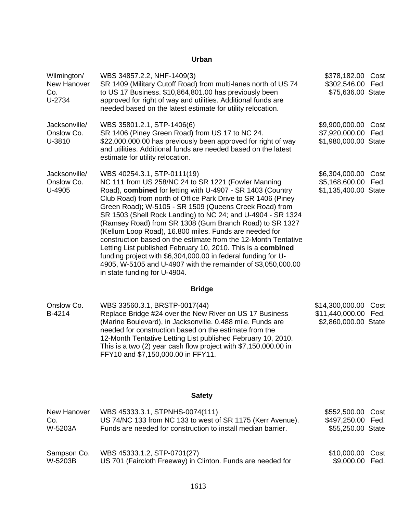#### **Urban**

| Wilmington/<br>New Hanover<br>Co.<br>U-2734 | WBS 34857.2.2, NHF-1409(3)<br>SR 1409 (Military Cutoff Road) from multi-lanes north of US 74<br>to US 17 Business. \$10,864,801.00 has previously been<br>approved for right of way and utilities. Additional funds are<br>needed based on the latest estimate for utility relocation.                                                                                                                                                                                                                                                                                                                                                                                                                                                                            | \$378,182.00<br>\$302,546.00<br>\$75,636.00 State          | Cost<br>Fed. |
|---------------------------------------------|-------------------------------------------------------------------------------------------------------------------------------------------------------------------------------------------------------------------------------------------------------------------------------------------------------------------------------------------------------------------------------------------------------------------------------------------------------------------------------------------------------------------------------------------------------------------------------------------------------------------------------------------------------------------------------------------------------------------------------------------------------------------|------------------------------------------------------------|--------------|
| Jacksonville/<br>Onslow Co.<br>U-3810       | WBS 35801.2.1, STP-1406(6)<br>SR 1406 (Piney Green Road) from US 17 to NC 24.<br>\$22,000,000.00 has previously been approved for right of way<br>and utilities. Additional funds are needed based on the latest<br>estimate for utility relocation.                                                                                                                                                                                                                                                                                                                                                                                                                                                                                                              | \$9,900,000.00<br>\$7,920,000.00<br>\$1,980,000.00 State   | Cost<br>Fed. |
| Jacksonville/<br>Onslow Co.<br>U-4905       | WBS 40254.3.1, STP-0111(19)<br>NC 111 from US 258/NC 24 to SR 1221 (Fowler Manning<br>Road), combined for letting with U-4907 - SR 1403 (Country<br>Club Road) from north of Office Park Drive to SR 1406 (Piney<br>Green Road); W-5105 - SR 1509 (Queens Creek Road) from<br>SR 1503 (Shell Rock Landing) to NC 24; and U-4904 - SR 1324<br>(Ramsey Road) from SR 1308 (Gum Branch Road) to SR 1327<br>(Kellum Loop Road), 16.800 miles. Funds are needed for<br>construction based on the estimate from the 12-Month Tentative<br>Letting List published February 10, 2010. This is a combined<br>funding project with \$6,304,000.00 in federal funding for U-<br>4905, W-5105 and U-4907 with the remainder of \$3,050,000.00<br>in state funding for U-4904. | \$6,304,000.00<br>\$5,168,600.00<br>\$1,135,400.00 State   | Cost<br>Fed. |
|                                             | <b>Bridge</b>                                                                                                                                                                                                                                                                                                                                                                                                                                                                                                                                                                                                                                                                                                                                                     |                                                            |              |
| Onslow Co.<br>B-4214                        | WBS 33560.3.1, BRSTP-0017(44)<br>Replace Bridge #24 over the New River on US 17 Business<br>(Marine Boulevard), in Jacksonville. 0.488 mile. Funds are<br>needed for construction based on the estimate from the<br>12-Month Tentative Letting List published February 10, 2010.                                                                                                                                                                                                                                                                                                                                                                                                                                                                                  | \$14,300,000.00<br>\$11,440,000.00<br>\$2,860,000.00 State | Cost<br>Fed. |

## **Safety**

This is a two (2) year cash flow project with \$7,150,000.00 in

FFY10 and \$7,150,000.00 in FFY11.

| New Hanover | WBS 45333.3.1, STPNHS-0074(111)                              | \$552,500.00 Cost |  |
|-------------|--------------------------------------------------------------|-------------------|--|
| Co.         | US 74/NC 133 from NC 133 to west of SR 1175 (Kerr Avenue).   | \$497,250.00 Fed. |  |
| W-5203A     | Funds are needed for construction to install median barrier. | \$55,250.00 State |  |
| Sampson Co. | WBS 45333.1.2, STP-0701(27)                                  | \$10,000.00 Cost  |  |
| W-5203B     | US 701 (Faircloth Freeway) in Clinton. Funds are needed for  | \$9,000.00 Fed.   |  |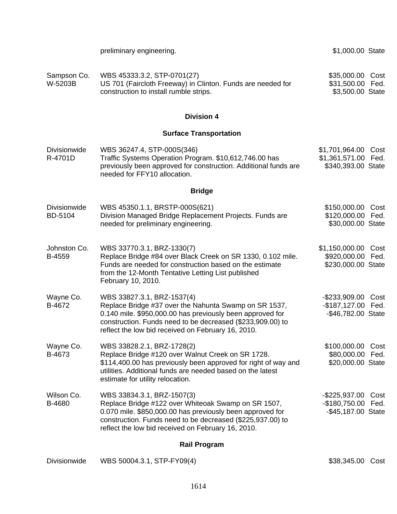|                                | preliminary engineering.                                                                                                                                                                                                                                             | \$1,000.00 State                                                 |              |
|--------------------------------|----------------------------------------------------------------------------------------------------------------------------------------------------------------------------------------------------------------------------------------------------------------------|------------------------------------------------------------------|--------------|
| Sampson Co.<br>W-5203B         | WBS 45333.3.2, STP-0701(27)<br>US 701 (Faircloth Freeway) in Clinton. Funds are needed for<br>construction to install rumble strips.                                                                                                                                 | \$35,000.00<br>\$31,500.00<br>\$3,500.00 State                   | Cost<br>Fed. |
|                                | <b>Division 4</b>                                                                                                                                                                                                                                                    |                                                                  |              |
|                                | <b>Surface Transportation</b>                                                                                                                                                                                                                                        |                                                                  |              |
| <b>Divisionwide</b><br>R-4701D | WBS 36247.4, STP-000S(346)<br>Traffic Systems Operation Program. \$10,612,746.00 has<br>previously been approved for construction. Additional funds are<br>needed for FFY10 allocation.                                                                              | \$1,701,964.00 Cost<br>\$1,361,571.00 Fed.<br>\$340,393.00 State |              |
|                                | <b>Bridge</b>                                                                                                                                                                                                                                                        |                                                                  |              |
| <b>Divisionwide</b><br>BD-5104 | WBS 45350.1.1, BRSTP-000S(621)<br>Division Managed Bridge Replacement Projects. Funds are<br>needed for preliminary engineering.                                                                                                                                     | \$150,000.00<br>\$120,000.00<br>\$30,000.00 State                | Cost<br>Fed. |
| Johnston Co.<br>B-4559         | WBS 33770.3.1, BRZ-1330(7)<br>Replace Bridge #84 over Black Creek on SR 1330, 0.102 mile.<br>Funds are needed for construction based on the estimate<br>from the 12-Month Tentative Letting List published<br>February 10, 2010.                                     | \$1,150,000.00<br>\$920,000.00 Fed.<br>\$230,000.00 State        | Cost         |
| Wayne Co.<br>B-4672            | WBS 33827.3.1, BRZ-1537(4)<br>Replace Bridge #37 over the Nahunta Swamp on SR 1537,<br>0.140 mile. \$950,000.00 has previously been approved for<br>construction. Funds need to be decreased (\$233,909.00) to<br>reflect the low bid received on February 16, 2010. | -\$233,909.00<br>-\$187,127.00 Fed.<br>-\$46,782.00 State        | Cost         |
| Wayne Co.<br>B-4673            | WBS 33828.2.1, BRZ-1728(2)<br>Replace Bridge #120 over Walnut Creek on SR 1728.<br>\$114,400.00 has previously been approved for right of way and<br>utilities. Additional funds are needed based on the latest<br>estimate for utility relocation.                  | \$100,000.00<br>\$80,000.00 Fed.<br>\$20,000.00 State            | Cost         |
| Wilson Co.<br>B-4680           | WBS 33834.3.1, BRZ-1507(3)<br>Replace Bridge #122 over Whiteoak Swamp on SR 1507,<br>0.070 mile. \$850,000.00 has previously been approved for<br>construction. Funds need to be decreased (\$225,937.00) to<br>reflect the low bid received on February 16, 2010.   | -\$225,937.00<br>-\$180,750.00 Fed.<br>-\$45,187.00 State        | Cost         |
|                                | <b>Rail Program</b>                                                                                                                                                                                                                                                  |                                                                  |              |
| Divisionwide                   | WBS 50004.3.1, STP-FY09(4)                                                                                                                                                                                                                                           | \$38,345.00 Cost                                                 |              |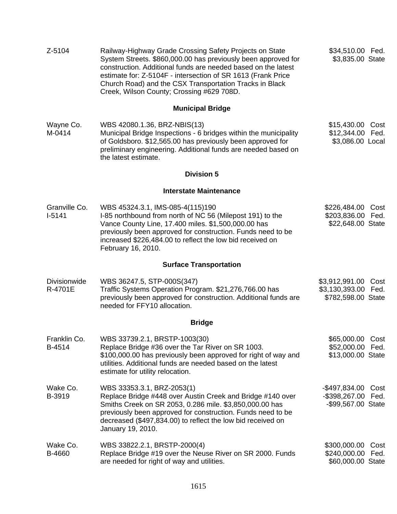| Z-5104                         | Railway-Highway Grade Crossing Safety Projects on State<br>System Streets. \$860,000.00 has previously been approved for<br>construction. Additional funds are needed based on the latest<br>estimate for: Z-5104F - intersection of SR 1613 (Frank Price<br>Church Road) and the CSX Transportation Tracks in Black<br>Creek, Wilson County; Crossing #629 708D. | \$34,510.00 Fed.<br>\$3,835.00 State                             |              |
|--------------------------------|-------------------------------------------------------------------------------------------------------------------------------------------------------------------------------------------------------------------------------------------------------------------------------------------------------------------------------------------------------------------|------------------------------------------------------------------|--------------|
|                                | <b>Municipal Bridge</b>                                                                                                                                                                                                                                                                                                                                           |                                                                  |              |
| Wayne Co.<br>M-0414            | WBS 42080.1.36, BRZ-NBIS(13)<br>Municipal Bridge Inspections - 6 bridges within the municipality<br>of Goldsboro. \$12,565.00 has previously been approved for<br>preliminary engineering. Additional funds are needed based on<br>the latest estimate.                                                                                                           | \$15,430.00<br>\$12,344.00 Fed.<br>\$3,086.00 Local              | Cost         |
|                                | <b>Division 5</b>                                                                                                                                                                                                                                                                                                                                                 |                                                                  |              |
|                                | <b>Interstate Maintenance</b>                                                                                                                                                                                                                                                                                                                                     |                                                                  |              |
| Granville Co.<br>$I-5141$      | WBS 45324.3.1, IMS-085-4(115)190<br>I-85 northbound from north of NC 56 (Milepost 191) to the<br>Vance County Line, 17.400 miles. \$1,500,000.00 has<br>previously been approved for construction. Funds need to be<br>increased \$226,484.00 to reflect the low bid received on<br>February 16, 2010.                                                            | \$226,484.00 Cost<br>\$203,836.00 Fed.<br>\$22,648.00 State      |              |
|                                | <b>Surface Transportation</b>                                                                                                                                                                                                                                                                                                                                     |                                                                  |              |
| <b>Divisionwide</b><br>R-4701E | WBS 36247.5, STP-000S(347)<br>Traffic Systems Operation Program. \$21,276,766.00 has<br>previously been approved for construction. Additional funds are<br>needed for FFY10 allocation.                                                                                                                                                                           | \$3,912,991.00 Cost<br>\$3,130,393.00 Fed.<br>\$782,598.00 State |              |
|                                | <b>Bridge</b>                                                                                                                                                                                                                                                                                                                                                     |                                                                  |              |
| Franklin Co.<br>B-4514         | WBS 33739.2.1, BRSTP-1003(30)<br>Replace Bridge #36 over the Tar River on SR 1003.<br>\$100,000.00 has previously been approved for right of way and<br>utilities. Additional funds are needed based on the latest<br>estimate for utility relocation.                                                                                                            | \$65,000.00 Cost<br>\$52,000.00<br>\$13,000.00 State             | Fed.         |
| Wake Co.<br>B-3919             | WBS 33353.3.1, BRZ-2053(1)<br>Replace Bridge #448 over Austin Creek and Bridge #140 over<br>Smiths Creek on SR 2053, 0.286 mile. \$3,850,000.00 has<br>previously been approved for construction. Funds need to be<br>decreased (\$497,834.00) to reflect the low bid received on<br>January 19, 2010.                                                            | -\$497,834.00 Cost<br>-\$398,267.00 Fed.<br>-\$99,567.00 State   |              |
| Wake Co.<br>B-4660             | WBS 33822.2.1, BRSTP-2000(4)<br>Replace Bridge #19 over the Neuse River on SR 2000. Funds<br>are needed for right of way and utilities.                                                                                                                                                                                                                           | \$300,000.00<br>\$240,000.00<br>\$60,000.00 State                | Cost<br>Fed. |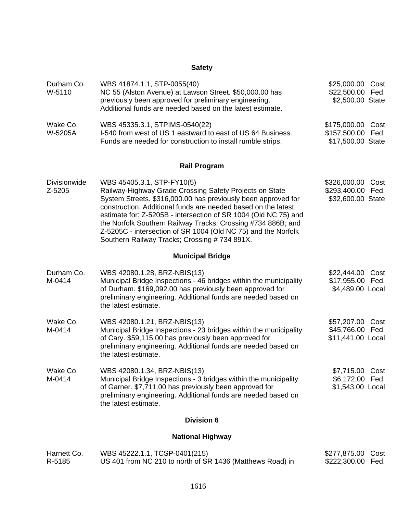# **Safety**

| Durham Co.<br>W-5110    | WBS 41874.1.1, STP-0055(40)<br>NC 55 (Alston Avenue) at Lawson Street. \$50,000.00 has<br>previously been approved for preliminary engineering.<br>Additional funds are needed based on the latest estimate.                                                                                                                                                                                                                                                                | \$25,000.00 Cost<br>\$22,500.00 Fed.<br>\$2,500.00 State  |              |
|-------------------------|-----------------------------------------------------------------------------------------------------------------------------------------------------------------------------------------------------------------------------------------------------------------------------------------------------------------------------------------------------------------------------------------------------------------------------------------------------------------------------|-----------------------------------------------------------|--------------|
| Wake Co.<br>W-5205A     | WBS 45335.3.1, STPIMS-0540(22)<br>I-540 from west of US 1 eastward to east of US 64 Business.<br>Funds are needed for construction to install rumble strips.                                                                                                                                                                                                                                                                                                                | \$175,000.00<br>\$157,500.00<br>\$17,500.00 State         | Cost<br>Fed. |
|                         | <b>Rail Program</b>                                                                                                                                                                                                                                                                                                                                                                                                                                                         |                                                           |              |
| Divisionwide<br>Z-5205  | WBS 45405.3.1, STP-FY10(5)<br>Railway-Highway Grade Crossing Safety Projects on State<br>System Streets. \$316,000.00 has previously been approved for<br>construction. Additional funds are needed based on the latest<br>estimate for: Z-5205B - intersection of SR 1004 (Old NC 75) and<br>the Norfolk Southern Railway Tracks; Crossing #734 886B; and<br>Z-5205C - intersection of SR 1004 (Old NC 75) and the Norfolk<br>Southern Railway Tracks; Crossing #734 891X. | \$326,000.00<br>\$293,400.00<br>\$32,600.00 State         | Cost<br>Fed. |
|                         | <b>Municipal Bridge</b>                                                                                                                                                                                                                                                                                                                                                                                                                                                     |                                                           |              |
| Durham Co.<br>M-0414    | WBS 42080.1.28, BRZ-NBIS(13)<br>Municipal Bridge Inspections - 46 bridges within the municipality<br>of Durham. \$169,092.00 has previously been approved for<br>preliminary engineering. Additional funds are needed based on<br>the latest estimate.                                                                                                                                                                                                                      | \$22,444.00<br>\$17,955.00<br>\$4,489.00 Local            | Cost<br>Fed. |
| Wake Co.<br>M-0414      | WBS 42080.1.21, BRZ-NBIS(13)<br>Municipal Bridge Inspections - 23 bridges within the municipality<br>of Cary. \$59,115.00 has previously been approved for<br>preliminary engineering. Additional funds are needed based on<br>the latest estimate.                                                                                                                                                                                                                         | \$57,207.00 Cost<br>\$45,766.00 Fed.<br>\$11,441.00 Local |              |
| Wake Co.<br>M-0414      | WBS 42080.1.34, BRZ-NBIS(13)<br>Municipal Bridge Inspections - 3 bridges within the municipality<br>of Garner. \$7,711.00 has previously been approved for<br>preliminary engineering. Additional funds are needed based on<br>the latest estimate.                                                                                                                                                                                                                         | \$7,715.00 Cost<br>\$6,172.00<br>\$1,543.00 Local         | Fed.         |
| <b>Division 6</b>       |                                                                                                                                                                                                                                                                                                                                                                                                                                                                             |                                                           |              |
| <b>National Highway</b> |                                                                                                                                                                                                                                                                                                                                                                                                                                                                             |                                                           |              |

| Harnett Co. | WBS 45222.1.1, TCSP-0401(215)                             | \$277,875.00 Cost |  |
|-------------|-----------------------------------------------------------|-------------------|--|
| R-5185      | US 401 from NC 210 to north of SR 1436 (Matthews Road) in | \$222,300.00 Fed. |  |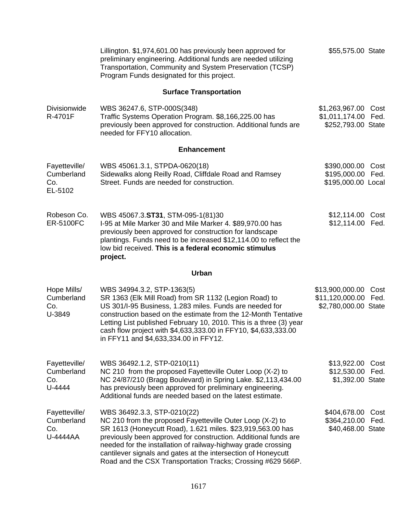|                                                | Lillington. \$1,974,601.00 has previously been approved for<br>preliminary engineering. Additional funds are needed utilizing<br>Transportation, Community and System Preservation (TCSP)<br>Program Funds designated for this project.                                                                                                                                                                                    | \$55,575.00 State                                                       |  |
|------------------------------------------------|----------------------------------------------------------------------------------------------------------------------------------------------------------------------------------------------------------------------------------------------------------------------------------------------------------------------------------------------------------------------------------------------------------------------------|-------------------------------------------------------------------------|--|
|                                                | <b>Surface Transportation</b>                                                                                                                                                                                                                                                                                                                                                                                              |                                                                         |  |
| <b>Divisionwide</b><br>R-4701F                 | WBS 36247.6, STP-000S(348)<br>Traffic Systems Operation Program. \$8,166,225.00 has<br>previously been approved for construction. Additional funds are<br>needed for FFY10 allocation.                                                                                                                                                                                                                                     | \$1,263,967.00 Cost<br>\$1,011,174.00 Fed.<br>\$252,793.00 State        |  |
|                                                | <b>Enhancement</b>                                                                                                                                                                                                                                                                                                                                                                                                         |                                                                         |  |
| Fayetteville/<br>Cumberland<br>Co.<br>EL-5102  | WBS 45061.3.1, STPDA-0620(18)<br>Sidewalks along Reilly Road, Cliffdale Road and Ramsey<br>Street. Funds are needed for construction.                                                                                                                                                                                                                                                                                      | \$390,000.00<br>Cost<br>\$195,000.00 Fed.<br>\$195,000.00 Local         |  |
| Robeson Co.<br><b>ER-5100FC</b>                | WBS 45067.3.ST31, STM-095-1(81)30<br>I-95 at Mile Marker 30 and Mile Marker 4. \$89,970.00 has<br>previously been approved for construction for landscape<br>plantings. Funds need to be increased \$12,114.00 to reflect the<br>low bid received. This is a federal economic stimulus<br>project.                                                                                                                         | \$12,114.00 Cost<br>\$12,114.00 Fed.                                    |  |
|                                                | Urban                                                                                                                                                                                                                                                                                                                                                                                                                      |                                                                         |  |
| Hope Mills/<br>Cumberland<br>Co.<br>U-3849     | WBS 34994.3.2, STP-1363(5)<br>SR 1363 (Elk Mill Road) from SR 1132 (Legion Road) to<br>US 301/I-95 Business, 1.283 miles. Funds are needed for<br>construction based on the estimate from the 12-Month Tentative<br>Letting List published February 10, 2010. This is a three (3) year<br>cash flow project with \$4,633,333.00 in FFY10, \$4,633,333.00<br>in FFY11 and \$4,633,334.00 in FFY12.                          | \$13,900,000.00<br>Cost<br>\$11,120,000.00 Fed.<br>\$2,780,000.00 State |  |
| Fayetteville/<br>Cumberland<br>Co.<br>U-4444   | WBS 36492.1.2, STP-0210(11)<br>NC 210 from the proposed Fayetteville Outer Loop (X-2) to<br>NC 24/87/210 (Bragg Boulevard) in Spring Lake. \$2,113,434.00<br>has previously been approved for preliminary engineering.<br>Additional funds are needed based on the latest estimate.                                                                                                                                        | \$13,922.00<br>Cost<br>\$12,530.00 Fed.<br>\$1,392.00 State             |  |
| Fayetteville/<br>Cumberland<br>Co.<br>U-4444AA | WBS 36492.3.3, STP-0210(22)<br>NC 210 from the proposed Fayetteville Outer Loop (X-2) to<br>SR 1613 (Honeycutt Road), 1.621 miles. \$23,919,563.00 has<br>previously been approved for construction. Additional funds are<br>needed for the installation of railway-highway grade crossing<br>cantilever signals and gates at the intersection of Honeycutt<br>Road and the CSX Transportation Tracks; Crossing #629 566P. | \$404,678.00<br>Cost<br>\$364,210.00<br>Fed.<br>\$40,468.00 State       |  |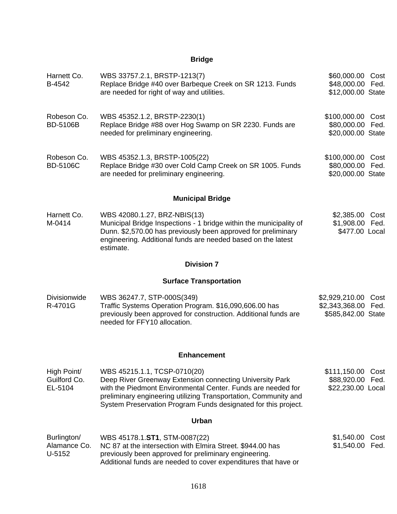# **Bridge**

| Harnett Co.<br>B-4542                  | WBS 33757.2.1, BRSTP-1213(7)<br>Replace Bridge #40 over Barbeque Creek on SR 1213. Funds<br>are needed for right of way and utilities.                                                                                                                                                        | \$60,000.00<br>\$48,000.00<br>\$12,000.00 State            | Cost<br>Fed. |
|----------------------------------------|-----------------------------------------------------------------------------------------------------------------------------------------------------------------------------------------------------------------------------------------------------------------------------------------------|------------------------------------------------------------|--------------|
| Robeson Co.<br><b>BD-5106B</b>         | WBS 45352.1.2, BRSTP-2230(1)<br>Replace Bridge #88 over Hog Swamp on SR 2230. Funds are<br>needed for preliminary engineering.                                                                                                                                                                | \$100,000.00 Cost<br>\$80,000.00 Fed.<br>\$20,000.00 State |              |
| Robeson Co.<br><b>BD-5106C</b>         | WBS 45352.1.3, BRSTP-1005(22)<br>Replace Bridge #30 over Cold Camp Creek on SR 1005. Funds<br>are needed for preliminary engineering.                                                                                                                                                         | \$100,000.00<br>\$80,000.00<br>\$20,000.00 State           | Cost<br>Fed. |
|                                        | <b>Municipal Bridge</b>                                                                                                                                                                                                                                                                       |                                                            |              |
| Harnett Co.<br>M-0414                  | WBS 42080.1.27, BRZ-NBIS(13)<br>Municipal Bridge Inspections - 1 bridge within the municipality of<br>Dunn. \$2,570.00 has previously been approved for preliminary<br>engineering. Additional funds are needed based on the latest<br>estimate.                                              | \$2,385.00<br>\$1,908.00<br>\$477.00 Local                 | Cost<br>Fed. |
|                                        | <b>Division 7</b>                                                                                                                                                                                                                                                                             |                                                            |              |
|                                        | <b>Surface Transportation</b>                                                                                                                                                                                                                                                                 |                                                            |              |
| <b>Divisionwide</b><br>R-4701G         | WBS 36247.7, STP-000S(349)<br>Traffic Systems Operation Program. \$16,090,606.00 has<br>previously been approved for construction. Additional funds are<br>needed for FFY10 allocation.                                                                                                       | \$2,929,210.00<br>\$2,343,368.00<br>\$585,842.00 State     | Cost<br>Fed. |
|                                        | <b>Enhancement</b>                                                                                                                                                                                                                                                                            |                                                            |              |
| High Point/<br>Guilford Co.<br>EL-5104 | WBS 45215.1.1, TCSP-0710(20)<br>Deep River Greenway Extension connecting University Park<br>with the Piedmont Environmental Center. Funds are needed for<br>preliminary engineering utilizing Transportation, Community and<br>System Preservation Program Funds designated for this project. | \$111,150.00<br>\$88,920.00<br>\$22,230.00 Local           | Cost<br>Fed. |
|                                        | <b>Urban</b>                                                                                                                                                                                                                                                                                  |                                                            |              |
| Burlington/<br>Alamance Co.<br>U-5152  | WBS 45178.1.ST1, STM-0087(22)<br>NC 87 at the intersection with Elmira Street. \$944.00 has<br>previously been approved for preliminary engineering.<br>Additional funds are needed to cover expenditures that have or                                                                        | \$1,540.00<br>\$1,540.00                                   | Cost<br>Fed. |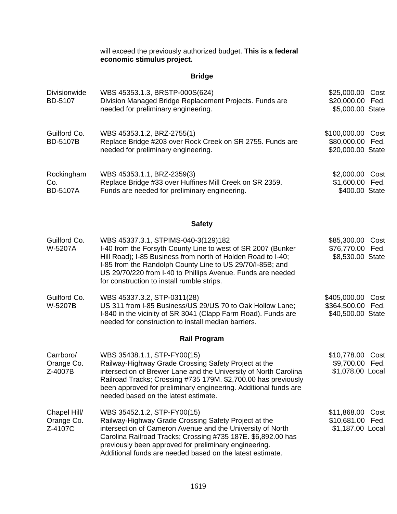will exceed the previously authorized budget. **This is a federal economic stimulus project.**

## **Bridge**

| Divisionwide<br>BD-5107               | WBS 45353.1.3, BRSTP-000S(624)<br>Division Managed Bridge Replacement Projects. Funds are<br>needed for preliminary engineering.                                                                                                                                                                                                              | \$25,000.00<br>\$20,000.00<br>\$5,000.00 State        | Cost<br>Fed. |
|---------------------------------------|-----------------------------------------------------------------------------------------------------------------------------------------------------------------------------------------------------------------------------------------------------------------------------------------------------------------------------------------------|-------------------------------------------------------|--------------|
| Guilford Co.<br><b>BD-5107B</b>       | WBS 45353.1.2, BRZ-2755(1)<br>Replace Bridge #203 over Rock Creek on SR 2755. Funds are<br>needed for preliminary engineering.                                                                                                                                                                                                                | \$100,000.00 Cost<br>\$80,000.00<br>\$20,000.00 State | Fed.         |
| Rockingham<br>Co.<br><b>BD-5107A</b>  | WBS 45353.1.1, BRZ-2359(3)<br>Replace Bridge #33 over Huffines Mill Creek on SR 2359.<br>Funds are needed for preliminary engineering.                                                                                                                                                                                                        | \$2,000.00<br>\$1,600.00<br>\$400.00 State            | Cost<br>Fed. |
|                                       | <b>Safety</b>                                                                                                                                                                                                                                                                                                                                 |                                                       |              |
| Guilford Co.<br>W-5207A               | WBS 45337.3.1, STPIMS-040-3(129)182<br>I-40 from the Forsyth County Line to west of SR 2007 (Bunker<br>Hill Road); I-85 Business from north of Holden Road to I-40;<br>I-85 from the Randolph County Line to US 29/70/I-85B; and<br>US 29/70/220 from I-40 to Phillips Avenue. Funds are needed<br>for construction to install rumble strips. | \$85,300.00<br>\$76,770.00<br>\$8,530.00 State        | Cost<br>Fed. |
| Guilford Co.<br>W-5207B               | WBS 45337.3.2, STP-0311(28)<br>US 311 from I-85 Business/US 29/US 70 to Oak Hollow Lane;<br>I-840 in the vicinity of SR 3041 (Clapp Farm Road). Funds are<br>needed for construction to install median barriers.                                                                                                                              | \$405,000.00<br>\$364,500.00<br>\$40,500.00 State     | Cost<br>Fed. |
|                                       | <b>Rail Program</b>                                                                                                                                                                                                                                                                                                                           |                                                       |              |
| Carrboro/<br>Orange Co.<br>Z-4007B    | WBS 35438.1.1, STP-FY00(15)<br>Railway-Highway Grade Crossing Safety Project at the<br>intersection of Brewer Lane and the University of North Carolina<br>Railroad Tracks; Crossing #735 179M. \$2,700.00 has previously<br>been approved for preliminary engineering. Additional funds are<br>needed based on the latest estimate.          | \$10,778.00<br>\$9,700.00 Fed.<br>\$1,078.00 Local    | Cost         |
| Chapel Hill/<br>Orange Co.<br>Z-4107C | WBS 35452.1.2, STP-FY00(15)<br>Railway-Highway Grade Crossing Safety Project at the<br>intersection of Cameron Avenue and the University of North<br>Carolina Railroad Tracks; Crossing #735 187E. \$6,892.00 has<br>previously been approved for preliminary engineering.<br>Additional funds are needed based on the latest estimate.       | \$11,868.00<br>\$10,681.00<br>\$1,187.00 Local        | Cost<br>Fed. |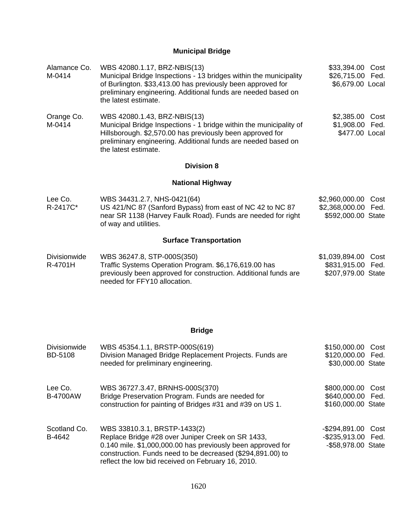# **Municipal Bridge**

| Alamance Co.<br>M-0414         | WBS 42080.1.17, BRZ-NBIS(13)<br>Municipal Bridge Inspections - 13 bridges within the municipality<br>of Burlington. \$33,413.00 has previously been approved for<br>preliminary engineering. Additional funds are needed based on<br>the latest estimate. | \$33,394.00 Cost<br>\$26,715.00 Fed.<br>\$6,679.00 Local          |
|--------------------------------|-----------------------------------------------------------------------------------------------------------------------------------------------------------------------------------------------------------------------------------------------------------|-------------------------------------------------------------------|
| Orange Co.<br>M-0414           | WBS 42080.1.43, BRZ-NBIS(13)<br>Municipal Bridge Inspections - 1 bridge within the municipality of<br>Hillsborough. \$2,570.00 has previously been approved for<br>preliminary engineering. Additional funds are needed based on<br>the latest estimate.  | \$2,385.00<br>Cost<br>\$1,908.00 Fed.<br>\$477.00 Local           |
|                                | <b>Division 8</b>                                                                                                                                                                                                                                         |                                                                   |
|                                | <b>National Highway</b>                                                                                                                                                                                                                                   |                                                                   |
| Lee Co.<br>R-2417C*            | WBS 34431.2.7, NHS-0421(64)<br>US 421/NC 87 (Sanford Bypass) from east of NC 42 to NC 87<br>near SR 1138 (Harvey Faulk Road). Funds are needed for right<br>of way and utilities.                                                                         | \$2,960,000.00 Cost<br>\$2,368,000.00 Fed.<br>\$592,000.00 State  |
|                                | <b>Surface Transportation</b>                                                                                                                                                                                                                             |                                                                   |
| <b>Divisionwide</b><br>R-4701H | WBS 36247.8, STP-000S(350)<br>Traffic Systems Operation Program. \$6,176,619.00 has<br>previously been approved for construction. Additional funds are<br>needed for FFY10 allocation.                                                                    | \$1,039,894.00<br>Cost<br>\$831,915.00 Fed.<br>\$207,979.00 State |
|                                | <b>Bridge</b>                                                                                                                                                                                                                                             |                                                                   |

| <b>Divisionwide</b><br><b>BD-5108</b> | WBS 45354.1.1, BRSTP-000S(619)<br>Division Managed Bridge Replacement Projects. Funds are<br>needed for preliminary engineering.                                                                                                                                     | \$150,000.00<br>\$120,000.00 Fed.<br>\$30,000.00 State       | Cost |
|---------------------------------------|----------------------------------------------------------------------------------------------------------------------------------------------------------------------------------------------------------------------------------------------------------------------|--------------------------------------------------------------|------|
| Lee Co.<br><b>B-4700AW</b>            | WBS 36727.3.47, BRNHS-000S(370)<br>Bridge Preservation Program. Funds are needed for<br>construction for painting of Bridges #31 and #39 on US 1.                                                                                                                    | \$800,000.00<br>\$640,000.00 Fed.<br>\$160,000.00 State      | Cost |
| Scotland Co.<br>B-4642                | WBS 33810.3.1, BRSTP-1433(2)<br>Replace Bridge #28 over Juniper Creek on SR 1433,<br>0.140 mile. \$1,000,000.00 has previously been approved for<br>construction. Funds need to be decreased (\$294,891.00) to<br>reflect the low bid received on February 16, 2010. | $-$ \$294,891.00<br>-\$235,913.00 Fed.<br>-\$58,978.00 State | Cost |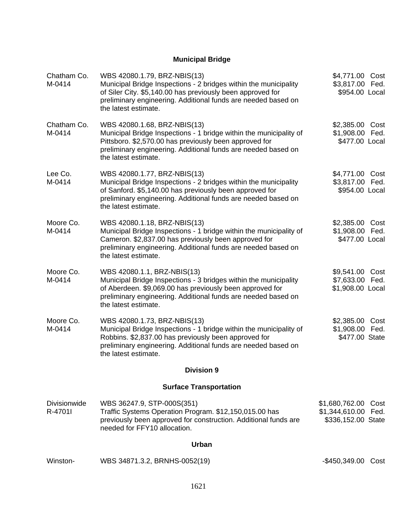# **Municipal Bridge**

| Chatham Co.<br>M-0414   | WBS 42080.1.79, BRZ-NBIS(13)<br>Municipal Bridge Inspections - 2 bridges within the municipality<br>of Siler City. \$5,140.00 has previously been approved for<br>preliminary engineering. Additional funds are needed based on<br>the latest estimate. | \$4,771.00 Cost<br>\$3,817.00 Fed.<br>\$954.00 Local                |
|-------------------------|---------------------------------------------------------------------------------------------------------------------------------------------------------------------------------------------------------------------------------------------------------|---------------------------------------------------------------------|
| Chatham Co.<br>M-0414   | WBS 42080.1.68, BRZ-NBIS(13)<br>Municipal Bridge Inspections - 1 bridge within the municipality of<br>Pittsboro. \$2,570.00 has previously been approved for<br>preliminary engineering. Additional funds are needed based on<br>the latest estimate.   | \$2,385.00<br>Cost<br>\$1,908.00 Fed.<br>\$477.00 Local             |
| Lee Co.<br>M-0414       | WBS 42080.1.77, BRZ-NBIS(13)<br>Municipal Bridge Inspections - 2 bridges within the municipality<br>of Sanford. \$5,140.00 has previously been approved for<br>preliminary engineering. Additional funds are needed based on<br>the latest estimate.    | \$4,771.00 Cost<br>\$3,817.00 Fed.<br>\$954.00 Local                |
| Moore Co.<br>M-0414     | WBS 42080.1.18, BRZ-NBIS(13)<br>Municipal Bridge Inspections - 1 bridge within the municipality of<br>Cameron. \$2,837.00 has previously been approved for<br>preliminary engineering. Additional funds are needed based on<br>the latest estimate.     | \$2,385.00<br>Cost<br>\$1,908.00 Fed.<br>\$477.00 Local             |
| Moore Co.<br>M-0414     | WBS 42080.1.1, BRZ-NBIS(13)<br>Municipal Bridge Inspections - 3 bridges within the municipality<br>of Aberdeen. \$9,069.00 has previously been approved for<br>preliminary engineering. Additional funds are needed based on<br>the latest estimate.    | \$9,541.00<br>Cost<br>\$7,633.00 Fed.<br>\$1,908.00 Local           |
| Moore Co.<br>M-0414     | WBS 42080.1.73, BRZ-NBIS(13)<br>Municipal Bridge Inspections - 1 bridge within the municipality of<br>Robbins. \$2,837.00 has previously been approved for<br>preliminary engineering. Additional funds are needed based on<br>the latest estimate.     | \$2,385.00<br>Cost<br>\$1,908.00 Fed.<br>\$477.00 State             |
|                         | <b>Division 9</b>                                                                                                                                                                                                                                       |                                                                     |
|                         | <b>Surface Transportation</b>                                                                                                                                                                                                                           |                                                                     |
| Divisionwide<br>R-4701I | WBS 36247.9, STP-000S(351)<br>Traffic Systems Operation Program. \$12,150,015.00 has<br>previously been approved for construction. Additional funds are<br>needed for FFY10 allocation.                                                                 | \$1,680,762.00<br>Cost<br>\$1,344,610.00 Fed.<br>\$336,152.00 State |
|                         | <b>Urban</b>                                                                                                                                                                                                                                            |                                                                     |
| Winston-                | WBS 34871.3.2, BRNHS-0052(19)                                                                                                                                                                                                                           | -\$450,349.00 Cost                                                  |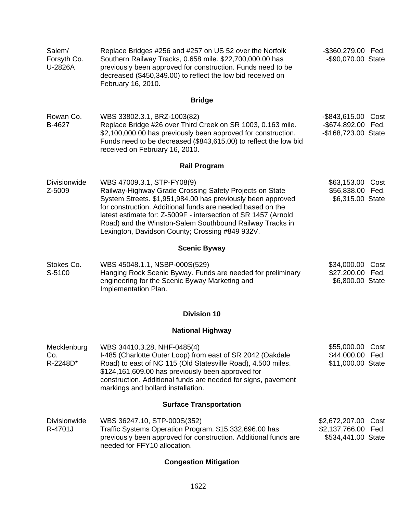| Salem/<br>Forsyth Co.<br>U-2826A | Replace Bridges #256 and #257 on US 52 over the Norfolk<br>Southern Railway Tracks, 0.658 mile. \$22,700,000.00 has<br>previously been approved for construction. Funds need to be<br>decreased (\$450,349.00) to reflect the low bid received on<br>February 16, 2010.                                                                                                                             | -\$360,279.00 Fed.<br>-\$90,070.00 State                            |
|----------------------------------|-----------------------------------------------------------------------------------------------------------------------------------------------------------------------------------------------------------------------------------------------------------------------------------------------------------------------------------------------------------------------------------------------------|---------------------------------------------------------------------|
|                                  | <b>Bridge</b>                                                                                                                                                                                                                                                                                                                                                                                       |                                                                     |
| Rowan Co.<br>B-4627              | WBS 33802.3.1, BRZ-1003(82)<br>Replace Bridge #26 over Third Creek on SR 1003, 0.163 mile.<br>\$2,100,000.00 has previously been approved for construction.<br>Funds need to be decreased (\$843,615.00) to reflect the low bid<br>received on February 16, 2010.                                                                                                                                   | -\$843,615.00 Cost<br>-\$674,892.00 Fed.<br>-\$168,723.00 State     |
|                                  | <b>Rail Program</b>                                                                                                                                                                                                                                                                                                                                                                                 |                                                                     |
| <b>Divisionwide</b><br>Z-5009    | WBS 47009.3.1, STP-FY08(9)<br>Railway-Highway Grade Crossing Safety Projects on State<br>System Streets. \$1,951,984.00 has previously been approved<br>for construction. Additional funds are needed based on the<br>latest estimate for: Z-5009F - intersection of SR 1457 (Arnold<br>Road) and the Winston-Salem Southbound Railway Tracks in<br>Lexington, Davidson County; Crossing #849 932V. | \$63,153.00 Cost<br>\$56,838.00 Fed.<br>\$6,315.00 State            |
|                                  | <b>Scenic Byway</b>                                                                                                                                                                                                                                                                                                                                                                                 |                                                                     |
| Stokes Co.<br>S-5100             | WBS 45048.1.1, NSBP-000S(529)<br>Hanging Rock Scenic Byway. Funds are needed for preliminary<br>engineering for the Scenic Byway Marketing and<br>Implementation Plan.                                                                                                                                                                                                                              | \$34,000.00<br>Cost<br>\$27,200.00 Fed.<br>\$6,800.00 State         |
|                                  | <b>Division 10</b>                                                                                                                                                                                                                                                                                                                                                                                  |                                                                     |
|                                  | <b>National Highway</b>                                                                                                                                                                                                                                                                                                                                                                             |                                                                     |
| Mecklenburg<br>Co.<br>R-2248D*   | WBS 34410.3.28, NHF-0485(4)<br>I-485 (Charlotte Outer Loop) from east of SR 2042 (Oakdale<br>Road) to east of NC 115 (Old Statesville Road), 4.500 miles.<br>\$124,161,609.00 has previously been approved for<br>construction. Additional funds are needed for signs, pavement<br>markings and bollard installation.                                                                               | \$55,000.00<br>Cost<br>\$44,000.00<br>Fed.<br>\$11,000.00 State     |
|                                  | <b>Surface Transportation</b>                                                                                                                                                                                                                                                                                                                                                                       |                                                                     |
| <b>Divisionwide</b><br>R-4701J   | WBS 36247.10, STP-000S(352)<br>Traffic Systems Operation Program. \$15,332,696.00 has<br>previously been approved for construction. Additional funds are<br>needed for FFY10 allocation.                                                                                                                                                                                                            | \$2,672,207.00<br>Cost<br>\$2,137,766.00 Fed.<br>\$534,441.00 State |
|                                  | <b>Congestion Mitigation</b>                                                                                                                                                                                                                                                                                                                                                                        |                                                                     |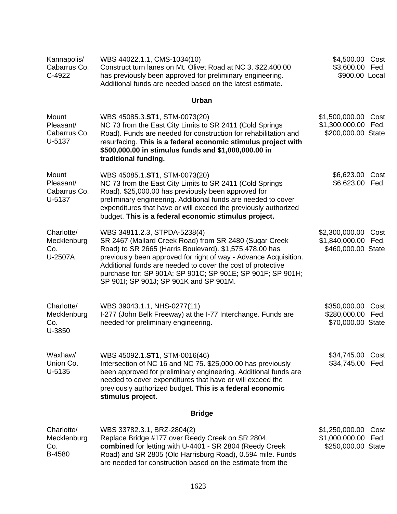| Kannapolis/<br>Cabarrus Co.<br>C-4922        | WBS 44022.1.1, CMS-1034(10)<br>Construct turn lanes on Mt. Olivet Road at NC 3. \$22,400.00<br>has previously been approved for preliminary engineering.<br>Additional funds are needed based on the latest estimate.                                                                                                                                                                        | \$4,500.00<br>\$3,600.00 Fed.<br>\$900.00 Local        | Cost         |
|----------------------------------------------|----------------------------------------------------------------------------------------------------------------------------------------------------------------------------------------------------------------------------------------------------------------------------------------------------------------------------------------------------------------------------------------------|--------------------------------------------------------|--------------|
|                                              | <b>Urban</b>                                                                                                                                                                                                                                                                                                                                                                                 |                                                        |              |
| Mount<br>Pleasant/<br>Cabarrus Co.<br>U-5137 | WBS 45085.3.ST1, STM-0073(20)<br>NC 73 from the East City Limits to SR 2411 (Cold Springs<br>Road). Funds are needed for construction for rehabilitation and<br>resurfacing. This is a federal economic stimulus project with<br>\$500,000.00 in stimulus funds and \$1,000,000.00 in<br>traditional funding.                                                                                | \$1,500,000.00<br>\$1,300,000.00<br>\$200,000.00 State | Cost<br>Fed. |
| Mount<br>Pleasant/<br>Cabarrus Co.<br>U-5137 | WBS 45085.1.ST1, STM-0073(20)<br>NC 73 from the East City Limits to SR 2411 (Cold Springs<br>Road). \$25,000.00 has previously been approved for<br>preliminary engineering. Additional funds are needed to cover<br>expenditures that have or will exceed the previously authorized<br>budget. This is a federal economic stimulus project.                                                 | \$6,623.00<br>\$6,623.00 Fed.                          | Cost         |
| Charlotte/<br>Mecklenburg<br>Co.<br>U-2507A  | WBS 34811.2.3, STPDA-5238(4)<br>SR 2467 (Mallard Creek Road) from SR 2480 (Sugar Creek<br>Road) to SR 2665 (Harris Boulevard). \$1,575,478.00 has<br>previously been approved for right of way - Advance Acquisition.<br>Additional funds are needed to cover the cost of protective<br>purchase for: SP 901A; SP 901C; SP 901E; SP 901F; SP 901H;<br>SP 901I; SP 901J; SP 901K and SP 901M. | \$2,300,000.00<br>\$1,840,000.00<br>\$460,000.00 State | Cost<br>Fed. |
| Charlotte/<br>Mecklenburg<br>Co.<br>U-3850   | WBS 39043.1.1, NHS-0277(11)<br>I-277 (John Belk Freeway) at the I-77 Interchange. Funds are<br>needed for preliminary engineering.                                                                                                                                                                                                                                                           | \$350,000.00<br>\$280,000.00 Fed.<br>\$70,000.00 State | Cost         |
| Waxhaw/<br>Union Co.<br>U-5135               | WBS 45092.1.ST1, STM-0016(46)<br>Intersection of NC 16 and NC 75. \$25,000.00 has previously<br>been approved for preliminary engineering. Additional funds are<br>needed to cover expenditures that have or will exceed the<br>previously authorized budget. This is a federal economic<br>stimulus project.                                                                                | \$34,745.00<br>\$34,745.00                             | Cost<br>Fed. |
|                                              | <b>Bridge</b>                                                                                                                                                                                                                                                                                                                                                                                |                                                        |              |
| Charlotte/<br>Mecklenburg<br>Co.<br>B-4580   | WBS 33782.3.1, BRZ-2804(2)<br>Replace Bridge #177 over Reedy Creek on SR 2804,<br>combined for letting with U-4401 - SR 2804 (Reedy Creek<br>Road) and SR 2805 (Old Harrisburg Road), 0.594 mile. Funds<br>are needed for construction based on the estimate from the                                                                                                                        | \$1,250,000.00<br>\$1,000,000.00<br>\$250,000.00 State | Cost<br>Fed. |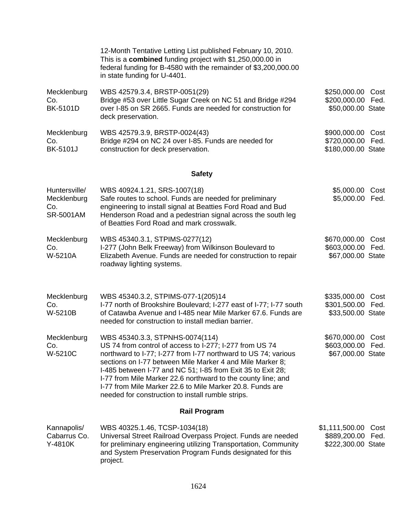|                                                  | 12-Month Tentative Letting List published February 10, 2010.<br>This is a combined funding project with \$1,250,000.00 in<br>federal funding for B-4580 with the remainder of \$3,200,000.00<br>in state funding for U-4401.                                                                                                                                                                                                                                               |                                                             |              |
|--------------------------------------------------|----------------------------------------------------------------------------------------------------------------------------------------------------------------------------------------------------------------------------------------------------------------------------------------------------------------------------------------------------------------------------------------------------------------------------------------------------------------------------|-------------------------------------------------------------|--------------|
| Mecklenburg<br>Co.<br><b>BK-5101D</b>            | WBS 42579.3.4, BRSTP-0051(29)<br>Bridge #53 over Little Sugar Creek on NC 51 and Bridge #294<br>over I-85 on SR 2665. Funds are needed for construction for<br>deck preservation.                                                                                                                                                                                                                                                                                          | \$250,000.00<br>\$200,000.00 Fed.<br>\$50,000.00 State      | Cost         |
| Mecklenburg<br>Co.<br><b>BK-5101J</b>            | WBS 42579.3.9, BRSTP-0024(43)<br>Bridge #294 on NC 24 over I-85. Funds are needed for<br>construction for deck preservation.                                                                                                                                                                                                                                                                                                                                               | \$900,000.00<br>\$720,000.00 Fed.<br>\$180,000.00 State     | Cost         |
|                                                  | <b>Safety</b>                                                                                                                                                                                                                                                                                                                                                                                                                                                              |                                                             |              |
| Huntersville/<br>Mecklenburg<br>Co.<br>SR-5001AM | WBS 40924.1.21, SRS-1007(18)<br>Safe routes to school. Funds are needed for preliminary<br>engineering to install signal at Beatties Ford Road and Bud<br>Henderson Road and a pedestrian signal across the south leg<br>of Beatties Ford Road and mark crosswalk.                                                                                                                                                                                                         | \$5,000.00<br>\$5,000.00 Fed.                               | Cost         |
| Mecklenburg<br>Co.<br>W-5210A                    | WBS 45340.3.1, STPIMS-0277(12)<br>I-277 (John Belk Freeway) from Wilkinson Boulevard to<br>Elizabeth Avenue. Funds are needed for construction to repair<br>roadway lighting systems.                                                                                                                                                                                                                                                                                      | \$670,000.00<br>\$603,000.00 Fed.<br>\$67,000.00 State      | Cost         |
| Mecklenburg<br>Co.<br>W-5210B                    | WBS 45340.3.2, STPIMS-077-1(205)14<br>I-77 north of Brookshire Boulevard; I-277 east of I-77; I-77 south<br>of Catawba Avenue and I-485 near Mile Marker 67.6. Funds are<br>needed for construction to install median barrier.                                                                                                                                                                                                                                             | \$335,000.00<br>\$301,500.00<br>\$33,500.00 State           | Cost<br>Fed. |
| Mecklenburg<br>Co.<br>W-5210C                    | WBS 45340.3.3, STPNHS-0074(114)<br>US 74 from control of access to I-277; I-277 from US 74<br>northward to I-77; I-277 from I-77 northward to US 74; various<br>sections on I-77 between Mile Marker 4 and Mile Marker 8;<br>I-485 between I-77 and NC 51; I-85 from Exit 35 to Exit 28;<br>I-77 from Mile Marker 22.6 northward to the county line; and<br>1-77 from Mile Marker 22.6 to Mile Marker 20.8. Funds are<br>needed for construction to install rumble strips. | \$670,000.00 Cost<br>\$603,000.00 Fed.<br>\$67,000.00 State |              |
|                                                  | <b>Rail Program</b>                                                                                                                                                                                                                                                                                                                                                                                                                                                        |                                                             |              |
| Kannapolis/<br>Cabarrus Co.<br>Y-4810K           | WBS 40325.1.46, TCSP-1034(18)<br>Universal Street Railroad Overpass Project. Funds are needed<br>for preliminary engineering utilizing Transportation, Community<br>and System Preservation Program Funds designated for this<br>project.                                                                                                                                                                                                                                  | \$1,111,500.00<br>\$889,200.00<br>\$222,300.00 State        | Cost<br>Fed. |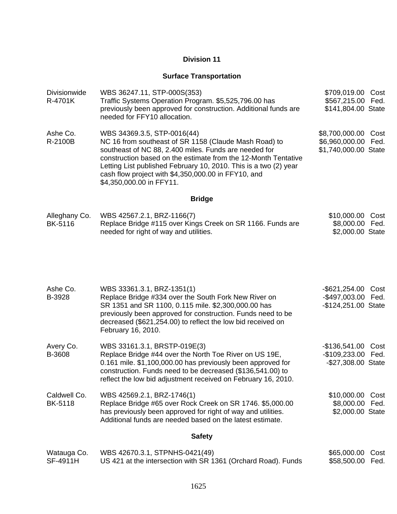## **Division 11**

### **Surface Transportation**

| Divisionwide<br>R-4701K         | WBS 36247.11, STP-000S(353)<br>Traffic Systems Operation Program. \$5,525,796.00 has<br>previously been approved for construction. Additional funds are<br>needed for FFY10 allocation.                                                                                                                                                                                | \$709,019.00 Cost<br>\$567,215.00 Fed.<br>\$141,804.00 State   |              |
|---------------------------------|------------------------------------------------------------------------------------------------------------------------------------------------------------------------------------------------------------------------------------------------------------------------------------------------------------------------------------------------------------------------|----------------------------------------------------------------|--------------|
| Ashe Co.<br>R-2100B             | WBS 34369.3.5, STP-0016(44)<br>NC 16 from southeast of SR 1158 (Claude Mash Road) to<br>southeast of NC 88, 2.400 miles. Funds are needed for<br>construction based on the estimate from the 12-Month Tentative<br>Letting List published February 10, 2010. This is a two (2) year<br>cash flow project with \$4,350,000.00 in FFY10, and<br>\$4,350,000.00 in FFY11. | \$8,700,000.00<br>\$6,960,000.00<br>\$1,740,000.00 State       | Cost<br>Fed. |
|                                 | <b>Bridge</b>                                                                                                                                                                                                                                                                                                                                                          |                                                                |              |
| Alleghany Co.<br><b>BK-5116</b> | WBS 42567.2.1, BRZ-1166(7)<br>Replace Bridge #115 over Kings Creek on SR 1166. Funds are<br>needed for right of way and utilities.                                                                                                                                                                                                                                     | \$10,000.00<br>\$8,000.00 Fed.<br>\$2,000.00 State             | Cost         |
| Ashe Co.<br>B-3928              | WBS 33361.3.1, BRZ-1351(1)<br>Replace Bridge #334 over the South Fork New River on<br>SR 1351 and SR 1100, 0.115 mile. \$2,300,000.00 has<br>previously been approved for construction. Funds need to be<br>decreased (\$621,254.00) to reflect the low bid received on<br>February 16, 2010.                                                                          | $-$ \$621,254.00<br>-\$497,003.00 Fed.<br>-\$124,251.00 State  | Cost         |
| Avery Co.<br>B-3608             | WBS 33161.3.1, BRSTP-019E(3)<br>Replace Bridge #44 over the North Toe River on US 19E,<br>0.161 mile. \$1,100,000.00 has previously been approved for<br>construction. Funds need to be decreased (\$136,541.00) to<br>reflect the low bid adjustment received on February 16, 2010.                                                                                   | -\$136,541.00 Cost<br>-\$109,233.00 Fed.<br>-\$27,308.00 State |              |
| Caldwell Co.<br><b>BK-5118</b>  | WBS 42569.2.1, BRZ-1746(1)<br>Replace Bridge #65 over Rock Creek on SR 1746. \$5,000.00<br>has previously been approved for right of way and utilities.<br>Additional funds are needed based on the latest estimate.                                                                                                                                                   | \$10,000.00<br>\$8,000.00<br>\$2,000.00 State                  | Cost<br>Fed. |
|                                 | <b>Safety</b>                                                                                                                                                                                                                                                                                                                                                          |                                                                |              |
| Watauga Co.<br>SF-4911H         | WBS 42670.3.1, STPNHS-0421(49)<br>US 421 at the intersection with SR 1361 (Orchard Road). Funds                                                                                                                                                                                                                                                                        | \$65,000.00<br>\$58,500.00                                     | Cost<br>Fed. |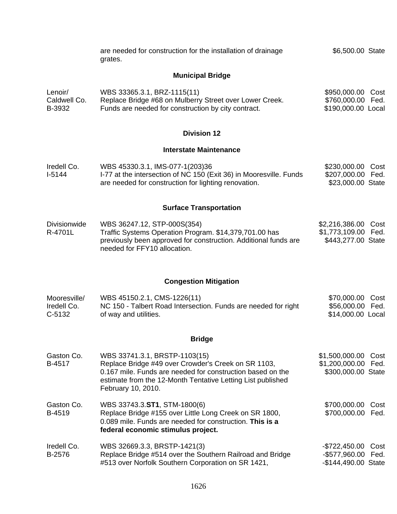|                                       | are needed for construction for the installation of drainage<br>grates.                                                                                                                                                                 | \$6,500.00 State                                                          |  |
|---------------------------------------|-----------------------------------------------------------------------------------------------------------------------------------------------------------------------------------------------------------------------------------------|---------------------------------------------------------------------------|--|
|                                       | <b>Municipal Bridge</b>                                                                                                                                                                                                                 |                                                                           |  |
| Lenoir/<br>Caldwell Co.<br>B-3932     | WBS 33365.3.1, BRZ-1115(11)<br>Replace Bridge #68 on Mulberry Street over Lower Creek.<br>Funds are needed for construction by city contract.                                                                                           | \$950,000.00 Cost<br>\$760,000.00 Fed.<br>\$190,000.00 Local              |  |
|                                       | <b>Division 12</b>                                                                                                                                                                                                                      |                                                                           |  |
|                                       | <b>Interstate Maintenance</b>                                                                                                                                                                                                           |                                                                           |  |
| Iredell Co.<br>$I-5144$               | WBS 45330.3.1, IMS-077-1(203)36<br>I-77 at the intersection of NC 150 (Exit 36) in Mooresville. Funds<br>are needed for construction for lighting renovation.                                                                           | \$230,000.00 Cost<br>\$207,000.00 Fed.<br>\$23,000.00 State               |  |
|                                       | <b>Surface Transportation</b>                                                                                                                                                                                                           |                                                                           |  |
| <b>Divisionwide</b><br>R-4701L        | WBS 36247.12, STP-000S(354)<br>Traffic Systems Operation Program. \$14,379,701.00 has<br>previously been approved for construction. Additional funds are<br>needed for FFY10 allocation.                                                | \$2,216,386.00 Cost<br>\$1,773,109.00 Fed.<br>\$443,277.00 State          |  |
|                                       | <b>Congestion Mitigation</b>                                                                                                                                                                                                            |                                                                           |  |
| Mooresville/<br>Iredell Co.<br>C-5132 | WBS 45150.2.1, CMS-1226(11)<br>NC 150 - Talbert Road Intersection. Funds are needed for right<br>of way and utilities.                                                                                                                  | \$70,000.00 Cost<br>\$56,000.00 Fed.<br>\$14,000.00 Local                 |  |
|                                       | <b>Bridge</b>                                                                                                                                                                                                                           |                                                                           |  |
| Gaston Co.<br>B-4517                  | WBS 33741.3.1, BRSTP-1103(15)<br>Replace Bridge #49 over Crowder's Creek on SR 1103,<br>0.167 mile. Funds are needed for construction based on the<br>estimate from the 12-Month Tentative Letting List published<br>February 10, 2010. | \$1,500,000.00<br>Cost<br>\$1,200,000.00<br>Fed.<br>\$300,000.00 State    |  |
| Gaston Co.<br>B-4519                  | WBS 33743.3.ST1, STM-1800(6)<br>Replace Bridge #155 over Little Long Creek on SR 1800,<br>0.089 mile. Funds are needed for construction. This is a<br>federal economic stimulus project.                                                | \$700,000.00<br>Cost<br>\$700,000.00<br>Fed.                              |  |
| Iredell Co.<br>B-2576                 | WBS 32669.3.3, BRSTP-1421(3)<br>Replace Bridge #514 over the Southern Railroad and Bridge<br>#513 over Norfolk Southern Corporation on SR 1421,                                                                                         | $-$722,450.00$<br>Cost<br>$-$ \$577,960.00<br>Fed.<br>-\$144,490.00 State |  |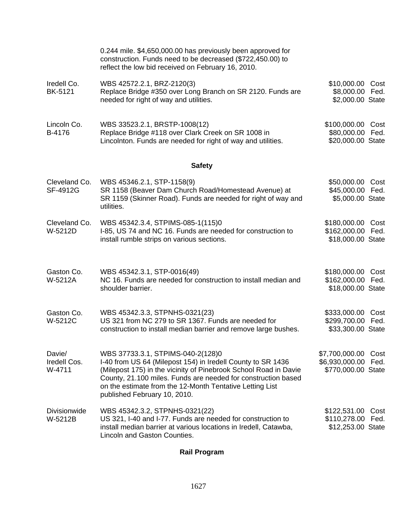|                                  | 0.244 mile. \$4,650,000.00 has previously been approved for<br>construction. Funds need to be decreased (\$722,450.00) to<br>reflect the low bid received on February 16, 2010.                                                                                                                                                   |                                                             |              |
|----------------------------------|-----------------------------------------------------------------------------------------------------------------------------------------------------------------------------------------------------------------------------------------------------------------------------------------------------------------------------------|-------------------------------------------------------------|--------------|
| Iredell Co.<br>BK-5121           | WBS 42572.2.1, BRZ-2120(3)<br>Replace Bridge #350 over Long Branch on SR 2120. Funds are<br>needed for right of way and utilities.                                                                                                                                                                                                | \$10,000.00 Cost<br>\$8,000.00 Fed.<br>\$2,000.00 State     |              |
| Lincoln Co.<br>B-4176            | WBS 33523.2.1, BRSTP-1008(12)<br>Replace Bridge #118 over Clark Creek on SR 1008 in<br>Lincolnton. Funds are needed for right of way and utilities.                                                                                                                                                                               | \$100,000.00<br>\$80,000.00<br>\$20,000.00 State            | Cost<br>Fed. |
|                                  | <b>Safety</b>                                                                                                                                                                                                                                                                                                                     |                                                             |              |
| Cleveland Co.<br>SF-4912G        | WBS 45346.2.1, STP-1158(9)<br>SR 1158 (Beaver Dam Church Road/Homestead Avenue) at<br>SR 1159 (Skinner Road). Funds are needed for right of way and<br>utilities.                                                                                                                                                                 | \$50,000.00 Cost<br>\$45,000.00 Fed.<br>\$5,000.00 State    |              |
| Cleveland Co.<br>W-5212D         | WBS 45342.3.4, STPIMS-085-1(115)0<br>I-85, US 74 and NC 16. Funds are needed for construction to<br>install rumble strips on various sections.                                                                                                                                                                                    | \$180,000.00 Cost<br>\$162,000.00 Fed.<br>\$18,000.00 State |              |
| Gaston Co.<br>W-5212A            | WBS 45342.3.1, STP-0016(49)<br>NC 16. Funds are needed for construction to install median and<br>shoulder barrier.                                                                                                                                                                                                                | \$180,000.00<br>\$162,000.00<br>\$18,000.00 State           | Cost<br>Fed. |
| Gaston Co.<br>W-5212C            | WBS 45342.3.3, STPNHS-0321(23)<br>US 321 from NC 279 to SR 1367. Funds are needed for<br>construction to install median barrier and remove large bushes.                                                                                                                                                                          | \$333,000.00 Cost<br>\$299,700.00 Fed.<br>\$33,300.00 State |              |
| Davie/<br>Iredell Cos.<br>W-4711 | WBS 37733.3.1, STPIMS-040-2(128)0<br>I-40 from US 64 (Milepost 154) in Iredell County to SR 1436<br>(Milepost 175) in the vicinity of Pinebrook School Road in Davie<br>County, 21.100 miles. Funds are needed for construction based<br>on the estimate from the 12-Month Tentative Letting List<br>published February 10, 2010. | \$7,700,000.00<br>\$6,930,000.00<br>\$770,000.00 State      | Cost<br>Fed. |
| <b>Divisionwide</b><br>W-5212B   | WBS 45342.3.2, STPNHS-0321(22)<br>US 321, I-40 and I-77. Funds are needed for construction to<br>install median barrier at various locations in Iredell, Catawba,<br>Lincoln and Gaston Counties.                                                                                                                                 | \$122,531.00<br>\$110,278.00 Fed.<br>\$12,253.00 State      | Cost         |

# **Rail Program**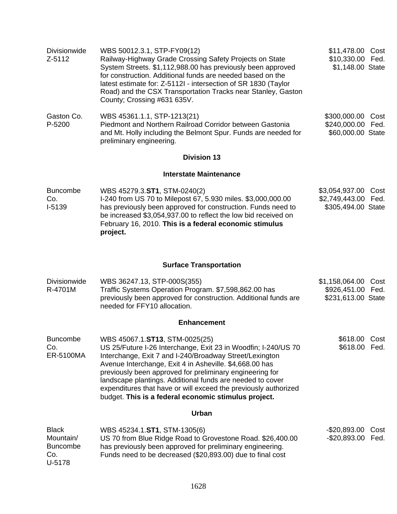| Divisionwide    | WBS 50012.3.1, STP-FY09(12)                                                                 | \$11,478.00<br>Cost    |
|-----------------|---------------------------------------------------------------------------------------------|------------------------|
| Z-5112          | Railway-Highway Grade Crossing Safety Projects on State                                     | \$10,330.00 Fed.       |
|                 | System Streets. \$1,112,988.00 has previously been approved                                 | \$1,148.00 State       |
|                 | for construction. Additional funds are needed based on the                                  |                        |
|                 | latest estimate for: Z-5112I - intersection of SR 1830 (Taylor                              |                        |
|                 | Road) and the CSX Transportation Tracks near Stanley, Gaston<br>County; Crossing #631 635V. |                        |
|                 |                                                                                             |                        |
| Gaston Co.      | WBS 45361.1.1, STP-1213(21)                                                                 | \$300,000.00<br>Cost   |
| P-5200          | Piedmont and Northern Railroad Corridor between Gastonia                                    | \$240,000.00 Fed.      |
|                 | and Mt. Holly including the Belmont Spur. Funds are needed for<br>preliminary engineering.  | \$60,000.00 State      |
|                 | <b>Division 13</b>                                                                          |                        |
|                 | Interstate Maintenance                                                                      |                        |
| <b>Buncombe</b> | WBS 45279.3.ST1, STM-0240(2)                                                                | \$3,054,937.00<br>Cost |
| Co.             | I-240 from US 70 to Milepost 67, 5.930 miles. \$3,000,000.00                                | \$2,749,443.00 Fed.    |
| $I-5139$        | has previously been approved for construction. Funds need to                                | \$305,494.00 State     |
|                 | be increased \$3,054,937.00 to reflect the low bid received on                              |                        |

## **Surface Transportation**

February 16, 2010. **This is a federal economic stimulus** 

**project.**

| <b>Divisionwide</b><br>R-4701M                                | WBS 36247.13, STP-000S(355)<br>Traffic Systems Operation Program. \$7,598,862.00 has<br>previously been approved for construction. Additional funds are<br>needed for FFY10 allocation.                                                                                                                                                                                                                                                                                    | \$1,158,064.00<br>\$926,451.00 Fed.<br>\$231,613.00 State | Cost         |
|---------------------------------------------------------------|----------------------------------------------------------------------------------------------------------------------------------------------------------------------------------------------------------------------------------------------------------------------------------------------------------------------------------------------------------------------------------------------------------------------------------------------------------------------------|-----------------------------------------------------------|--------------|
|                                                               | <b>Enhancement</b>                                                                                                                                                                                                                                                                                                                                                                                                                                                         |                                                           |              |
| <b>Buncombe</b><br>Co.<br>ER-5100MA                           | WBS 45067.1.ST13, STM-0025(25)<br>US 25/Future I-26 Interchange, Exit 23 in Woodfin; I-240/US 70<br>Interchange, Exit 7 and I-240/Broadway Street/Lexington<br>Avenue Interchange, Exit 4 in Asheville. \$4,668.00 has<br>previously been approved for preliminary engineering for<br>landscape plantings. Additional funds are needed to cover<br>expenditures that have or will exceed the previously authorized<br>budget. This is a federal economic stimulus project. | \$618.00<br>\$618.00                                      | Cost<br>Fed. |
|                                                               | Urban                                                                                                                                                                                                                                                                                                                                                                                                                                                                      |                                                           |              |
| <b>Black</b><br>Mountain/<br><b>Buncombe</b><br>Co.<br>U-5178 | WBS 45234.1.ST1, STM-1305(6)<br>US 70 from Blue Ridge Road to Grovestone Road. \$26,400.00<br>has previously been approved for preliminary engineering.<br>Funds need to be decreased (\$20,893.00) due to final cost                                                                                                                                                                                                                                                      | $-$20,893.00$<br>$-$20,893.00$                            | Cost<br>Fed. |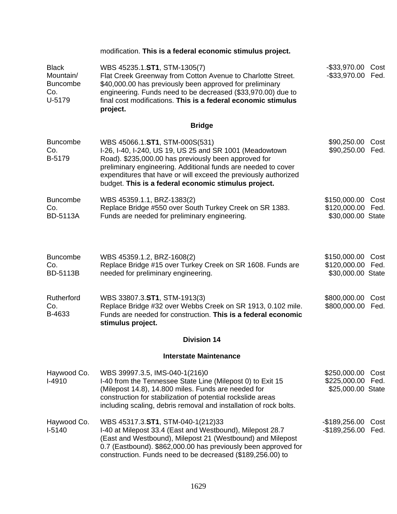|                                                               | modification. This is a federal economic stimulus project.                                                                                                                                                                                                                                                                                    |                                                        |              |
|---------------------------------------------------------------|-----------------------------------------------------------------------------------------------------------------------------------------------------------------------------------------------------------------------------------------------------------------------------------------------------------------------------------------------|--------------------------------------------------------|--------------|
| <b>Black</b><br>Mountain/<br><b>Buncombe</b><br>Co.<br>U-5179 | WBS 45235.1.ST1, STM-1305(7)<br>Flat Creek Greenway from Cotton Avenue to Charlotte Street.<br>\$40,000.00 has previously been approved for preliminary<br>engineering. Funds need to be decreased (\$33,970.00) due to<br>final cost modifications. This is a federal economic stimulus<br>project.                                          | -\$33,970.00<br>$-$ \$33,970.00                        | Cost<br>Fed. |
|                                                               | <b>Bridge</b>                                                                                                                                                                                                                                                                                                                                 |                                                        |              |
| <b>Buncombe</b><br>Co.<br>B-5179                              | WBS 45066.1.ST1, STM-000S(531)<br>I-26, I-40, I-240, US 19, US 25 and SR 1001 (Meadowtown<br>Road). \$235,000.00 has previously been approved for<br>preliminary engineering. Additional funds are needed to cover<br>expenditures that have or will exceed the previously authorized<br>budget. This is a federal economic stimulus project. | \$90,250.00<br>\$90,250.00                             | Cost<br>Fed. |
| <b>Buncombe</b><br>Co.<br><b>BD-5113A</b>                     | WBS 45359.1.1, BRZ-1383(2)<br>Replace Bridge #550 over South Turkey Creek on SR 1383.<br>Funds are needed for preliminary engineering.                                                                                                                                                                                                        | \$150,000.00<br>\$120,000.00 Fed.<br>\$30,000.00 State | Cost         |
| <b>Buncombe</b><br>Co.<br><b>BD-5113B</b>                     | WBS 45359.1.2, BRZ-1608(2)<br>Replace Bridge #15 over Turkey Creek on SR 1608. Funds are<br>needed for preliminary engineering.                                                                                                                                                                                                               | \$150,000.00 Cost<br>\$120,000.00<br>\$30,000.00 State | Fed.         |
| Rutherford<br>Co.<br>B-4633                                   | WBS 33807.3.ST1, STM-1913(3)<br>Replace Bridge #32 over Webbs Creek on SR 1913, 0.102 mile.<br>Funds are needed for construction. This is a federal economic<br>stimulus project.                                                                                                                                                             | \$800,000.00<br>\$800,000.00                           | Cost<br>Fed. |
|                                                               | <b>Division 14</b>                                                                                                                                                                                                                                                                                                                            |                                                        |              |
|                                                               | <b>Interstate Maintenance</b>                                                                                                                                                                                                                                                                                                                 |                                                        |              |
| Haywood Co.<br>$I-4910$                                       | WBS 39997.3.5, IMS-040-1(216)0<br>I-40 from the Tennessee State Line (Milepost 0) to Exit 15<br>(Milepost 14.8), 14.800 miles. Funds are needed for<br>construction for stabilization of potential rockslide areas<br>including scaling, debris removal and installation of rock bolts.                                                       | \$250,000.00<br>\$225,000.00<br>\$25,000.00 State      | Cost<br>Fed. |
| Haywood Co.<br>$I-5140$                                       | WBS 45317.3.ST1, STM-040-1(212)33<br>I-40 at Milepost 33.4 (East and Westbound), Milepost 28.7<br>(East and Westbound), Milepost 21 (Westbound) and Milepost<br>0.7 (Eastbound). \$862,000.00 has previously been approved for<br>construction. Funds need to be decreased (\$189,256.00) to                                                  | $-$189,256.00$<br>$-$189,256.00$                       | Cost<br>Fed. |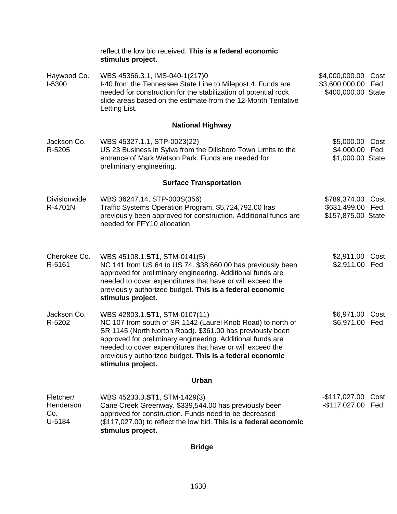|                                         | reflect the low bid received. This is a federal economic<br>stimulus project.                                                                                                                                                                                                                                                                                         |                                                                  |              |
|-----------------------------------------|-----------------------------------------------------------------------------------------------------------------------------------------------------------------------------------------------------------------------------------------------------------------------------------------------------------------------------------------------------------------------|------------------------------------------------------------------|--------------|
| Haywood Co.<br>I-5300                   | WBS 45366.3.1, IMS-040-1(217)0<br>I-40 from the Tennessee State Line to Milepost 4. Funds are<br>needed for construction for the stabilization of potential rock<br>slide areas based on the estimate from the 12-Month Tentative<br>Letting List.                                                                                                                    | \$4,000,000.00 Cost<br>\$3,600,000.00 Fed.<br>\$400,000.00 State |              |
|                                         | <b>National Highway</b>                                                                                                                                                                                                                                                                                                                                               |                                                                  |              |
| Jackson Co.<br>R-5205                   | WBS 45327.1.1, STP-0023(22)<br>US 23 Business in Sylva from the Dillsboro Town Limits to the<br>entrance of Mark Watson Park. Funds are needed for<br>preliminary engineering.                                                                                                                                                                                        | \$5,000.00 Cost<br>\$4,000.00 Fed.<br>\$1,000.00 State           |              |
|                                         | <b>Surface Transportation</b>                                                                                                                                                                                                                                                                                                                                         |                                                                  |              |
| Divisionwide<br>R-4701N                 | WBS 36247.14, STP-000S(356)<br>Traffic Systems Operation Program. \$5,724,792.00 has<br>previously been approved for construction. Additional funds are<br>needed for FFY10 allocation.                                                                                                                                                                               | \$789,374.00 Cost<br>\$631,499.00 Fed.<br>\$157,875.00 State     |              |
| Cherokee Co.<br>R-5161                  | WBS 45108.1.ST1, STM-0141(5)<br>NC 141 from US 64 to US 74. \$38,660.00 has previously been<br>approved for preliminary engineering. Additional funds are<br>needed to cover expenditures that have or will exceed the<br>previously authorized budget. This is a federal economic<br>stimulus project.                                                               | \$2,911.00 Cost<br>\$2,911.00 Fed.                               |              |
| Jackson Co.<br>R-5202                   | WBS 42803.1.ST1, STM-0107(11)<br>NC 107 from south of SR 1142 (Laurel Knob Road) to north of<br>SR 1145 (North Norton Road). \$361.00 has previously been<br>approved for preliminary engineering. Additional funds are<br>needed to cover expenditures that have or will exceed the<br>previously authorized budget. This is a federal economic<br>stimulus project. | \$6,971.00<br>\$6,971.00                                         | Cost<br>Fed. |
|                                         | Urban                                                                                                                                                                                                                                                                                                                                                                 |                                                                  |              |
| Fletcher/<br>Henderson<br>Co.<br>U-5184 | WBS 45233.3.ST1, STM-1429(3)<br>Cane Creek Greenway. \$339,544.00 has previously been<br>approved for construction. Funds need to be decreased<br>(\$117,027.00) to reflect the low bid. This is a federal economic<br>stimulus project.                                                                                                                              | -\$117,027.00 Cost<br>$-$117,027.00$                             | Fed.         |

**Bridge**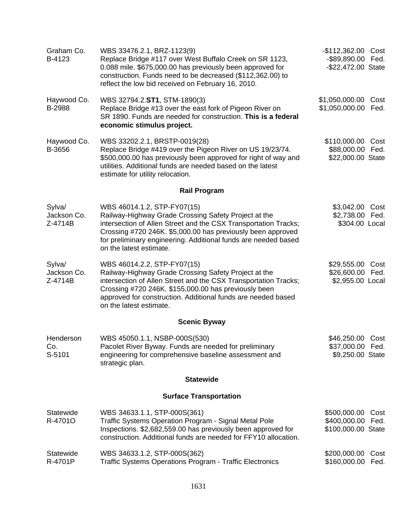| Graham Co.<br>B-4123             | WBS 33476.2.1, BRZ-1123(9)<br>Replace Bridge #117 over West Buffalo Creek on SR 1123,<br>0.088 mile. \$675,000.00 has previously been approved for<br>construction. Funds need to be decreased (\$112,362.00) to<br>reflect the low bid received on February 16, 2010.                                             | -\$112,362.00 Cost<br>-\$89,890.00 Fed.<br>-\$22,472.00 State |  |
|----------------------------------|--------------------------------------------------------------------------------------------------------------------------------------------------------------------------------------------------------------------------------------------------------------------------------------------------------------------|---------------------------------------------------------------|--|
| Haywood Co.<br>B-2988            | WBS 32794.2.ST1, STM-1890(3)<br>Replace Bridge #13 over the east fork of Pigeon River on<br>SR 1890. Funds are needed for construction. This is a federal<br>economic stimulus project.                                                                                                                            | \$1,050,000.00 Cost<br>\$1,050,000.00<br>Fed.                 |  |
| Haywood Co.<br>B-3656            | WBS 33202.2.1, BRSTP-0019(28)<br>Replace Bridge #419 over the Pigeon River on US 19/23/74.<br>\$500,000.00 has previously been approved for right of way and<br>utilities. Additional funds are needed based on the latest<br>estimate for utility relocation.                                                     | \$110,000.00 Cost<br>\$88,000.00 Fed.<br>\$22,000.00 State    |  |
|                                  | <b>Rail Program</b>                                                                                                                                                                                                                                                                                                |                                                               |  |
| Sylva/<br>Jackson Co.<br>Z-4714B | WBS 46014.1.2, STP-FY07(15)<br>Railway-Highway Grade Crossing Safety Project at the<br>intersection of Allen Street and the CSX Transportation Tracks;<br>Crossing #720 246K. \$5,000.00 has previously been approved<br>for preliminary engineering. Additional funds are needed based<br>on the latest estimate. | \$3,042.00 Cost<br>\$2,738.00 Fed.<br>\$304.00 Local          |  |
| Sylva/<br>Jackson Co.<br>Z-4714B | WBS 46014.2.2, STP-FY07(15)<br>Railway-Highway Grade Crossing Safety Project at the<br>intersection of Allen Street and the CSX Transportation Tracks;<br>Crossing #720 246K. \$155,000.00 has previously been<br>approved for construction. Additional funds are needed based<br>on the latest estimate.          | \$29,555.00 Cost<br>\$26,600.00 Fed.<br>\$2,955.00 Local      |  |
|                                  | <b>Scenic Byway</b>                                                                                                                                                                                                                                                                                                |                                                               |  |
| Henderson<br>Co.<br>S-5101       | WBS 45050.1.1, NSBP-000S(530)<br>Pacolet River Byway. Funds are needed for preliminary<br>engineering for comprehensive baseline assessment and<br>strategic plan.                                                                                                                                                 | \$46,250.00 Cost<br>\$37,000.00 Fed.<br>\$9,250.00 State      |  |
|                                  | <b>Statewide</b>                                                                                                                                                                                                                                                                                                   |                                                               |  |
|                                  | <b>Surface Transportation</b>                                                                                                                                                                                                                                                                                      |                                                               |  |
| Statewide<br>R-4701O             | WBS 34633.1.1, STP-000S(361)<br>Traffic Systems Operation Program - Signal Metal Pole<br>Inspections. \$2,682,559.00 has previously been approved for<br>construction. Additional funds are needed for FFY10 allocation.                                                                                           | \$500,000.00 Cost<br>\$400,000.00 Fed.<br>\$100,000.00 State  |  |
| Statewide<br>R-4701P             | WBS 34633.1.2, STP-000S(362)<br>Traffic Systems Operations Program - Traffic Electronics                                                                                                                                                                                                                           | \$200,000.00<br>Cost<br>\$160,000.00<br>Fed.                  |  |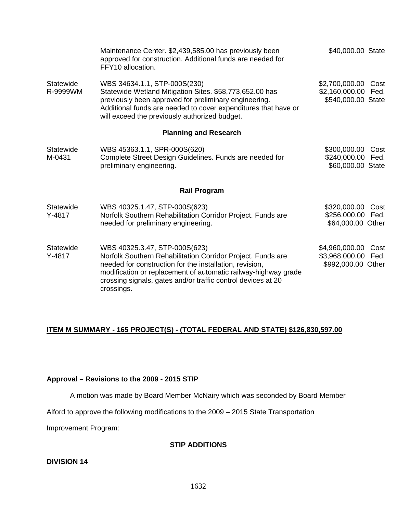|                         | Maintenance Center. \$2,439,585.00 has previously been<br>approved for construction. Additional funds are needed for<br>FFY10 allocation.                                                                                                                                                               | \$40,000.00 State                                           |              |
|-------------------------|---------------------------------------------------------------------------------------------------------------------------------------------------------------------------------------------------------------------------------------------------------------------------------------------------------|-------------------------------------------------------------|--------------|
| Statewide<br>R-9999WM   | WBS 34634.1.1, STP-000S(230)<br>Statewide Wetland Mitigation Sites. \$58,773,652.00 has<br>previously been approved for preliminary engineering.<br>Additional funds are needed to cover expenditures that have or<br>will exceed the previously authorized budget.                                     | \$2,700,000.00<br>\$2,160,000.00 Fed.<br>\$540,000.00 State | Cost         |
|                         | <b>Planning and Research</b>                                                                                                                                                                                                                                                                            |                                                             |              |
| Statewide<br>M-0431     | WBS 45363.1.1, SPR-000S(620)<br>Complete Street Design Guidelines. Funds are needed for<br>preliminary engineering.                                                                                                                                                                                     | \$300,000.00<br>\$240,000.00 Fed.<br>\$60,000.00 State      | Cost         |
|                         | <b>Rail Program</b>                                                                                                                                                                                                                                                                                     |                                                             |              |
| Statewide<br>$Y - 4817$ | WBS 40325.1.47, STP-000S(623)<br>Norfolk Southern Rehabilitation Corridor Project. Funds are<br>needed for preliminary engineering.                                                                                                                                                                     | \$320,000.00<br>\$256,000.00<br>\$64,000.00 Other           | Cost<br>Fed. |
| Statewide<br>$Y-4817$   | WBS 40325.3.47, STP-000S(623)<br>Norfolk Southern Rehabilitation Corridor Project. Funds are<br>needed for construction for the installation, revision,<br>modification or replacement of automatic railway-highway grade<br>crossing signals, gates and/or traffic control devices at 20<br>crossings. | \$4,960,000.00<br>\$3,968,000.00 Fed.<br>\$992,000.00 Other | Cost         |

### **ITEM M SUMMARY - 165 PROJECT(S) - (TOTAL FEDERAL AND STATE) \$126,830,597.00**

#### **Approval – Revisions to the 2009 - 2015 STIP**

A motion was made by Board Member McNairy which was seconded by Board Member

Alford to approve the following modifications to the 2009 – 2015 State Transportation

Improvement Program:

#### **STIP ADDITIONS**

#### **DIVISION 14**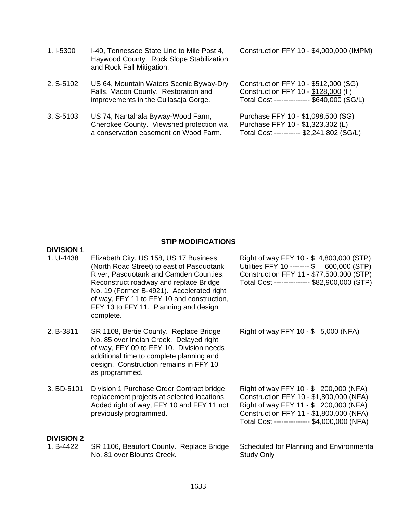- 1. I-5300 I-40, Tennessee State Line to Mile Post 4, Haywood County. Rock Slope Stabilization and Rock Fall Mitigation.
- 2. S-5102 US 64, Mountain Waters Scenic Byway-Dry Falls, Macon County. Restoration and improvements in the Cullasaja Gorge.
- 3. S-5103 US 74, Nantahala Byway-Wood Farm, Cherokee County. Viewshed protection via a conservation easement on Wood Farm.

**DIVISION 1** 

Construction FFY 10 - \$4,000,000 (IMPM)

Construction FFY 10 - \$512,000 (SG) Construction FFY 10 - \$128,000 (L) Total Cost --------------- \$640,000 (SG/L)

Purchase FFY 10 - \$1,098,500 (SG) Purchase FFY 10 - \$1,323,302 (L) Total Cost ----------- \$2,241,802 (SG/L)

#### **STIP MODIFICATIONS**

| 1. U-4438                      | Elizabeth City, US 158, US 17 Business<br>(North Road Street) to east of Pasquotank<br>River, Pasquotank and Camden Counties.<br>Reconstruct roadway and replace Bridge<br>No. 19 (Former B-4921). Accelerated right<br>of way, FFY 11 to FFY 10 and construction,<br>FFY 13 to FFY 11. Planning and design<br>complete. | Right of way FFY 10 - \$4,800,000 (STP)<br>Utilities FFY 10 -------- \$ 600,000 (STP)<br>Construction FFY 11 - \$77,500,000 (STP)<br>Total Cost -------------- \$82,900,000 (STP)                                     |
|--------------------------------|--------------------------------------------------------------------------------------------------------------------------------------------------------------------------------------------------------------------------------------------------------------------------------------------------------------------------|-----------------------------------------------------------------------------------------------------------------------------------------------------------------------------------------------------------------------|
| 2. B-3811                      | SR 1108, Bertie County. Replace Bridge<br>No. 85 over Indian Creek. Delayed right<br>of way, FFY 09 to FFY 10. Division needs<br>additional time to complete planning and<br>design. Construction remains in FFY 10<br>as programmed.                                                                                    | Right of way FFY 10 - \$ 5,000 (NFA)                                                                                                                                                                                  |
| 3. BD-5101                     | Division 1 Purchase Order Contract bridge<br>replacement projects at selected locations.<br>Added right of way, FFY 10 and FFY 11 not<br>previously programmed.                                                                                                                                                          | Right of way FFY 10 - \$ 200,000 (NFA)<br>Construction FFY 10 - \$1,800,000 (NFA)<br>Right of way FFY 11 - \$ 200,000 (NFA)<br>Construction FFY 11 - \$1,800,000 (NFA)<br>Total Cost -------------- \$4,000,000 (NFA) |
| <b>DIVISION 2</b><br>1. B-4422 | SR 1106, Beaufort County. Replace Bridge<br>No. 81 over Blounts Creek.                                                                                                                                                                                                                                                   | Scheduled for Planning and Environmental<br><b>Study Only</b>                                                                                                                                                         |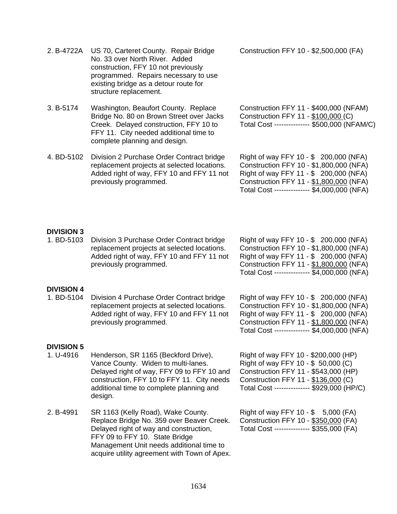| 2. B-4722A                      | US 70, Carteret County. Repair Bridge<br>No. 33 over North River. Added<br>construction, FFY 10 not previously<br>programmed. Repairs necessary to use<br>existing bridge as a detour route for<br>structure replacement.      | Construction FFY 10 - \$2,500,000 (FA)                                                                                                                                                                                |
|---------------------------------|--------------------------------------------------------------------------------------------------------------------------------------------------------------------------------------------------------------------------------|-----------------------------------------------------------------------------------------------------------------------------------------------------------------------------------------------------------------------|
| 3. B-5174                       | Washington, Beaufort County. Replace<br>Bridge No. 80 on Brown Street over Jacks<br>Creek. Delayed construction, FFY 10 to<br>FFY 11. City needed additional time to<br>complete planning and design.                          | Construction FFY 11 - \$400,000 (NFAM)<br>Construction FFY 11 - \$100,000 (C)<br>Total Cost -------------- \$500,000 (NFAM/C)                                                                                         |
| 4. BD-5102                      | Division 2 Purchase Order Contract bridge<br>replacement projects at selected locations.<br>Added right of way, FFY 10 and FFY 11 not<br>previously programmed.                                                                | Right of way FFY 10 - \$ 200,000 (NFA)<br>Construction FFY 10 - \$1,800,000 (NFA)<br>Right of way FFY 11 - \$ 200,000 (NFA)<br>Construction FFY 11 - \$1,800,000 (NFA)<br>Total Cost -------------- \$4,000,000 (NFA) |
| <b>DIVISION 3</b><br>1. BD-5103 | Division 3 Purchase Order Contract bridge<br>replacement projects at selected locations.<br>Added right of way, FFY 10 and FFY 11 not<br>previously programmed.                                                                | Right of way FFY 10 - \$ 200,000 (NFA)<br>Construction FFY 10 - \$1,800,000 (NFA)<br>Right of way FFY 11 - \$ 200,000 (NFA)<br>Construction FFY 11 - \$1,800,000 (NFA)<br>Total Cost -------------- \$4,000,000 (NFA) |
| <b>DIVISION 4</b><br>1. BD-5104 | Division 4 Purchase Order Contract bridge<br>replacement projects at selected locations.<br>Added right of way, FFY 10 and FFY 11 not<br>previously programmed.                                                                | Right of way FFY 10 - \$ 200,000 (NFA)<br>Construction FFY 10 - \$1,800,000 (NFA)<br>Right of way FFY 11 - \$ 200,000 (NFA)<br>Construction FFY 11 - \$1,800,000 (NFA)<br>Total Cost -------------- \$4,000,000 (NFA) |
| <b>DIVISION 5</b><br>1. U-4916  | Henderson, SR 1165 (Beckford Drive),<br>Vance County. Widen to multi-lanes.<br>Delayed right of way, FFY 09 to FFY 10 and<br>construction, FFY 10 to FFY 11. City needs<br>additional time to complete planning and<br>design. | Right of way FFY 10 - \$200,000 (HP)<br>Right of way FFY 10 - \$ 50,000 (C)<br>Construction FFY 11 - \$543,000 (HP)<br>Construction FFY 11 - \$136,000 (C)<br>Total Cost -------------- \$929,000 (HP/C)              |
| 2. B-4991                       | SR 1163 (Kelly Road), Wake County.<br>Replace Bridge No. 359 over Beaver Creek.<br>Delayed right of way and construction,<br>FFY 09 to FFY 10. State Bridge<br>Management Unit needs additional time to                        | Right of way FFY 10 - \$ 5,000 (FA)<br>Construction FFY 10 - \$350,000 (FA)<br>Total Cost --------------- \$355,000 (FA)                                                                                              |

1634

acquire utility agreement with Town of Apex.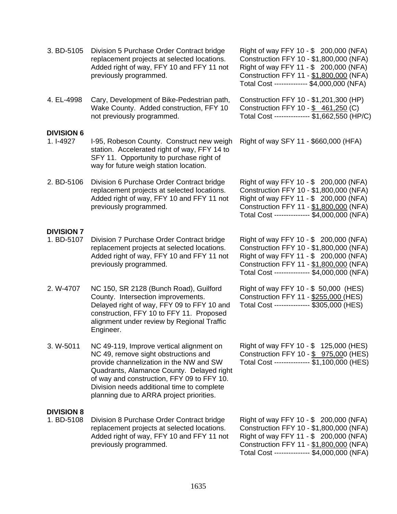| 3. BD-5105                      | Division 5 Purchase Order Contract bridge<br>replacement projects at selected locations.<br>Added right of way, FFY 10 and FFY 11 not<br>previously programmed.                                                                                                                                                  | Right of way FFY 10 - \$ 200,000 (NFA)<br>Construction FFY 10 - \$1,800,000 (NFA)<br>Right of way FFY 11 - \$ 200,000 (NFA)<br>Construction FFY 11 - \$1,800,000 (NFA)<br>Total Cost ------------- \$4,000,000 (NFA)  |
|---------------------------------|------------------------------------------------------------------------------------------------------------------------------------------------------------------------------------------------------------------------------------------------------------------------------------------------------------------|-----------------------------------------------------------------------------------------------------------------------------------------------------------------------------------------------------------------------|
| 4. EL-4998                      | Cary, Development of Bike-Pedestrian path,<br>Wake County. Added construction, FFY 10<br>not previously programmed.                                                                                                                                                                                              | Construction FFY 10 - \$1,201,300 (HP)<br>Construction FFY 10 - \$ 461,250 (C)<br>Total Cost -------------- \$1,662,550 (HP/C)                                                                                        |
| <b>DIVISION 6</b><br>1. I-4927  | I-95, Robeson County. Construct new weigh<br>station. Accelerated right of way, FFY 14 to<br>SFY 11. Opportunity to purchase right of<br>way for future weigh station location.                                                                                                                                  | Right of way SFY 11 - \$660,000 (HFA)                                                                                                                                                                                 |
| 2. BD-5106                      | Division 6 Purchase Order Contract bridge<br>replacement projects at selected locations.<br>Added right of way, FFY 10 and FFY 11 not<br>previously programmed.                                                                                                                                                  | Right of way FFY 10 - \$ 200,000 (NFA)<br>Construction FFY 10 - \$1,800,000 (NFA)<br>Right of way FFY 11 - \$ 200,000 (NFA)<br>Construction FFY 11 - \$1,800,000 (NFA)<br>Total Cost -------------- \$4,000,000 (NFA) |
| <b>DIVISION 7</b><br>1. BD-5107 | Division 7 Purchase Order Contract bridge<br>replacement projects at selected locations.<br>Added right of way, FFY 10 and FFY 11 not<br>previously programmed.                                                                                                                                                  | Right of way FFY 10 - \$ 200,000 (NFA)<br>Construction FFY 10 - \$1,800,000 (NFA)<br>Right of way FFY 11 - \$ 200,000 (NFA)<br>Construction FFY 11 - \$1,800,000 (NFA)<br>Total Cost -------------- \$4,000,000 (NFA) |
| 2. W-4707                       | NC 150, SR 2128 (Bunch Road), Guilford<br>County. Intersection improvements.<br>Delayed right of way, FFY 09 to FFY 10 and<br>construction, FFY 10 to FFY 11. Proposed<br>alignment under review by Regional Traffic<br>Engineer.                                                                                | Right of way FFY 10 - \$ 50,000 (HES)<br>Construction FFY 11 - \$255,000 (HES)<br>Total Cost -------------- \$305,000 (HES)                                                                                           |
| 3. W-5011                       | NC 49-119, Improve vertical alignment on<br>NC 49, remove sight obstructions and<br>provide channelization in the NW and SW<br>Quadrants, Alamance County. Delayed right<br>of way and construction, FFY 09 to FFY 10.<br>Division needs additional time to complete<br>planning due to ARRA project priorities. | Right of way FFY 10 - \$ 125,000 (HES)<br>Construction FFY 10 - \$ 975,000 (HES)<br>Total Cost -------------- \$1,100,000 (HES)                                                                                       |
| <b>DIVISION 8</b><br>1. BD-5108 | Division 8 Purchase Order Contract bridge<br>replacement projects at selected locations.<br>Added right of way, FFY 10 and FFY 11 not<br>previously programmed.                                                                                                                                                  | Right of way FFY 10 - \$ 200,000 (NFA)<br>Construction FFY 10 - \$1,800,000 (NFA)<br>Right of way FFY 11 - \$ 200,000 (NFA)<br>Construction FFY 11 - \$1,800,000 (NFA)<br>Total Cost -------------- \$4,000,000 (NFA) |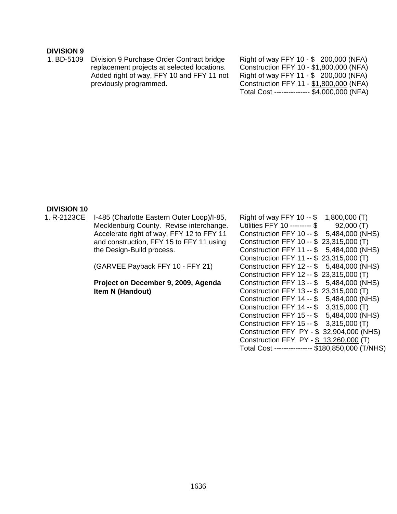#### **DIVISION 9**

1. BD-5109 Division 9 Purchase Order Contract bridge replacement projects at selected locations. Added right of way, FFY 10 and FFY 11 not previously programmed.

Right of way FFY 10 - \$ 200,000 (NFA) Construction FFY 10 - \$1,800,000 (NFA) Right of way FFY 11 - \$ 200,000 (NFA) Construction FFY 11 - \$1,800,000 (NFA) Total Cost --------------- \$4,000,000 (NFA)

#### **DIVISION 10**

1. R-2123CE I-485 (Charlotte Eastern Outer Loop)/I-85, Mecklenburg County. Revise interchange. Accelerate right of way, FFY 12 to FFY 11 and construction, FFY 15 to FFY 11 using the Design-Build process.

(GARVEE Payback FFY 10 - FFY 21)

**Project on December 9, 2009, Agenda Item N (Handout)** 

| Right of way FFY 10 $-$ \$<br>1,800,000 (T)      |
|--------------------------------------------------|
| Utilities FFY 10 --------- \$<br>92,000(T)       |
| 5,484,000 (NHS)<br>Construction FFY 10 -- \$     |
| 23,315,000 (T)<br>Construction FFY 10 -- \$      |
| 5,484,000 (NHS)<br>Construction FFY 11 -- \$     |
| 23,315,000 (T)<br>Construction FFY 11 -- \$      |
| 5,484,000 (NHS)<br>Construction FFY 12 -- \$     |
| 23,315,000 (T)<br>Construction FFY 12 -- \$      |
| 5,484,000 (NHS)<br>Construction FFY 13 -- \$     |
| 23,315,000 (T)<br>Construction FFY 13 -- \$      |
| 5,484,000 (NHS)<br>Construction FFY 14 -- \$     |
| 3,315,000 (T)<br>Construction FFY 14 -- \$       |
| 5,484,000 (NHS)<br>Construction FFY 15 -- \$     |
| 3,315,000 (T)<br>Construction FFY 15 -- \$       |
| 32,904,000 (NHS)<br>Construction FFY PY - \$     |
| Construction FFY PY - \$<br>13,260,000 (T)       |
| Total Cost --------------- \$180,850,000 (T/NHS) |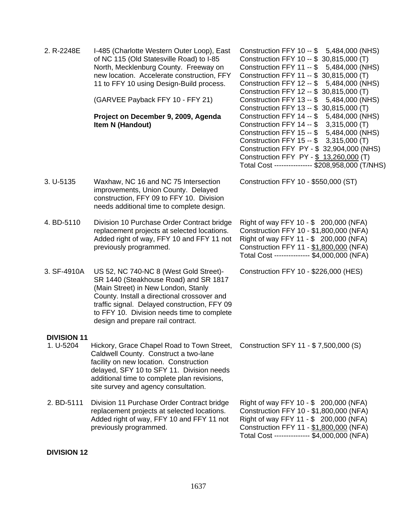| 2. R-2248E                      | I-485 (Charlotte Western Outer Loop), East<br>of NC 115 (Old Statesville Road) to I-85<br>North, Mecklenburg County. Freeway on<br>new location. Accelerate construction, FFY<br>11 to FFY 10 using Design-Build process.<br>(GARVEE Payback FFY 10 - FFY 21)<br>Project on December 9, 2009, Agenda<br>Item N (Handout) | Construction FFY 10 -- \$ 5,484,000 (NHS)<br>Construction FFY 10 -- \$ 30,815,000 (T)<br>5,484,000 (NHS)<br>Construction FFY 11 -- \$<br>Construction FFY 11 -- \$ 30,815,000 (T)<br>5,484,000 (NHS)<br>Construction FFY 12 -- \$<br>Construction FFY 12 -- \$ 30,815,000 (T)<br>Construction FFY 13 -- \$<br>5,484,000 (NHS)<br>Construction FFY 13 -- \$ 30,815,000 (T)<br>Construction FFY 14 -- \$ 5,484,000 (NHS)<br>Construction FFY 14 -- \$ 3,315,000 (T)<br>Construction FFY 15 -- \$ 5,484,000 (NHS)<br>Construction FFY 15 -- \$ 3,315,000 (T)<br>Construction FFY PY - \$ 32,904,000 (NHS)<br>Construction FFY PY - \$ 13,260,000 (T)<br>Total Cost --------------- \$208,958,000 (T/NHS) |
|---------------------------------|--------------------------------------------------------------------------------------------------------------------------------------------------------------------------------------------------------------------------------------------------------------------------------------------------------------------------|-------------------------------------------------------------------------------------------------------------------------------------------------------------------------------------------------------------------------------------------------------------------------------------------------------------------------------------------------------------------------------------------------------------------------------------------------------------------------------------------------------------------------------------------------------------------------------------------------------------------------------------------------------------------------------------------------------|
| 3. U-5135                       | Waxhaw, NC 16 and NC 75 Intersection<br>improvements, Union County. Delayed<br>construction, FFY 09 to FFY 10. Division<br>needs additional time to complete design.                                                                                                                                                     | Construction FFY 10 - \$550,000 (ST)                                                                                                                                                                                                                                                                                                                                                                                                                                                                                                                                                                                                                                                                  |
| 4. BD-5110                      | Division 10 Purchase Order Contract bridge<br>replacement projects at selected locations.<br>Added right of way, FFY 10 and FFY 11 not<br>previously programmed.                                                                                                                                                         | Right of way FFY 10 - \$ 200,000 (NFA)<br>Construction FFY 10 - \$1,800,000 (NFA)<br>Right of way FFY 11 - \$ 200,000 (NFA)<br>Construction FFY 11 - \$1,800,000 (NFA)<br>Total Cost -------------- \$4,000,000 (NFA)                                                                                                                                                                                                                                                                                                                                                                                                                                                                                 |
| 3. SF-4910A                     | US 52, NC 740-NC 8 (West Gold Street)-<br>SR 1440 (Steakhouse Road) and SR 1817<br>(Main Street) in New London, Stanly<br>County. Install a directional crossover and<br>traffic signal. Delayed construction, FFY 09<br>to FFY 10. Division needs time to complete<br>design and prepare rail contract.                 | Construction FFY 10 - \$226,000 (HES)                                                                                                                                                                                                                                                                                                                                                                                                                                                                                                                                                                                                                                                                 |
| <b>DIVISION 11</b><br>1. U-5204 | Hickory, Grace Chapel Road to Town Street,<br>Caldwell County. Construct a two-lane<br>facility on new location. Construction<br>delayed, SFY 10 to SFY 11. Division needs<br>additional time to complete plan revisions,<br>site survey and agency consultation.                                                        | Construction SFY 11 - \$7,500,000 (S)                                                                                                                                                                                                                                                                                                                                                                                                                                                                                                                                                                                                                                                                 |
| 2. BD-5111                      | Division 11 Purchase Order Contract bridge<br>replacement projects at selected locations.<br>Added right of way, FFY 10 and FFY 11 not<br>previously programmed.                                                                                                                                                         | Right of way FFY 10 - \$ 200,000 (NFA)<br>Construction FFY 10 - \$1,800,000 (NFA)<br>Right of way FFY 11 - \$ 200,000 (NFA)<br>Construction FFY 11 - \$1,800,000 (NFA)<br>Total Cost -------------- \$4,000,000 (NFA)                                                                                                                                                                                                                                                                                                                                                                                                                                                                                 |

## **DIVISION 12**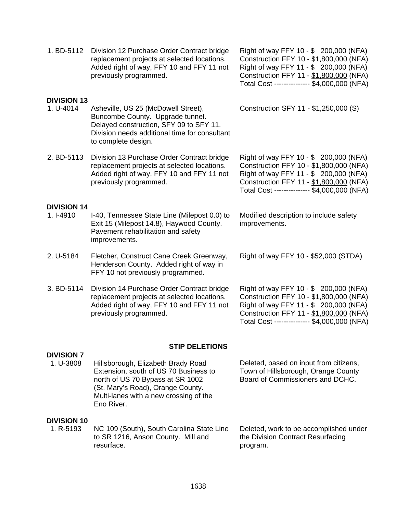| 1. BD-5112                      | Division 12 Purchase Order Contract bridge<br>replacement projects at selected locations.<br>Added right of way, FFY 10 and FFY 11 not<br>previously programmed.                           | Right of way FFY 10 - \$ 200,000 (NFA)<br>Construction FFY 10 - \$1,800,000 (NFA)<br>Right of way FFY 11 - \$ 200,000 (NFA)<br>Construction FFY 11 - \$1,800,000 (NFA)<br>Total Cost -------------- \$4,000,000 (NFA) |
|---------------------------------|--------------------------------------------------------------------------------------------------------------------------------------------------------------------------------------------|-----------------------------------------------------------------------------------------------------------------------------------------------------------------------------------------------------------------------|
| <b>DIVISION 13</b><br>1. U-4014 | Asheville, US 25 (McDowell Street),<br>Buncombe County. Upgrade tunnel.<br>Delayed construction, SFY 09 to SFY 11.<br>Division needs additional time for consultant<br>to complete design. | Construction SFY 11 - \$1,250,000 (S)                                                                                                                                                                                 |
| 2. BD-5113                      | Division 13 Purchase Order Contract bridge<br>replacement projects at selected locations.<br>Added right of way, FFY 10 and FFY 11 not<br>previously programmed.                           | Right of way FFY 10 - \$ 200,000 (NFA)<br>Construction FFY 10 - \$1,800,000 (NFA)<br>Right of way FFY 11 - \$ 200,000 (NFA)<br>Construction FFY 11 - \$1,800,000 (NFA)<br>Total Cost -------------- \$4,000,000 (NFA) |
| <b>DIVISION 14</b><br>1. I-4910 | I-40, Tennessee State Line (Milepost 0.0) to<br>Exit 15 (Milepost 14.8), Haywood County.<br>Pavement rehabilitation and safety<br>improvements.                                            | Modified description to include safety<br>improvements.                                                                                                                                                               |
| 2. U-5184                       | Fletcher, Construct Cane Creek Greenway,<br>Henderson County. Added right of way in<br>FFY 10 not previously programmed.                                                                   | Right of way FFY 10 - \$52,000 (STDA)                                                                                                                                                                                 |
| 3. BD-5114                      | Division 14 Purchase Order Contract bridge<br>replacement projects at selected locations.<br>Added right of way, FFY 10 and FFY 11 not<br>previously programmed.                           | Right of way FFY 10 - \$ 200,000 (NFA)<br>Construction FFY 10 - \$1,800,000 (NFA)<br>Right of way FFY 11 - \$ 200,000 (NFA)<br>Construction FFY 11 - \$1,800,000 (NFA)<br>Total Cost -------------- \$4,000,000 (NFA) |

#### **STIP DELETIONS**

# **DIVISION 7**

Hillsborough, Elizabeth Brady Road Extension, south of US 70 Business to north of US 70 Bypass at SR 1002 (St. Mary's Road), Orange County. Multi-lanes with a new crossing of the Eno River.

Deleted, based on input from citizens, Town of Hillsborough, Orange County Board of Commissioners and DCHC.

# **DIVISION 10**<br>1. R-5193

NC 109 (South), South Carolina State Line to SR 1216, Anson County. Mill and resurface.

Deleted, work to be accomplished under the Division Contract Resurfacing program.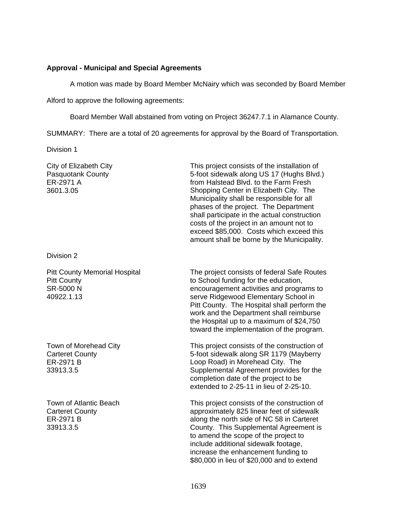#### **Approval - Municipal and Special Agreements**

A motion was made by Board Member McNairy which was seconded by Board Member

Alford to approve the following agreements:

Board Member Wall abstained from voting on Project 36247.7.1 in Alamance County.

SUMMARY: There are a total of 20 agreements for approval by the Board of Transportation.

Division 1

City of Elizabeth City Pasquotank County ER-2971 A 3601.3.05 This project consists of the installation of 5-foot sidewalk along US 17 (Hughs Blvd.) from Halstead Blvd. to the Farm Fresh Shopping Center in Elizabeth City. The Municipality shall be responsible for all phases of the project. The Department shall participate in the actual construction costs of the project in an amount not to exceed \$85,000. Costs which exceed this amount shall be borne by the Municipality.

Division 2

Pitt County Memorial Hospital Pitt County SR-5000 N 40922.1.13

Town of Morehead City Carteret County ER-2971 B 33913.3.5

Town of Atlantic Beach Carteret County ER-2971 B 33913.3.5

The project consists of federal Safe Routes to School funding for the education, encouragement activities and programs to serve Ridgewood Elementary School in Pitt County. The Hospital shall perform the work and the Department shall reimburse the Hospital up to a maximum of \$24,750 toward the implementation of the program.

This project consists of the construction of 5-foot sidewalk along SR 1179 (Mayberry Loop Road) in Morehead City. The Supplemental Agreement provides for the completion date of the project to be extended to 2-25-11 in lieu of 2-25-10.

This project consists of the construction of approximately 825 linear feet of sidewalk along the north side of NC 58 in Carteret County. This Supplemental Agreement is to amend the scope of the project to include additional sidewalk footage, increase the enhancement funding to \$80,000 in lieu of \$20,000 and to extend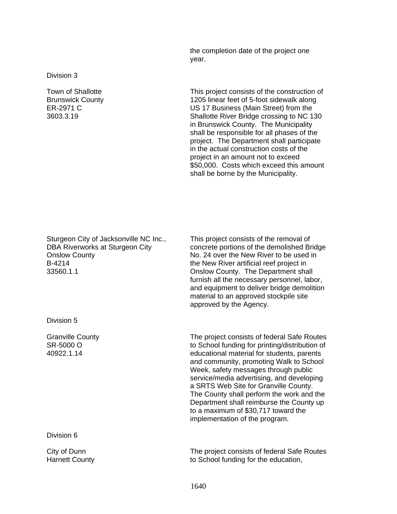the completion date of the project one year.

Division 3

Town of Shallotte Brunswick County ER-2971 C 3603.3.19

This project consists of the construction of 1205 linear feet of 5-foot sidewalk along US 17 Business (Main Street) from the Shallotte River Bridge crossing to NC 130 in Brunswick County. The Municipality shall be responsible for all phases of the project. The Department shall participate in the actual construction costs of the project in an amount not to exceed \$50,000. Costs which exceed this amount shall be borne by the Municipality.

Sturgeon City of Jacksonville NC Inc., DBA Riverworks at Sturgeon City Onslow County B-4214 33560.1.1

Division 5

Granville County SR-5000 O 40922.1.14

Division 6

City of Dunn Harnett County This project consists of the removal of concrete portions of the demolished Bridge No. 24 over the New River to be used in the New River artificial reef project in Onslow County. The Department shall furnish all the necessary personnel, labor, and equipment to deliver bridge demolition material to an approved stockpile site approved by the Agency.

The project consists of federal Safe Routes to School funding for printing/distribution of educational material for students, parents and community, promoting Walk to School Week, safety messages through public service/media advertising, and developing a SRTS Web Site for Granville County. The County shall perform the work and the Department shall reimburse the County up to a maximum of \$30,717 toward the implementation of the program.

The project consists of federal Safe Routes to School funding for the education,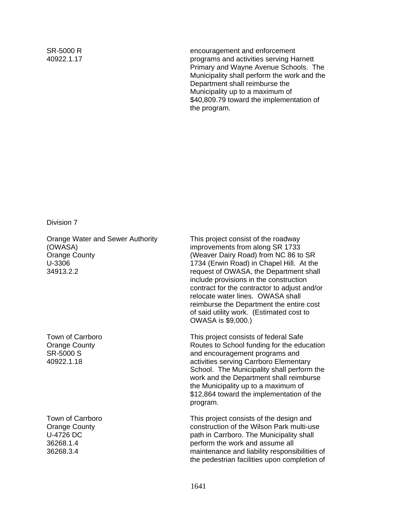SR-5000 R 40922.1.17 encouragement and enforcement programs and activities serving Harnett Primary and Wayne Avenue Schools. The Municipality shall perform the work and the Department shall reimburse the Municipality up to a maximum of \$40,809.79 toward the implementation of the program.

Division 7

Orange Water and Sewer Authority (OWASA) Orange County U-3306 34913.2.2

Town of Carrboro Orange County SR-5000 S 40922.1.18

Town of Carrboro Orange County U-4726 DC 36268.1.4 36268.3.4

This project consist of the roadway improvements from along SR 1733 (Weaver Dairy Road) from NC 86 to SR 1734 (Erwin Road) in Chapel Hill. At the request of OWASA, the Department shall include provisions in the construction contract for the contractor to adjust and/or relocate water lines. OWASA shall reimburse the Department the entire cost of said utility work. (Estimated cost to OWASA is \$9,000.)

This project consists of federal Safe Routes to School funding for the education and encouragement programs and activities serving Carrboro Elementary School. The Municipality shall perform the work and the Department shall reimburse the Municipality up to a maximum of \$12,864 toward the implementation of the program.

This project consists of the design and construction of the Wilson Park multi-use path in Carrboro. The Municipality shall perform the work and assume all maintenance and liability responsibilities of the pedestrian facilities upon completion of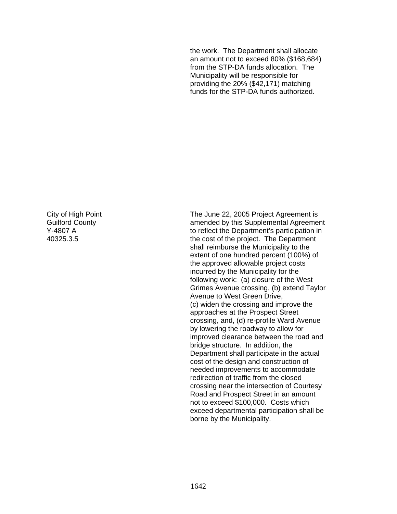the work. The Department shall allocate an amount not to exceed 80% (\$168,684) from the STP-DA funds allocation. The Municipality will be responsible for providing the 20% (\$42,171) matching funds for the STP-DA funds authorized.

City of High Point Guilford County Y-4807 A 40325.3.5

The June 22, 2005 Project Agreement is amended by this Supplemental Agreement to reflect the Department's participation in the cost of the project. The Department shall reimburse the Municipality to the extent of one hundred percent (100%) of the approved allowable project costs incurred by the Municipality for the following work: (a) closure of the West Grimes Avenue crossing, (b) extend Taylor Avenue to West Green Drive, (c) widen the crossing and improve the approaches at the Prospect Street crossing, and, (d) re-profile Ward Avenue by lowering the roadway to allow for improved clearance between the road and bridge structure. In addition, the Department shall participate in the actual cost of the design and construction of needed improvements to accommodate redirection of traffic from the closed crossing near the intersection of Courtesy Road and Prospect Street in an amount not to exceed \$100,000. Costs which exceed departmental participation shall be borne by the Municipality.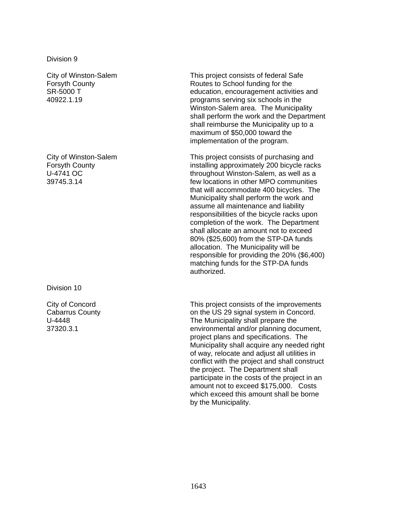Division 9

City of Winston-Salem Forsyth County SR-5000 T 40922.1.19

City of Winston-Salem Forsyth County U-4741 OC 39745.3.14

Division 10

City of Concord Cabarrus County U-4448 37320.3.1

This project consists of federal Safe Routes to School funding for the education, encouragement activities and programs serving six schools in the Winston-Salem area. The Municipality shall perform the work and the Department shall reimburse the Municipality up to a maximum of \$50,000 toward the implementation of the program.

This project consists of purchasing and installing approximately 200 bicycle racks throughout Winston-Salem, as well as a few locations in other MPO communities that will accommodate 400 bicycles. The Municipality shall perform the work and assume all maintenance and liability responsibilities of the bicycle racks upon completion of the work. The Department shall allocate an amount not to exceed 80% (\$25,600) from the STP-DA funds allocation. The Municipality will be responsible for providing the 20% (\$6,400) matching funds for the STP-DA funds authorized.

This project consists of the improvements on the US 29 signal system in Concord. The Municipality shall prepare the environmental and/or planning document, project plans and specifications. The Municipality shall acquire any needed right of way, relocate and adjust all utilities in conflict with the project and shall construct the project. The Department shall participate in the costs of the project in an amount not to exceed \$175,000. Costs which exceed this amount shall be borne by the Municipality.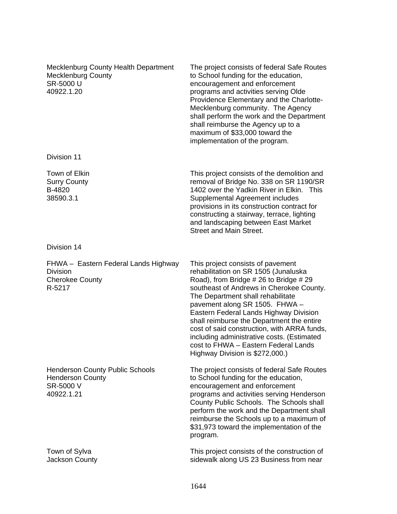| Mecklenburg County Health Department<br><b>Mecklenburg County</b><br>SR-5000 U<br>40922.1.20 | The project consists of federal Safe Routes<br>to School funding for the education,<br>encouragement and enforcement<br>programs and activities serving Olde<br>Providence Elementary and the Charlotte-<br>Mecklenburg community. The Agency<br>shall perform the work and the Department<br>shall reimburse the Agency up to a<br>maximum of \$33,000 toward the<br>implementation of the program.                                                                                                  |
|----------------------------------------------------------------------------------------------|-------------------------------------------------------------------------------------------------------------------------------------------------------------------------------------------------------------------------------------------------------------------------------------------------------------------------------------------------------------------------------------------------------------------------------------------------------------------------------------------------------|
| Division 11                                                                                  |                                                                                                                                                                                                                                                                                                                                                                                                                                                                                                       |
| Town of Elkin<br><b>Surry County</b><br>B-4820<br>38590.3.1                                  | This project consists of the demolition and<br>removal of Bridge No. 338 on SR 1190/SR<br>1402 over the Yadkin River in Elkin. This<br>Supplemental Agreement includes<br>provisions in its construction contract for<br>constructing a stairway, terrace, lighting<br>and landscaping between East Market<br><b>Street and Main Street.</b>                                                                                                                                                          |
| Division 14                                                                                  |                                                                                                                                                                                                                                                                                                                                                                                                                                                                                                       |
| FHWA - Eastern Federal Lands Highway<br>Division<br><b>Cherokee County</b><br>R-5217         | This project consists of pavement<br>rehabilitation on SR 1505 (Junaluska<br>Road), from Bridge # 26 to Bridge # 29<br>southeast of Andrews in Cherokee County.<br>The Department shall rehabilitate<br>pavement along SR 1505. FHWA -<br>Eastern Federal Lands Highway Division<br>shall reimburse the Department the entire<br>cost of said construction, with ARRA funds,<br>including administrative costs. (Estimated<br>cost to FHWA - Eastern Federal Lands<br>Highway Division is \$272,000.) |
| <b>Henderson County Public Schools</b><br><b>Henderson County</b><br>SR-5000 V<br>40922.1.21 | The project consists of federal Safe Routes<br>to School funding for the education,<br>encouragement and enforcement<br>programs and activities serving Henderson<br>County Public Schools. The Schools shall<br>perform the work and the Department shall<br>reimburse the Schools up to a maximum of<br>\$31,973 toward the implementation of the<br>program.                                                                                                                                       |
| Town of Sylva<br>Jackson County                                                              | This project consists of the construction of<br>sidewalk along US 23 Business from near                                                                                                                                                                                                                                                                                                                                                                                                               |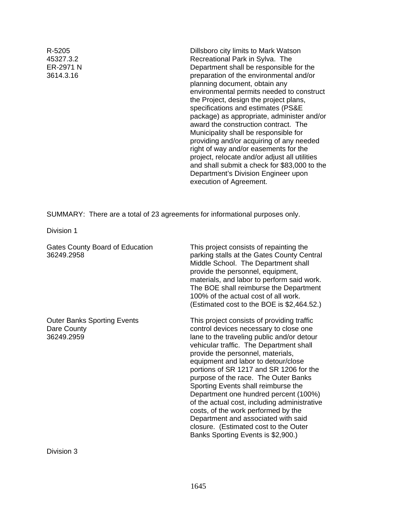R-5205 45327.3.2 ER-2971 N 3614.3.16

Dillsboro city limits to Mark Watson Recreational Park in Sylva. The Department shall be responsible for the preparation of the environmental and/or planning document, obtain any environmental permits needed to construct the Project, design the project plans, specifications and estimates (PS&E package) as appropriate, administer and/or award the construction contract. The Municipality shall be responsible for providing and/or acquiring of any needed right of way and/or easements for the project, relocate and/or adjust all utilities and shall submit a check for \$83,000 to the Department's Division Engineer upon execution of Agreement.

SUMMARY: There are a total of 23 agreements for informational purposes only.

Division 1

| <b>Gates County Board of Education</b><br>36249.2958            | This project consists of repainting the<br>parking stalls at the Gates County Central<br>Middle School. The Department shall<br>provide the personnel, equipment,<br>materials, and labor to perform said work.<br>The BOE shall reimburse the Department<br>100% of the actual cost of all work.<br>(Estimated cost to the BOE is $$2,464.52$ .)                                                                                                                                                                                                                                                                                         |
|-----------------------------------------------------------------|-------------------------------------------------------------------------------------------------------------------------------------------------------------------------------------------------------------------------------------------------------------------------------------------------------------------------------------------------------------------------------------------------------------------------------------------------------------------------------------------------------------------------------------------------------------------------------------------------------------------------------------------|
| <b>Outer Banks Sporting Events</b><br>Dare County<br>36249.2959 | This project consists of providing traffic<br>control devices necessary to close one<br>lane to the traveling public and/or detour<br>vehicular traffic. The Department shall<br>provide the personnel, materials,<br>equipment and labor to detour/close<br>portions of SR 1217 and SR 1206 for the<br>purpose of the race. The Outer Banks<br>Sporting Events shall reimburse the<br>Department one hundred percent (100%)<br>of the actual cost, including administrative<br>costs, of the work performed by the<br>Department and associated with said<br>closure. (Estimated cost to the Outer<br>Banks Sporting Events is \$2,900.) |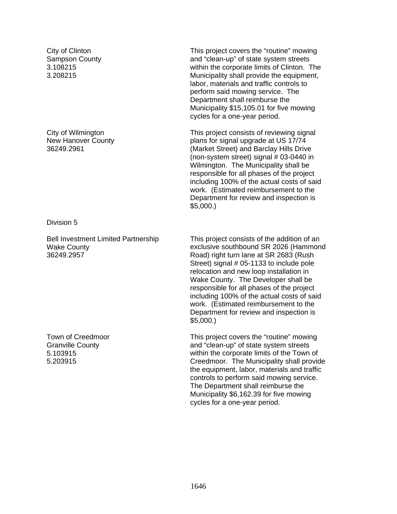City of Clinton Sampson County 3.108215 3.208215

City of Wilmington New Hanover County 36249.2961

Division 5

Bell Investment Limited Partnership Wake County 36249.2957

Town of Creedmoor Granville County 5.103915 5.203915

This project covers the "routine" mowing and "clean-up" of state system streets within the corporate limits of Clinton. The Municipality shall provide the equipment, labor, materials and traffic controls to perform said mowing service. The Department shall reimburse the Municipality \$15,105.01 for five mowing cycles for a one-year period.

This project consists of reviewing signal plans for signal upgrade at US 17/74 (Market Street) and Barclay Hills Drive (non-system street) signal # 03-0440 in Wilmington. The Municipality shall be responsible for all phases of the project including 100% of the actual costs of said work. (Estimated reimbursement to the Department for review and inspection is \$5,000.)

This project consists of the addition of an exclusive southbound SR 2026 (Hammond Road) right turn lane at SR 2683 (Rush Street) signal # 05-1133 to include pole relocation and new loop installation in Wake County. The Developer shall be responsible for all phases of the project including 100% of the actual costs of said work. (Estimated reimbursement to the Department for review and inspection is \$5,000.)

This project covers the "routine" mowing and "clean-up" of state system streets within the corporate limits of the Town of Creedmoor. The Municipality shall provide the equipment, labor, materials and traffic controls to perform said mowing service. The Department shall reimburse the Municipality \$6,162.39 for five mowing cycles for a one-year period.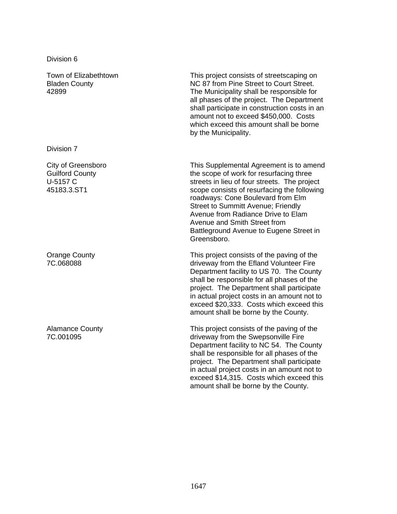Division 6

Town of Elizabethtown Bladen County 42899

Division 7

City of Greensboro Guilford County U-5157 C 45183.3.ST1

Orange County 7C.068088

Alamance County 7C.001095

This project consists of streetscaping on NC 87 from Pine Street to Court Street. The Municipality shall be responsible for all phases of the project. The Department shall participate in construction costs in an amount not to exceed \$450,000. Costs which exceed this amount shall be borne by the Municipality.

This Supplemental Agreement is to amend the scope of work for resurfacing three streets in lieu of four streets. The project scope consists of resurfacing the following roadways: Cone Boulevard from Elm Street to Summitt Avenue; Friendly Avenue from Radiance Drive to Elam Avenue and Smith Street from Battleground Avenue to Eugene Street in Greensboro.

This project consists of the paving of the driveway from the Efland Volunteer Fire Department facility to US 70. The County shall be responsible for all phases of the project. The Department shall participate in actual project costs in an amount not to exceed \$20,333. Costs which exceed this amount shall be borne by the County.

This project consists of the paving of the driveway from the Swepsonville Fire Department facility to NC 54. The County shall be responsible for all phases of the project. The Department shall participate in actual project costs in an amount not to exceed \$14,315. Costs which exceed this amount shall be borne by the County.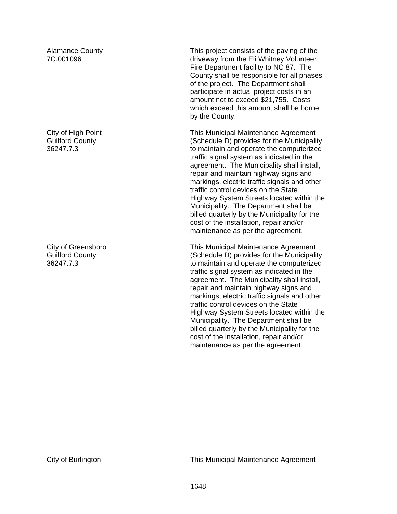Alamance County 7C.001096

City of High Point Guilford County 36247.7.3

City of Greensboro Guilford County 36247.7.3

This project consists of the paving of the driveway from the Eli Whitney Volunteer Fire Department facility to NC 87. The County shall be responsible for all phases of the project. The Department shall participate in actual project costs in an amount not to exceed \$21,755. Costs which exceed this amount shall be borne by the County.

This Municipal Maintenance Agreement (Schedule D) provides for the Municipality to maintain and operate the computerized traffic signal system as indicated in the agreement. The Municipality shall install, repair and maintain highway signs and markings, electric traffic signals and other traffic control devices on the State Highway System Streets located within the Municipality. The Department shall be billed quarterly by the Municipality for the cost of the installation, repair and/or maintenance as per the agreement.

This Municipal Maintenance Agreement (Schedule D) provides for the Municipality to maintain and operate the computerized traffic signal system as indicated in the agreement. The Municipality shall install, repair and maintain highway signs and markings, electric traffic signals and other traffic control devices on the State Highway System Streets located within the Municipality. The Department shall be billed quarterly by the Municipality for the cost of the installation, repair and/or maintenance as per the agreement.

City of Burlington This Municipal Maintenance Agreement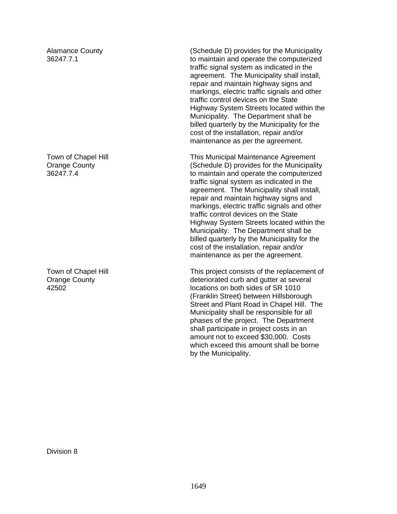Alamance County 36247.7.1

Town of Chapel Hill Orange County 36247.7.4

Town of Chapel Hill Orange County 42502

(Schedule D) provides for the Municipality to maintain and operate the computerized traffic signal system as indicated in the agreement. The Municipality shall install, repair and maintain highway signs and markings, electric traffic signals and other traffic control devices on the State Highway System Streets located within the Municipality. The Department shall be billed quarterly by the Municipality for the cost of the installation, repair and/or maintenance as per the agreement.

This Municipal Maintenance Agreement (Schedule D) provides for the Municipality to maintain and operate the computerized traffic signal system as indicated in the agreement. The Municipality shall install, repair and maintain highway signs and markings, electric traffic signals and other traffic control devices on the State Highway System Streets located within the Municipality. The Department shall be billed quarterly by the Municipality for the cost of the installation, repair and/or maintenance as per the agreement.

This project consists of the replacement of deteriorated curb and gutter at several locations on both sides of SR 1010 (Franklin Street) between Hillsborough Street and Plant Road in Chapel Hill. The Municipality shall be responsible for all phases of the project. The Department shall participate in project costs in an amount not to exceed \$30,000. Costs which exceed this amount shall be borne by the Municipality.

Division 8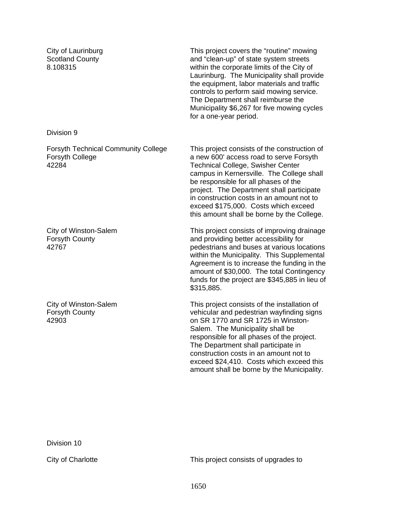City of Laurinburg Scotland County 8.108315

This project covers the "routine" mowing and "clean-up" of state system streets within the corporate limits of the City of Laurinburg. The Municipality shall provide the equipment, labor materials and traffic controls to perform said mowing service. The Department shall reimburse the Municipality \$6,267 for five mowing cycles for a one-year period.

Division 9

Forsyth Technical Community College Forsyth College 42284

City of Winston-Salem Forsyth County 42767

City of Winston-Salem Forsyth County 42903

This project consists of the construction of a new 600' access road to serve Forsyth Technical College, Swisher Center campus in Kernersville. The College shall be responsible for all phases of the project. The Department shall participate in construction costs in an amount not to exceed \$175,000. Costs which exceed this amount shall be borne by the College.

This project consists of improving drainage and providing better accessibility for pedestrians and buses at various locations within the Municipality. This Supplemental Agreement is to increase the funding in the amount of \$30,000. The total Contingency funds for the project are \$345,885 in lieu of \$315,885.

This project consists of the installation of vehicular and pedestrian wayfinding signs on SR 1770 and SR 1725 in Winston-Salem. The Municipality shall be responsible for all phases of the project. The Department shall participate in construction costs in an amount not to exceed \$24,410. Costs which exceed this amount shall be borne by the Municipality.

Division 10

City of Charlotte This project consists of upgrades to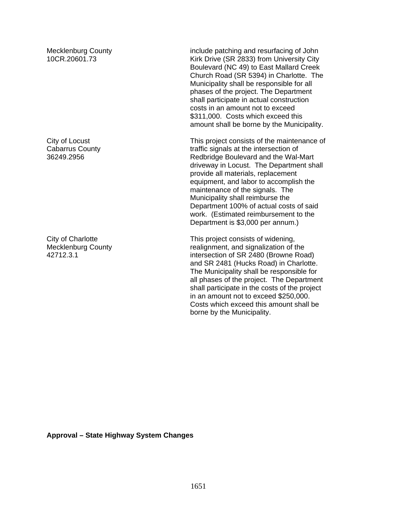Mecklenburg County 10CR.20601.73

City of Locust Cabarrus County 36249.2956

City of Charlotte Mecklenburg County 42712.3.1

include patching and resurfacing of John Kirk Drive (SR 2833) from University City Boulevard (NC 49) to East Mallard Creek Church Road (SR 5394) in Charlotte. The Municipality shall be responsible for all phases of the project. The Department shall participate in actual construction costs in an amount not to exceed \$311,000. Costs which exceed this amount shall be borne by the Municipality.

This project consists of the maintenance of traffic signals at the intersection of Redbridge Boulevard and the Wal-Mart driveway in Locust. The Department shall provide all materials, replacement equipment, and labor to accomplish the maintenance of the signals. The Municipality shall reimburse the Department 100% of actual costs of said work. (Estimated reimbursement to the Department is \$3,000 per annum.)

This project consists of widening, realignment, and signalization of the intersection of SR 2480 (Browne Road) and SR 2481 (Hucks Road) in Charlotte. The Municipality shall be responsible for all phases of the project. The Department shall participate in the costs of the project in an amount not to exceed \$250,000. Costs which exceed this amount shall be borne by the Municipality.

**Approval – State Highway System Changes**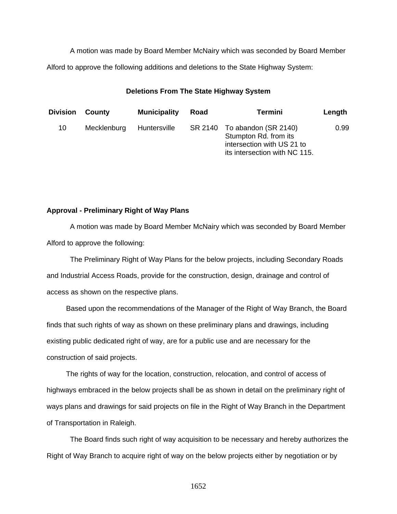A motion was made by Board Member McNairy which was seconded by Board Member Alford to approve the following additions and deletions to the State Highway System:

## **Deletions From The State Highway System**

| Division | County      | <b>Municipality</b> | Road    | <b>Termini</b>                                                                                               | Length |
|----------|-------------|---------------------|---------|--------------------------------------------------------------------------------------------------------------|--------|
| 10       | Mecklenburg | Huntersville        | SR 2140 | To abandon (SR 2140)<br>Stumpton Rd. from its<br>intersection with US 21 to<br>its intersection with NC 115. | 0.99   |

# **Approval - Preliminary Right of Way Plans**

 A motion was made by Board Member McNairy which was seconded by Board Member Alford to approve the following:

 The Preliminary Right of Way Plans for the below projects, including Secondary Roads and Industrial Access Roads, provide for the construction, design, drainage and control of access as shown on the respective plans.

 Based upon the recommendations of the Manager of the Right of Way Branch, the Board finds that such rights of way as shown on these preliminary plans and drawings, including existing public dedicated right of way, are for a public use and are necessary for the construction of said projects.

 The rights of way for the location, construction, relocation, and control of access of highways embraced in the below projects shall be as shown in detail on the preliminary right of ways plans and drawings for said projects on file in the Right of Way Branch in the Department of Transportation in Raleigh.

The Board finds such right of way acquisition to be necessary and hereby authorizes the Right of Way Branch to acquire right of way on the below projects either by negotiation or by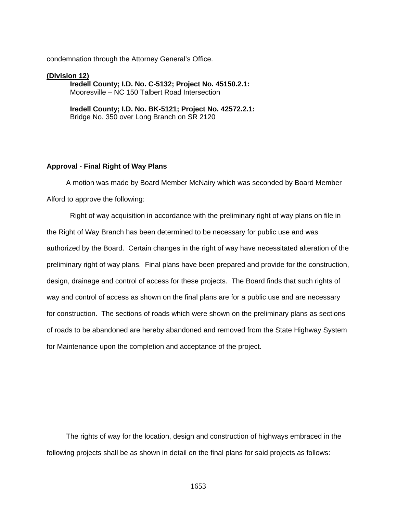condemnation through the Attorney General's Office.

**(Division 12) Iredell County; I.D. No. C-5132; Project No. 45150.2.1:**  Mooresville – NC 150 Talbert Road Intersection

> **Iredell County; I.D. No. BK-5121; Project No. 42572.2.1:**  Bridge No. 350 over Long Branch on SR 2120

#### **Approval - Final Right of Way Plans**

 A motion was made by Board Member McNairy which was seconded by Board Member Alford to approve the following:

Right of way acquisition in accordance with the preliminary right of way plans on file in the Right of Way Branch has been determined to be necessary for public use and was authorized by the Board. Certain changes in the right of way have necessitated alteration of the preliminary right of way plans. Final plans have been prepared and provide for the construction, design, drainage and control of access for these projects. The Board finds that such rights of way and control of access as shown on the final plans are for a public use and are necessary for construction. The sections of roads which were shown on the preliminary plans as sections of roads to be abandoned are hereby abandoned and removed from the State Highway System for Maintenance upon the completion and acceptance of the project.

 The rights of way for the location, design and construction of highways embraced in the following projects shall be as shown in detail on the final plans for said projects as follows: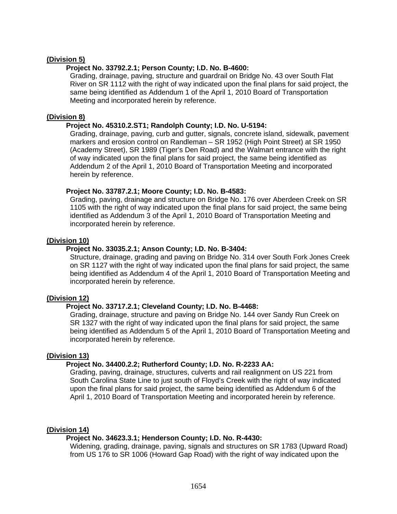# **(Division 5)**

## **Project No. 33792.2.1; Person County; I.D. No. B-4600:**

Grading, drainage, paving, structure and guardrail on Bridge No. 43 over South Flat River on SR 1112 with the right of way indicated upon the final plans for said project, the same being identified as Addendum 1 of the April 1, 2010 Board of Transportation Meeting and incorporated herein by reference.

## **(Division 8)**

## **Project No. 45310.2.ST1; Randolph County; I.D. No. U-5194:**

Grading, drainage, paving, curb and gutter, signals, concrete island, sidewalk, pavement markers and erosion control on Randleman – SR 1952 (High Point Street) at SR 1950 (Academy Street), SR 1989 (Tiger's Den Road) and the Walmart entrance with the right of way indicated upon the final plans for said project, the same being identified as Addendum 2 of the April 1, 2010 Board of Transportation Meeting and incorporated herein by reference.

## **Project No. 33787.2.1; Moore County; I.D. No. B-4583:**

Grading, paving, drainage and structure on Bridge No. 176 over Aberdeen Creek on SR 1105 with the right of way indicated upon the final plans for said project, the same being identified as Addendum 3 of the April 1, 2010 Board of Transportation Meeting and incorporated herein by reference.

## **(Division 10)**

## **Project No. 33035.2.1; Anson County; I.D. No. B-3404:**

Structure, drainage, grading and paving on Bridge No. 314 over South Fork Jones Creek on SR 1127 with the right of way indicated upon the final plans for said project, the same being identified as Addendum 4 of the April 1, 2010 Board of Transportation Meeting and incorporated herein by reference.

## **(Division 12)**

## **Project No. 33717.2.1; Cleveland County; I.D. No. B-4468:**

Grading, drainage, structure and paving on Bridge No. 144 over Sandy Run Creek on SR 1327 with the right of way indicated upon the final plans for said project, the same being identified as Addendum 5 of the April 1, 2010 Board of Transportation Meeting and incorporated herein by reference.

## **(Division 13)**

# **Project No. 34400.2.2; Rutherford County; I.D. No. R-2233 AA:**

Grading, paving, drainage, structures, culverts and rail realignment on US 221 from South Carolina State Line to just south of Floyd's Creek with the right of way indicated upon the final plans for said project, the same being identified as Addendum 6 of the April 1, 2010 Board of Transportation Meeting and incorporated herein by reference.

## **(Division 14)**

# **Project No. 34623.3.1; Henderson County; I.D. No. R-4430:**

Widening, grading, drainage, paving, signals and structures on SR 1783 (Upward Road) from US 176 to SR 1006 (Howard Gap Road) with the right of way indicated upon the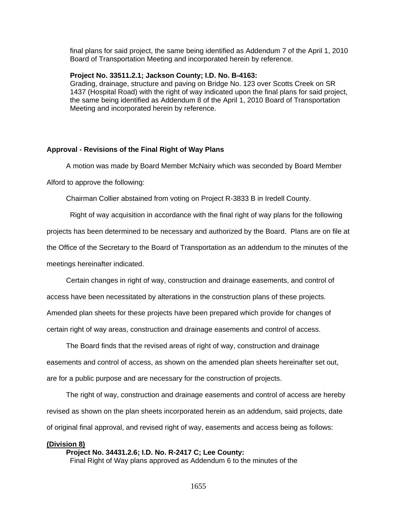final plans for said project, the same being identified as Addendum 7 of the April 1, 2010 Board of Transportation Meeting and incorporated herein by reference.

## **Project No. 33511.2.1; Jackson County; I.D. No. B-4163:**

Grading, drainage, structure and paving on Bridge No. 123 over Scotts Creek on SR 1437 (Hospital Road) with the right of way indicated upon the final plans for said project, the same being identified as Addendum 8 of the April 1, 2010 Board of Transportation Meeting and incorporated herein by reference.

## **Approval - Revisions of the Final Right of Way Plans**

A motion was made by Board Member McNairy which was seconded by Board Member

Alford to approve the following:

Chairman Collier abstained from voting on Project R-3833 B in Iredell County.

Right of way acquisition in accordance with the final right of way plans for the following

projects has been determined to be necessary and authorized by the Board. Plans are on file at

the Office of the Secretary to the Board of Transportation as an addendum to the minutes of the

meetings hereinafter indicated.

 Certain changes in right of way, construction and drainage easements, and control of access have been necessitated by alterations in the construction plans of these projects. Amended plan sheets for these projects have been prepared which provide for changes of certain right of way areas, construction and drainage easements and control of access.

 The Board finds that the revised areas of right of way, construction and drainage easements and control of access, as shown on the amended plan sheets hereinafter set out, are for a public purpose and are necessary for the construction of projects.

 The right of way, construction and drainage easements and control of access are hereby revised as shown on the plan sheets incorporated herein as an addendum, said projects, date of original final approval, and revised right of way, easements and access being as follows:

#### **(Division 8)**

#### **Project No. 34431.2.6; I.D. No. R-2417 C; Lee County:**

Final Right of Way plans approved as Addendum 6 to the minutes of the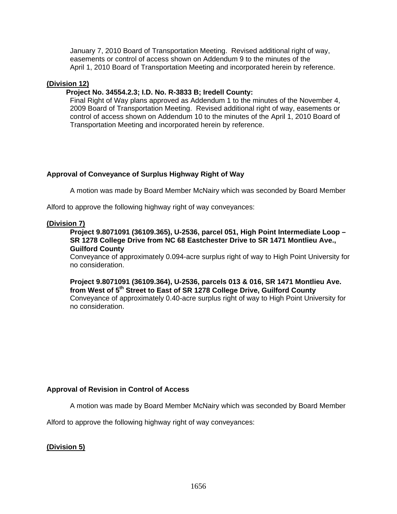January 7, 2010 Board of Transportation Meeting. Revised additional right of way, easements or control of access shown on Addendum 9 to the minutes of the April 1, 2010 Board of Transportation Meeting and incorporated herein by reference.

# **(Division 12)**

# **Project No. 34554.2.3; I.D. No. R-3833 B; Iredell County:**

Final Right of Way plans approved as Addendum 1 to the minutes of the November 4, 2009 Board of Transportation Meeting. Revised additional right of way, easements or control of access shown on Addendum 10 to the minutes of the April 1, 2010 Board of Transportation Meeting and incorporated herein by reference.

# **Approval of Conveyance of Surplus Highway Right of Way**

A motion was made by Board Member McNairy which was seconded by Board Member

Alford to approve the following highway right of way conveyances:

## **(Division 7)**

**Project 9.8071091 (36109.365), U-2536, parcel 051, High Point Intermediate Loop – SR 1278 College Drive from NC 68 Eastchester Drive to SR 1471 Montlieu Ave., Guilford County** 

Conveyance of approximately 0.094-acre surplus right of way to High Point University for no consideration.

**Project 9.8071091 (36109.364), U-2536, parcels 013 & 016, SR 1471 Montlieu Ave. from West of 5th Street to East of SR 1278 College Drive, Guilford County** 

Conveyance of approximately 0.40-acre surplus right of way to High Point University for no consideration.

# **Approval of Revision in Control of Access**

A motion was made by Board Member McNairy which was seconded by Board Member

Alford to approve the following highway right of way conveyances:

**(Division 5)**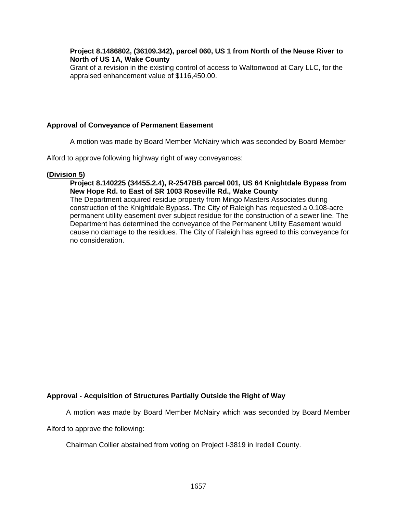# **Project 8.1486802, (36109.342), parcel 060, US 1 from North of the Neuse River to North of US 1A, Wake County**

Grant of a revision in the existing control of access to Waltonwood at Cary LLC, for the appraised enhancement value of \$116,450.00.

# **Approval of Conveyance of Permanent Easement**

A motion was made by Board Member McNairy which was seconded by Board Member

Alford to approve following highway right of way conveyances:

## **(Division 5)**

## **Project 8.140225 (34455.2.4), R-2547BB parcel 001, US 64 Knightdale Bypass from New Hope Rd. to East of SR 1003 Roseville Rd., Wake County**

The Department acquired residue property from Mingo Masters Associates during construction of the Knightdale Bypass. The City of Raleigh has requested a 0.108-acre permanent utility easement over subject residue for the construction of a sewer line. The Department has determined the conveyance of the Permanent Utility Easement would cause no damage to the residues. The City of Raleigh has agreed to this conveyance for no consideration.

# **Approval - Acquisition of Structures Partially Outside the Right of Way**

A motion was made by Board Member McNairy which was seconded by Board Member

Alford to approve the following:

Chairman Collier abstained from voting on Project I-3819 in Iredell County.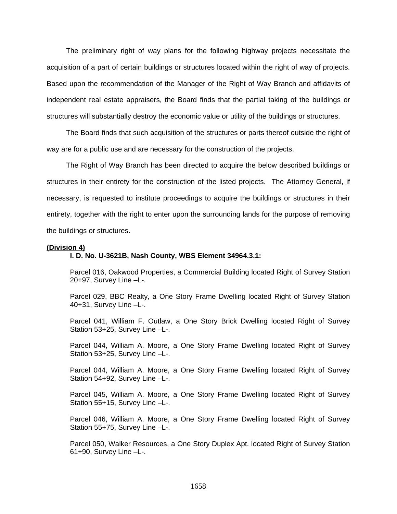The preliminary right of way plans for the following highway projects necessitate the acquisition of a part of certain buildings or structures located within the right of way of projects. Based upon the recommendation of the Manager of the Right of Way Branch and affidavits of independent real estate appraisers, the Board finds that the partial taking of the buildings or structures will substantially destroy the economic value or utility of the buildings or structures.

 The Board finds that such acquisition of the structures or parts thereof outside the right of way are for a public use and are necessary for the construction of the projects.

 The Right of Way Branch has been directed to acquire the below described buildings or structures in their entirety for the construction of the listed projects. The Attorney General, if necessary, is requested to institute proceedings to acquire the buildings or structures in their entirety, together with the right to enter upon the surrounding lands for the purpose of removing the buildings or structures.

#### **(Division 4)**

## **I. D. No. U-3621B, Nash County, WBS Element 34964.3.1:**

Parcel 016, Oakwood Properties, a Commercial Building located Right of Survey Station 20+97, Survey Line –L-.

Parcel 029, BBC Realty, a One Story Frame Dwelling located Right of Survey Station 40+31, Survey Line –L-.

Parcel 041, William F. Outlaw, a One Story Brick Dwelling located Right of Survey Station 53+25, Survey Line –L-.

Parcel 044, William A. Moore, a One Story Frame Dwelling located Right of Survey Station 53+25, Survey Line –L-.

Parcel 044, William A. Moore, a One Story Frame Dwelling located Right of Survey Station 54+92, Survey Line –L-.

Parcel 045, William A. Moore, a One Story Frame Dwelling located Right of Survey Station 55+15, Survey Line –L-.

Parcel 046, William A. Moore, a One Story Frame Dwelling located Right of Survey Station 55+75, Survey Line –L-.

Parcel 050, Walker Resources, a One Story Duplex Apt. located Right of Survey Station 61+90, Survey Line –L-.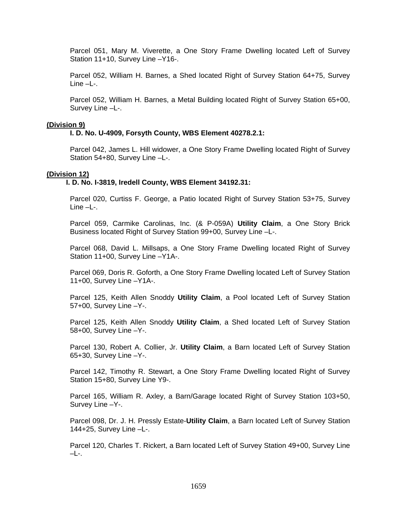Parcel 051, Mary M. Viverette, a One Story Frame Dwelling located Left of Survey Station 11+10, Survey Line –Y16-.

Parcel 052, William H. Barnes, a Shed located Right of Survey Station 64+75, Survey Line –L-.

Parcel 052, William H. Barnes, a Metal Building located Right of Survey Station 65+00, Survey Line –L-.

## **(Division 9)**

## **I. D. No. U-4909, Forsyth County, WBS Element 40278.2.1:**

Parcel 042, James L. Hill widower, a One Story Frame Dwelling located Right of Survey Station 54+80, Survey Line –L-.

## **(Division 12)**

# **I. D. No. I-3819, Iredell County, WBS Element 34192.31:**

Parcel 020, Curtiss F. George, a Patio located Right of Survey Station 53+75, Survey Line –L-.

Parcel 059, Carmike Carolinas, Inc. (& P-059A) **Utility Claim**, a One Story Brick Business located Right of Survey Station 99+00, Survey Line –L-.

Parcel 068, David L. Millsaps, a One Story Frame Dwelling located Right of Survey Station 11+00, Survey Line –Y1A-.

Parcel 069, Doris R. Goforth, a One Story Frame Dwelling located Left of Survey Station 11+00, Survey Line –Y1A-.

Parcel 125, Keith Allen Snoddy **Utility Claim**, a Pool located Left of Survey Station 57+00, Survey Line –Y-.

Parcel 125, Keith Allen Snoddy **Utility Claim**, a Shed located Left of Survey Station 58+00, Survey Line –Y-.

Parcel 130, Robert A. Collier, Jr. **Utility Claim**, a Barn located Left of Survey Station 65+30, Survey Line –Y-.

Parcel 142, Timothy R. Stewart, a One Story Frame Dwelling located Right of Survey Station 15+80, Survey Line Y9-.

Parcel 165, William R. Axley, a Barn/Garage located Right of Survey Station 103+50, Survey Line –Y-.

Parcel 098, Dr. J. H. Pressly Estate-**Utility Claim**, a Barn located Left of Survey Station 144+25, Survey Line –L-.

Parcel 120, Charles T. Rickert, a Barn located Left of Survey Station 49+00, Survey Line  $-L-$ .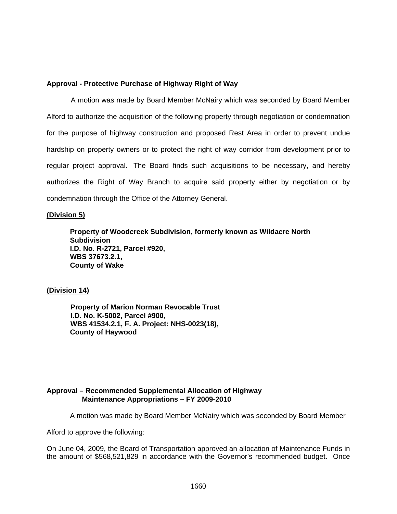## **Approval - Protective Purchase of Highway Right of Way**

 A motion was made by Board Member McNairy which was seconded by Board Member Alford to authorize the acquisition of the following property through negotiation or condemnation for the purpose of highway construction and proposed Rest Area in order to prevent undue hardship on property owners or to protect the right of way corridor from development prior to regular project approval. The Board finds such acquisitions to be necessary, and hereby authorizes the Right of Way Branch to acquire said property either by negotiation or by condemnation through the Office of the Attorney General.

## **(Division 5)**

**Property of Woodcreek Subdivision, formerly known as Wildacre North Subdivision I.D. No. R-2721, Parcel #920, WBS 37673.2.1, County of Wake** 

## **(Division 14)**

 **Property of Marion Norman Revocable Trust I.D. No. K-5002, Parcel #900, WBS 41534.2.1, F. A. Project: NHS-0023(18), County of Haywood** 

# **Approval – Recommended Supplemental Allocation of Highway Maintenance Appropriations – FY 2009-2010**

A motion was made by Board Member McNairy which was seconded by Board Member

Alford to approve the following:

On June 04, 2009, the Board of Transportation approved an allocation of Maintenance Funds in the amount of \$568,521,829 in accordance with the Governor's recommended budget. Once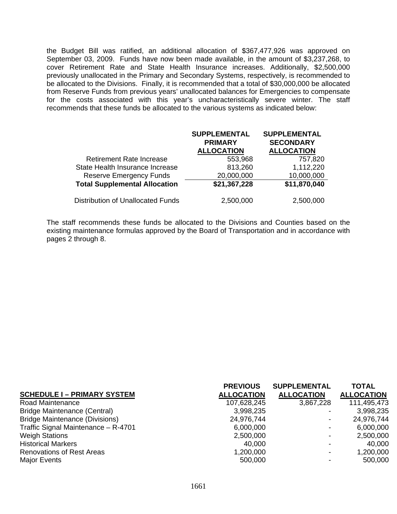the Budget Bill was ratified, an additional allocation of \$367,477,926 was approved on September 03, 2009. Funds have now been made available, in the amount of \$3,237,268, to cover Retirement Rate and State Health Insurance increases. Additionally, \$2,500,000 previously unallocated in the Primary and Secondary Systems, respectively, is recommended to be allocated to the Divisions. Finally, it is recommended that a total of \$30,000,000 be allocated from Reserve Funds from previous years' unallocated balances for Emergencies to compensate for the costs associated with this year's uncharacteristically severe winter. The staff recommends that these funds be allocated to the various systems as indicated below:

|                                          | <b>SUPPLEMENTAL</b><br><b>PRIMARY</b><br><b>ALLOCATION</b> | <b>SUPPLEMENTAL</b><br><b>SECONDARY</b><br><b>ALLOCATION</b> |
|------------------------------------------|------------------------------------------------------------|--------------------------------------------------------------|
| <b>Retirement Rate Increase</b>          | 553,968                                                    | 757,820                                                      |
| State Health Insurance Increase          | 813,260                                                    | 1,112,220                                                    |
| <b>Reserve Emergency Funds</b>           | 20,000,000                                                 | 10,000,000                                                   |
| <b>Total Supplemental Allocation</b>     | \$21,367,228                                               | \$11,870,040                                                 |
| <b>Distribution of Unallocated Funds</b> | 2,500,000                                                  | 2,500,000                                                    |

The staff recommends these funds be allocated to the Divisions and Counties based on the existing maintenance formulas approved by the Board of Transportation and in accordance with pages 2 through 8.

|                                       | <b>PREVIOUS</b>   | <b>SUPPLEMENTAL</b> | <b>TOTAL</b>      |
|---------------------------------------|-------------------|---------------------|-------------------|
| <b>SCHEDULE I - PRIMARY SYSTEM</b>    | <b>ALLOCATION</b> | <b>ALLOCATION</b>   | <b>ALLOCATION</b> |
| Road Maintenance                      | 107,628,245       | 3,867,228           | 111,495,473       |
| <b>Bridge Maintenance (Central)</b>   | 3,998,235         |                     | 3,998,235         |
| <b>Bridge Maintenance (Divisions)</b> | 24,976,744        |                     | 24,976,744        |
| Traffic Signal Maintenance - R-4701   | 6,000,000         |                     | 6,000,000         |
| <b>Weigh Stations</b>                 | 2,500,000         |                     | 2,500,000         |
| <b>Historical Markers</b>             | 40,000            | $\,$                | 40,000            |
| <b>Renovations of Rest Areas</b>      | 1,200,000         |                     | 1,200,000         |
| Major Events                          | 500,000           |                     | 500,000           |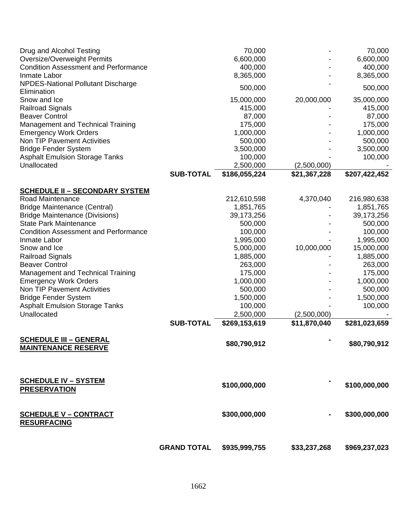| Drug and Alcohol Testing<br>Oversize/Overweight Permits     |                    | 70,000<br>6,600,000 |              | 70,000<br>6,600,000 |
|-------------------------------------------------------------|--------------------|---------------------|--------------|---------------------|
| <b>Condition Assessment and Performance</b>                 |                    | 400,000             |              | 400,000             |
| Inmate Labor                                                |                    | 8,365,000           |              | 8,365,000           |
| NPDES-National Pollutant Discharge<br>Elimination           |                    | 500,000             |              | 500,000             |
| Snow and Ice                                                |                    | 15,000,000          | 20,000,000   | 35,000,000          |
| <b>Railroad Signals</b>                                     |                    | 415,000             |              | 415,000             |
| <b>Beaver Control</b>                                       |                    | 87,000              |              | 87,000              |
| Management and Technical Training                           |                    | 175,000             |              | 175,000             |
| <b>Emergency Work Orders</b>                                |                    | 1,000,000           |              | 1,000,000           |
| <b>Non TIP Pavement Activities</b>                          |                    | 500,000             |              | 500,000             |
| <b>Bridge Fender System</b>                                 |                    | 3,500,000           |              | 3,500,000           |
| <b>Asphalt Emulsion Storage Tanks</b>                       |                    | 100,000             |              | 100,000             |
| Unallocated                                                 |                    | 2,500,000           | (2,500,000)  |                     |
|                                                             | <b>SUB-TOTAL</b>   | \$186,055,224       | \$21,367,228 | \$207,422,452       |
| <b>SCHEDULE II - SECONDARY SYSTEM</b>                       |                    |                     |              |                     |
| Road Maintenance                                            |                    | 212,610,598         | 4,370,040    | 216,980,638         |
| <b>Bridge Maintenance (Central)</b>                         |                    | 1,851,765           |              | 1,851,765           |
| <b>Bridge Maintenance (Divisions)</b>                       |                    | 39,173,256          |              | 39,173,256          |
| <b>State Park Maintenance</b>                               |                    | 500,000             |              | 500,000             |
| <b>Condition Assessment and Performance</b>                 |                    | 100,000             |              | 100,000             |
| Inmate Labor                                                |                    | 1,995,000           |              | 1,995,000           |
| Snow and Ice                                                |                    | 5,000,000           | 10,000,000   | 15,000,000          |
| <b>Railroad Signals</b>                                     |                    | 1,885,000           |              | 1,885,000           |
| <b>Beaver Control</b>                                       |                    | 263,000             |              | 263,000             |
| <b>Management and Technical Training</b>                    |                    | 175,000             |              | 175,000             |
| <b>Emergency Work Orders</b>                                |                    | 1,000,000           |              | 1,000,000           |
| <b>Non TIP Pavement Activities</b>                          |                    | 500,000             |              | 500,000             |
| <b>Bridge Fender System</b>                                 |                    | 1,500,000           |              | 1,500,000           |
| <b>Asphalt Emulsion Storage Tanks</b>                       |                    | 100,000             |              | 100,000             |
| Unallocated                                                 |                    | 2,500,000           | (2,500,000)  |                     |
|                                                             | <b>SUB-TOTAL</b>   | \$269,153,619       | \$11,870,040 | \$281,023,659       |
| <b>SCHEDULE III - GENERAL</b><br><b>MAINTENANCE RESERVE</b> |                    | \$80,790,912        |              | \$80,790,912        |
| <b>SCHEDULE IV - SYSTEM</b><br><b>PRESERVATION</b>          |                    | \$100,000,000       |              | \$100,000,000       |
| <b>SCHEDULE V - CONTRACT</b><br><b>RESURFACING</b>          |                    | \$300,000,000       |              | \$300,000,000       |
|                                                             | <b>GRAND TOTAL</b> | \$935,999,755       | \$33,237,268 | \$969,237,023       |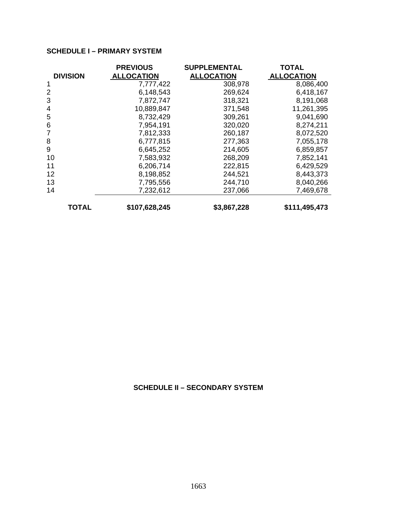# **SCHEDULE I – PRIMARY SYSTEM**

|                 | <b>PREVIOUS</b>   | <b>SUPPLEMENTAL</b> | <b>TOTAL</b>      |
|-----------------|-------------------|---------------------|-------------------|
| <b>DIVISION</b> | <b>ALLOCATION</b> | <b>ALLOCATION</b>   | <b>ALLOCATION</b> |
| 1               | 7,777,422         | 308,978             | 8,086,400         |
| $\overline{2}$  | 6,148,543         | 269,624             | 6,418,167         |
| 3               | 7,872,747         | 318,321             | 8,191,068         |
| 4               | 10,889,847        | 371,548             | 11,261,395        |
| 5               | 8,732,429         | 309,261             | 9,041,690         |
| 6               | 7,954,191         | 320,020             | 8,274,211         |
| 7               | 7,812,333         | 260,187             | 8,072,520         |
| 8               | 6,777,815         | 277,363             | 7,055,178         |
| 9               | 6,645,252         | 214,605             | 6,859,857         |
| 10              | 7,583,932         | 268,209             | 7,852,141         |
| 11              | 6,206,714         | 222,815             | 6,429,529         |
| 12              | 8,198,852         | 244,521             | 8,443,373         |
| 13              | 7,795,556         | 244,710             | 8,040,266         |
| 14              | 7,232,612         | 237,066             | 7,469,678         |
| <b>TOTAL</b>    | \$107,628,245     | \$3,867,228         | \$111,495,473     |

# **SCHEDULE II – SECONDARY SYSTEM**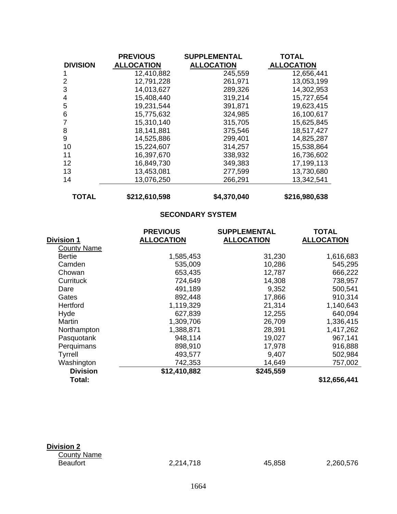|                 | <b>PREVIOUS</b>   | <b>SUPPLEMENTAL</b> | <b>TOTAL</b>      |
|-----------------|-------------------|---------------------|-------------------|
| <b>DIVISION</b> | <b>ALLOCATION</b> | <b>ALLOCATION</b>   | <b>ALLOCATION</b> |
|                 | 12,410,882        | 245,559             | 12,656,441        |
| $\overline{2}$  | 12,791,228        | 261,971             | 13,053,199        |
| 3               | 14,013,627        | 289,326             | 14,302,953        |
| 4               | 15,408,440        | 319,214             | 15,727,654        |
| 5               | 19,231,544        | 391,871             | 19,623,415        |
| 6               | 15,775,632        | 324,985             | 16,100,617        |
| 7               | 15,310,140        | 315,705             | 15,625,845        |
| 8               | 18,141,881        | 375,546             | 18,517,427        |
| 9               | 14,525,886        | 299,401             | 14,825,287        |
| 10              | 15,224,607        | 314,257             | 15,538,864        |
| 11              | 16,397,670        | 338,932             | 16,736,602        |
| 12              | 16,849,730        | 349,383             | 17,199,113        |
| 13              | 13,453,081        | 277,599             | 13,730,680        |
| 14              | 13,076,250        | 266,291             | 13,342,541        |
| <b>TOTAL</b>    | \$212,610,598     | \$4,370,040         | \$216,980,638     |

**SECONDARY SYSTEM** 

|                    | <b>PREVIOUS</b>   | <b>SUPPLEMENTAL</b> | <b>TOTAL</b>      |
|--------------------|-------------------|---------------------|-------------------|
| <b>Division 1</b>  | <b>ALLOCATION</b> | <b>ALLOCATION</b>   | <b>ALLOCATION</b> |
| <b>County Name</b> |                   |                     |                   |
| <b>Bertie</b>      | 1,585,453         | 31,230              | 1,616,683         |
| Camden             | 535,009           | 10,286              | 545,295           |
| Chowan             | 653,435           | 12,787              | 666,222           |
| Currituck          | 724,649           | 14,308              | 738,957           |
| Dare               | 491,189           | 9,352               | 500,541           |
| Gates              | 892,448           | 17,866              | 910,314           |
| Hertford           | 1,119,329         | 21,314              | 1,140,643         |
| Hyde               | 627,839           | 12,255              | 640,094           |
| Martin             | 1,309,706         | 26,709              | 1,336,415         |
| Northampton        | 1,388,871         | 28,391              | 1,417,262         |
| Pasquotank         | 948,114           | 19,027              | 967,141           |
| Perquimans         | 898,910           | 17,978              | 916,888           |
| Tyrrell            | 493,577           | 9,407               | 502,984           |
| Washington         | 742,353           | 14,649              | 757,002           |
| <b>Division</b>    | \$12,410,882      | \$245,559           |                   |
| Total:             |                   |                     | \$12,656,441      |

| Division 2         |
|--------------------|
| <b>County Name</b> |
| Beaufort           |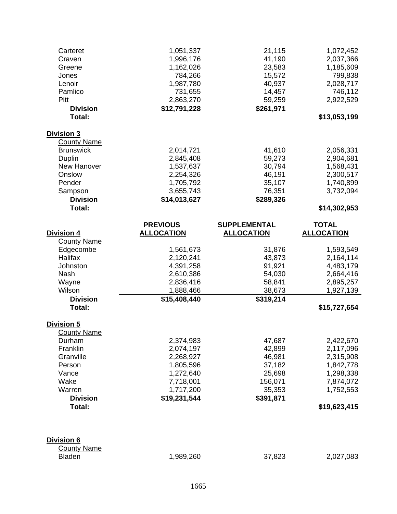| Carteret           | 1,051,337         | 21,115              | 1,072,452         |
|--------------------|-------------------|---------------------|-------------------|
| Craven             | 1,996,176         | 41,190              | 2,037,366         |
| Greene             | 1,162,026         | 23,583              | 1,185,609         |
| Jones              | 784,266           | 15,572              | 799,838           |
| Lenoir             | 1,987,780         | 40,937              | 2,028,717         |
| Pamlico            | 731,655           | 14,457              | 746,112           |
| Pitt               | 2,863,270         | 59,259              | 2,922,529         |
| <b>Division</b>    | \$12,791,228      | \$261,971           |                   |
| Total:             |                   |                     | \$13,053,199      |
|                    |                   |                     |                   |
| Division 3         |                   |                     |                   |
| <b>County Name</b> |                   |                     |                   |
| <b>Brunswick</b>   | 2,014,721         | 41,610              |                   |
|                    |                   |                     | 2,056,331         |
| Duplin             | 2,845,408         | 59,273              | 2,904,681         |
| New Hanover        | 1,537,637         | 30,794              | 1,568,431         |
| Onslow             | 2,254,326         | 46,191              | 2,300,517         |
| Pender             | 1,705,792         | 35,107              | 1,740,899         |
| Sampson            | 3,655,743         | 76,351              | 3,732,094         |
| <b>Division</b>    | \$14,013,627      | \$289,326           |                   |
| Total:             |                   |                     | \$14,302,953      |
|                    |                   |                     |                   |
|                    | <b>PREVIOUS</b>   | <b>SUPPLEMENTAL</b> | <b>TOTAL</b>      |
| <b>Division 4</b>  | <b>ALLOCATION</b> | <b>ALLOCATION</b>   | <b>ALLOCATION</b> |
| <b>County Name</b> |                   |                     |                   |
| Edgecombe          | 1,561,673         | 31,876              | 1,593,549         |
| Halifax            | 2,120,241         | 43,873              | 2,164,114         |
| Johnston           | 4,391,258         | 91,921              | 4,483,179         |
| Nash               | 2,610,386         | 54,030              | 2,664,416         |
| Wayne              | 2,836,416         | 58,841              | 2,895,257         |
| Wilson             | 1,888,466         | 38,673              | 1,927,139         |
| <b>Division</b>    | \$15,408,440      | \$319,214           |                   |
| Total:             |                   |                     | \$15,727,654      |
|                    |                   |                     |                   |
| Division 5         |                   |                     |                   |
| <b>County Name</b> |                   |                     |                   |
| Durham             | 2,374,983         | 47,687              | 2,422,670         |
| Franklin           | 2,074,197         | 42,899              | 2,117,096         |
| Granville          | 2,268,927         | 46,981              | 2,315,908         |
| Person             | 1,805,596         | 37,182              | 1,842,778         |
| Vance              | 1,272,640         | 25,698              | 1,298,338         |
| Wake               | 7,718,001         | 156,071             | 7,874,072         |
| Warren             | 1,717,200         | 35,353              | 1,752,553         |
| <b>Division</b>    | \$19,231,544      | \$391,871           |                   |
| Total:             |                   |                     |                   |
|                    |                   |                     | \$19,623,415      |
|                    |                   |                     |                   |
|                    |                   |                     |                   |
| <u>Division 6</u>  |                   |                     |                   |
| <b>County Name</b> |                   |                     |                   |
| <b>Bladen</b>      | 1,989,260         | 37,823              | 2,027,083         |
|                    |                   |                     |                   |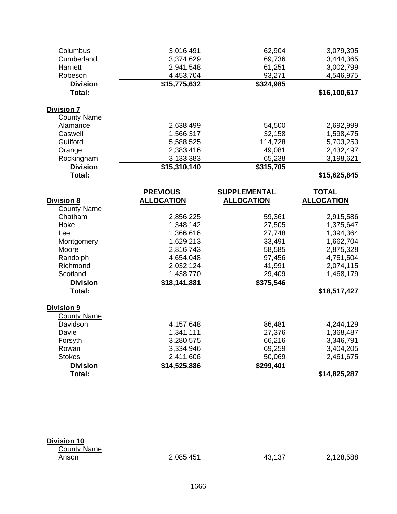| Columbus<br>Cumberland<br>Harnett<br>Robeson | 3,016,491<br>3,374,629<br>2,941,548<br>4,453,704 | 62,904<br>69,736<br>61,251<br>93,271 | 3,079,395<br>3,444,365<br>3,002,799<br>4,546,975 |
|----------------------------------------------|--------------------------------------------------|--------------------------------------|--------------------------------------------------|
| <b>Division</b><br>Total:                    | \$15,775,632                                     | $\overline{$}324,985$                | \$16,100,617                                     |
|                                              |                                                  |                                      |                                                  |
| <b>Division 7</b>                            |                                                  |                                      |                                                  |
| <b>County Name</b>                           |                                                  |                                      |                                                  |
| Alamance                                     | 2,638,499                                        | 54,500                               | 2,692,999                                        |
| Caswell                                      | 1,566,317                                        | 32,158                               | 1,598,475                                        |
| Guilford                                     | 5,588,525                                        | 114,728                              | 5,703,253                                        |
| Orange                                       | 2,383,416                                        | 49,081                               | 2,432,497                                        |
| Rockingham                                   | 3,133,383                                        | 65,238                               | 3,198,621                                        |
| <b>Division</b>                              | \$15,310,140                                     | \$315,705                            |                                                  |
| Total:                                       |                                                  |                                      | \$15,625,845                                     |
|                                              | <b>PREVIOUS</b>                                  | <b>SUPPLEMENTAL</b>                  | <b>TOTAL</b>                                     |
| <b>Division 8</b>                            | <b>ALLOCATION</b>                                | <b>ALLOCATION</b>                    | <b>ALLOCATION</b>                                |
| <b>County Name</b>                           |                                                  |                                      |                                                  |
| Chatham                                      | 2,856,225                                        | 59,361                               | 2,915,586                                        |
| Hoke                                         | 1,348,142                                        | 27,505                               | 1,375,647                                        |
| Lee                                          | 1,366,616                                        | 27,748                               | 1,394,364                                        |
| Montgomery                                   | 1,629,213                                        | 33,491                               | 1,662,704                                        |
| Moore                                        | 2,816,743                                        | 58,585                               | 2,875,328                                        |
| Randolph                                     | 4,654,048                                        | 97,456                               | 4,751,504                                        |
| Richmond                                     | 2,032,124                                        | 41,991                               | 2,074,115                                        |
| Scotland                                     | 1,438,770                                        | 29,409                               | 1,468,179                                        |
| <b>Division</b>                              | \$18,141,881                                     | \$375,546                            |                                                  |
| Total:                                       |                                                  |                                      | \$18,517,427                                     |
| Division 9                                   |                                                  |                                      |                                                  |
| <b>County Name</b>                           |                                                  |                                      |                                                  |
| Davidson                                     | 4,157,648                                        | 86,481                               | 4,244,129                                        |
| Davie                                        | 1,341,111                                        | 27,376                               | 1,368,487                                        |
| Forsyth                                      | 3,280,575                                        | 66,216                               | 3,346,791                                        |
| Rowan                                        | 3,334,946                                        | 69,259                               | 3,404,205                                        |
|                                              |                                                  |                                      |                                                  |
|                                              |                                                  |                                      |                                                  |
| <b>Stokes</b><br><b>Division</b>             | 2,411,606<br>\$14,525,886                        | 50,069<br>\$299,401                  | 2,461,675                                        |

| <b>Division 10</b> |  |  |
|--------------------|--|--|
|                    |  |  |

County Name<br>Anson

# Anson 2,085,451 43,137 2,128,588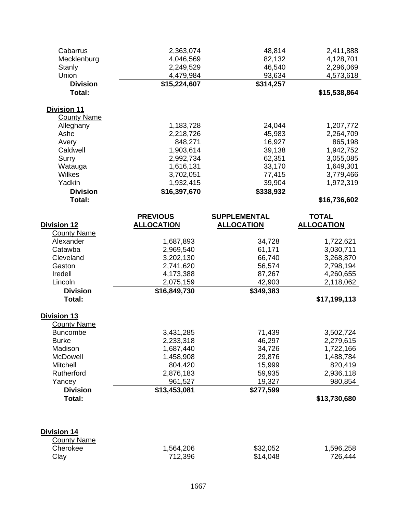| Cabarrus           | 2,363,074         | 48,814              | 2,411,888         |
|--------------------|-------------------|---------------------|-------------------|
| Mecklenburg        | 4,046,569         | 82,132              | 4,128,701         |
| Stanly             | 2,249,529         | 46,540              | 2,296,069         |
| Union              | 4,479,984         | 93,634              | 4,573,618         |
| <b>Division</b>    | \$15,224,607      | \$314,257           |                   |
| Total:             |                   |                     | \$15,538,864      |
| <b>Division 11</b> |                   |                     |                   |
| <b>County Name</b> |                   |                     |                   |
| Alleghany          | 1,183,728         | 24,044              | 1,207,772         |
| Ashe               | 2,218,726         | 45,983              | 2,264,709         |
| Avery              | 848,271           | 16,927              | 865,198           |
| Caldwell           | 1,903,614         | 39,138              | 1,942,752         |
| Surry              | 2,992,734         | 62,351              | 3,055,085         |
| Watauga            | 1,616,131         | 33,170              | 1,649,301         |
| Wilkes             | 3,702,051         | 77,415              | 3,779,466         |
| Yadkin             | 1,932,415         | 39,904              | 1,972,319         |
| <b>Division</b>    | \$16,397,670      | \$338,932           |                   |
| Total:             |                   |                     | \$16,736,602      |
|                    | <b>PREVIOUS</b>   | <b>SUPPLEMENTAL</b> | <b>TOTAL</b>      |
| <b>Division 12</b> | <b>ALLOCATION</b> | <b>ALLOCATION</b>   | <b>ALLOCATION</b> |
| <b>County Name</b> |                   |                     |                   |
| Alexander          | 1,687,893         | 34,728              | 1,722,621         |
| Catawba            | 2,969,540         | 61,171              | 3,030,711         |
| Cleveland          | 3,202,130         | 66,740              | 3,268,870         |
| Gaston             | 2,741,620         | 56,574              | 2,798,194         |
| Iredell            | 4,173,388         | 87,267              | 4,260,655         |
| Lincoln            | 2,075,159         | 42,903              | 2,118,062         |
| <b>Division</b>    | \$16,849,730      | \$349,383           |                   |
| Total:             |                   |                     | \$17,199,113      |
| Division 13        |                   |                     |                   |
| <b>County Name</b> |                   |                     |                   |
| <b>Buncombe</b>    | 3,431,285         | 71,439              | 3,502,724         |
| <b>Burke</b>       | 2,233,318         | 46,297              | 2,279,615         |
| Madison            | 1,687,440         | 34,726              | 1,722,166         |
| McDowell           | 1,458,908         | 29,876              | 1,488,784         |
| <b>Mitchell</b>    | 804,420           | 15,999              | 820,419           |
| Rutherford         | 2,876,183         | 59,935              | 2,936,118         |
| Yancey             | 961,527           | 19,327              | 980,854           |
| <b>Division</b>    | \$13,453,081      | \$277,599           |                   |
| Total:             |                   |                     | \$13,730,680      |
|                    |                   |                     |                   |
| <b>Division 14</b> |                   |                     |                   |
| <b>County Name</b> |                   |                     |                   |
| Cherokee           | 1,564,206         | \$32,052            | 1,596,258         |
| Clay               | 712,396           | \$14,048            | 726,444           |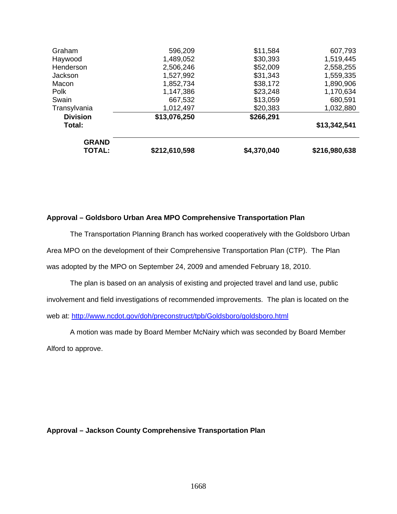| \$13,342,541 |
|--------------|
|              |
|              |
| 1,032,880    |
| 680,591      |
| 1,170,634    |
| 1,890,906    |
| 1,559,335    |
| 2,558,255    |
| 1,519,445    |
| 607,793      |
|              |

## **Approval – Goldsboro Urban Area MPO Comprehensive Transportation Plan**

The Transportation Planning Branch has worked cooperatively with the Goldsboro Urban Area MPO on the development of their Comprehensive Transportation Plan (CTP). The Plan was adopted by the MPO on September 24, 2009 and amended February 18, 2010.

The plan is based on an analysis of existing and projected travel and land use, public involvement and field investigations of recommended improvements. The plan is located on the web at: <http://www.ncdot.gov/doh/preconstruct/tpb/Goldsboro/goldsboro.html>

A motion was made by Board Member McNairy which was seconded by Board Member Alford to approve.

**Approval – Jackson County Comprehensive Transportation Plan**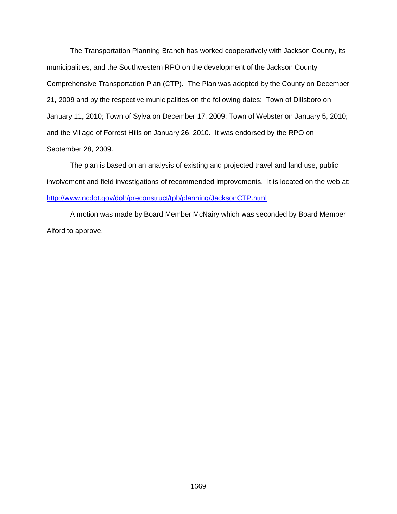The Transportation Planning Branch has worked cooperatively with Jackson County, its municipalities, and the Southwestern RPO on the development of the Jackson County Comprehensive Transportation Plan (CTP). The Plan was adopted by the County on December 21, 2009 and by the respective municipalities on the following dates: Town of Dillsboro on January 11, 2010; Town of Sylva on December 17, 2009; Town of Webster on January 5, 2010; and the Village of Forrest Hills on January 26, 2010. It was endorsed by the RPO on September 28, 2009.

 The plan is based on an analysis of existing and projected travel and land use, public involvement and field investigations of recommended improvements. It is located on the web at: <http://www.ncdot.gov/doh/preconstruct/tpb/planning/JacksonCTP.html>

 A motion was made by Board Member McNairy which was seconded by Board Member Alford to approve.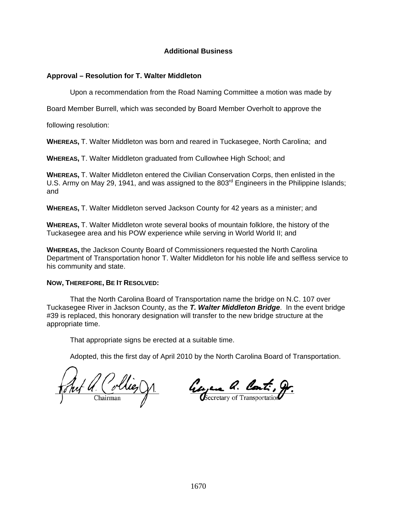# **Additional Business**

# **Approval – Resolution for T. Walter Middleton**

Upon a recommendation from the Road Naming Committee a motion was made by

Board Member Burrell, which was seconded by Board Member Overholt to approve the

following resolution:

**WHEREAS,** T. Walter Middleton was born and reared in Tuckasegee, North Carolina; and

**WHEREAS,** T. Walter Middleton graduated from Cullowhee High School; and

**WHEREAS,** T. Walter Middleton entered the Civilian Conservation Corps, then enlisted in the U.S. Army on May 29, 1941, and was assigned to the 803<sup>rd</sup> Engineers in the Philippine Islands; and

**WHEREAS,** T. Walter Middleton served Jackson County for 42 years as a minister; and

**WHEREAS,** T. Walter Middleton wrote several books of mountain folklore, the history of the Tuckasegee area and his POW experience while serving in World World II; and

**WHEREAS,** the Jackson County Board of Commissioners requested the North Carolina Department of Transportation honor T. Walter Middleton for his noble life and selfless service to his community and state.

## **NOW, THEREFORE, BE IT RESOLVED:**

That the North Carolina Board of Transportation name the bridge on N.C. 107 over Tuckasegee River in Jackson County, as the *T. Walter Middleton Bridge*. In the event bridge #39 is replaced, this honorary designation will transfer to the new bridge structure at the appropriate time.

That appropriate signs be erected at a suitable time.

Juf a. Collies On  $\frac{1}{\text{Chairman}}$ 

George a. Cont., Or.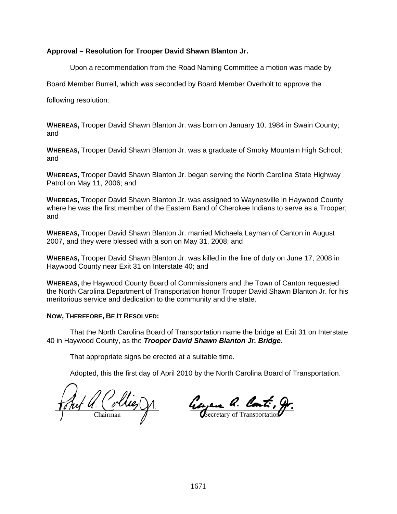# **Approval – Resolution for Trooper David Shawn Blanton Jr.**

Upon a recommendation from the Road Naming Committee a motion was made by

Board Member Burrell, which was seconded by Board Member Overholt to approve the

following resolution:

**WHEREAS,** Trooper David Shawn Blanton Jr. was born on January 10, 1984 in Swain County; and

**WHEREAS,** Trooper David Shawn Blanton Jr. was a graduate of Smoky Mountain High School; and

**WHEREAS,** Trooper David Shawn Blanton Jr. began serving the North Carolina State Highway Patrol on May 11, 2006; and

**WHEREAS,** Trooper David Shawn Blanton Jr. was assigned to Waynesville in Haywood County where he was the first member of the Eastern Band of Cherokee Indians to serve as a Trooper; and

**WHEREAS,** Trooper David Shawn Blanton Jr. married Michaela Layman of Canton in August 2007, and they were blessed with a son on May 31, 2008; and

**WHEREAS,** Trooper David Shawn Blanton Jr. was killed in the line of duty on June 17, 2008 in Haywood County near Exit 31 on Interstate 40; and

**WHEREAS,** the Haywood County Board of Commissioners and the Town of Canton requested the North Carolina Department of Transportation honor Trooper David Shawn Blanton Jr. for his meritorious service and dedication to the community and the state.

# **NOW, THEREFORE, BE IT RESOLVED:**

That the North Carolina Board of Transportation name the bridge at Exit 31 on Interstate 40 in Haywood County, as the *Trooper David Shawn Blanton Jr. Bridge*.

That appropriate signs be erected at a suitable time.

Jul a. Collies On

George a. Cont., Or.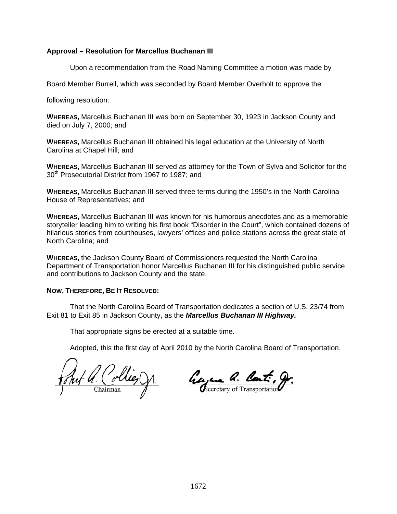# **Approval – Resolution for Marcellus Buchanan III**

Upon a recommendation from the Road Naming Committee a motion was made by

Board Member Burrell, which was seconded by Board Member Overholt to approve the

following resolution:

**WHEREAS,** Marcellus Buchanan III was born on September 30, 1923 in Jackson County and died on July 7, 2000; and

**WHEREAS,** Marcellus Buchanan III obtained his legal education at the University of North Carolina at Chapel Hill; and

**WHEREAS,** Marcellus Buchanan III served as attorney for the Town of Sylva and Solicitor for the 30<sup>th</sup> Prosecutorial District from 1967 to 1987; and

**WHEREAS,** Marcellus Buchanan III served three terms during the 1950's in the North Carolina House of Representatives; and

**WHEREAS,** Marcellus Buchanan III was known for his humorous anecdotes and as a memorable storyteller leading him to writing his first book "Disorder in the Court", which contained dozens of hilarious stories from courthouses, lawyers' offices and police stations across the great state of North Carolina; and

**WHEREAS,** the Jackson County Board of Commissioners requested the North Carolina Department of Transportation honor Marcellus Buchanan III for his distinguished public service and contributions to Jackson County and the state.

## **NOW, THEREFORE, BE IT RESOLVED:**

That the North Carolina Board of Transportation dedicates a section of U.S. 23/74 from Exit 81 to Exit 85 in Jackson County, as the *Marcellus Buchanan III Highway.*

That appropriate signs be erected at a suitable time.

L.a. Collies On

Gerian a. Cont., Or.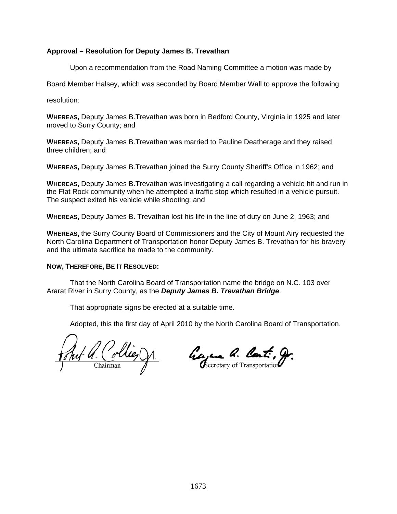# **Approval – Resolution for Deputy James B. Trevathan**

Upon a recommendation from the Road Naming Committee a motion was made by

Board Member Halsey, which was seconded by Board Member Wall to approve the following

resolution:

**WHEREAS,** Deputy James B.Trevathan was born in Bedford County, Virginia in 1925 and later moved to Surry County; and

**WHEREAS,** Deputy James B.Trevathan was married to Pauline Deatherage and they raised three children; and

**WHEREAS,** Deputy James B.Trevathan joined the Surry County Sheriff's Office in 1962; and

**WHEREAS,** Deputy James B.Trevathan was investigating a call regarding a vehicle hit and run in the Flat Rock community when he attempted a traffic stop which resulted in a vehicle pursuit. The suspect exited his vehicle while shooting; and

**WHEREAS,** Deputy James B. Trevathan lost his life in the line of duty on June 2, 1963; and

**WHEREAS,** the Surry County Board of Commissioners and the City of Mount Airy requested the North Carolina Department of Transportation honor Deputy James B. Trevathan for his bravery and the ultimate sacrifice he made to the community.

#### **NOW, THEREFORE, BE IT RESOLVED:**

That the North Carolina Board of Transportation name the bridge on N.C. 103 over Ararat River in Surry County, as the *Deputy James B. Trevathan Bridge*.

That appropriate signs be erected at a suitable time.

Collie

George a. Cont., 9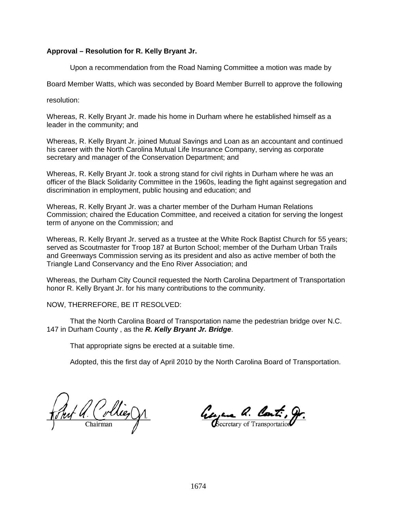# **Approval – Resolution for R. Kelly Bryant Jr.**

Upon a recommendation from the Road Naming Committee a motion was made by

Board Member Watts, which was seconded by Board Member Burrell to approve the following

resolution:

Whereas, R. Kelly Bryant Jr. made his home in Durham where he established himself as a leader in the community; and

Whereas, R. Kelly Bryant Jr. joined Mutual Savings and Loan as an accountant and continued his career with the North Carolina Mutual Life Insurance Company, serving as corporate secretary and manager of the Conservation Department; and

Whereas, R. Kelly Bryant Jr. took a strong stand for civil rights in Durham where he was an officer of the Black Solidarity Committee in the 1960s, leading the fight against segregation and discrimination in employment, public housing and education; and

Whereas, R. Kelly Bryant Jr. was a charter member of the Durham Human Relations Commission; chaired the Education Committee, and received a citation for serving the longest term of anyone on the Commission; and

Whereas, R. Kelly Bryant Jr. served as a trustee at the White Rock Baptist Church for 55 years; served as Scoutmaster for Troop 187 at Burton School; member of the Durham Urban Trails and Greenways Commission serving as its president and also as active member of both the Triangle Land Conservancy and the Eno River Association; and

Whereas, the Durham City Council requested the North Carolina Department of Transportation honor R. Kelly Bryant Jr. for his many contributions to the community.

NOW, THERREFORE, BE IT RESOLVED:

 That the North Carolina Board of Transportation name the pedestrian bridge over N.C. 147 in Durham County , as the *R. Kelly Bryant Jr. Bridge*.

That appropriate signs be erected at a suitable time.

Prof Q. Collie, D.

George a. Cont. g.